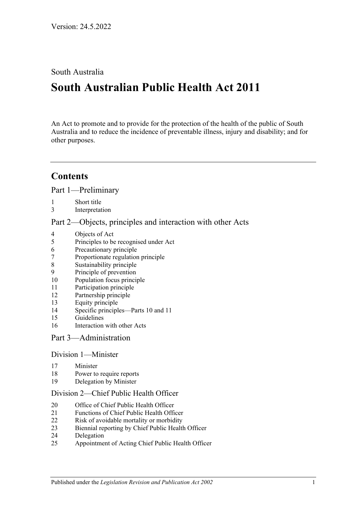South Australia

# **South Australian Public Health Act 2011**

An Act to promote and to provide for the protection of the health of the public of South Australia and to reduce the incidence of preventable illness, injury and disability; and for other purposes.

# **Contents**

Part [1—Preliminary](#page-4-0)

- [Short title](#page-4-1)
- [Interpretation](#page-4-2)

Part [2—Objects, principles and interaction with other Acts](#page-7-0)

- [Objects of Act](#page-7-1)
- [Principles to be recognised under Act](#page-8-0)
- [Precautionary principle](#page-8-1)
- [Proportionate regulation principle](#page-8-2)
- [Sustainability principle](#page-8-3)
- [Principle of prevention](#page-8-4)
- [Population focus principle](#page-9-0)
- [Participation principle](#page-9-1)
- [Partnership principle](#page-9-2)
- [Equity principle](#page-9-3)
- [Specific principles—Parts](#page-9-4) 10 and [11](#page-9-4)
- [Guidelines](#page-11-0)
- [Interaction with other Acts](#page-11-1)

#### Part [3—Administration](#page-11-2)

# Division [1—Minister](#page-11-3)

- [Minister](#page-11-4)
- [Power to require reports](#page-12-0)
- [Delegation by Minister](#page-13-0)

#### Division [2—Chief Public Health Officer](#page-13-1)

- [Office of Chief Public Health Officer](#page-13-2)
- [Functions of Chief Public Health Officer](#page-13-3)
- [Risk of avoidable mortality or morbidity](#page-14-0)
- [Biennial reporting by Chief Public Health Officer](#page-15-0)
- [Delegation](#page-15-1)
- [Appointment of Acting Chief Public Health Officer](#page-15-2)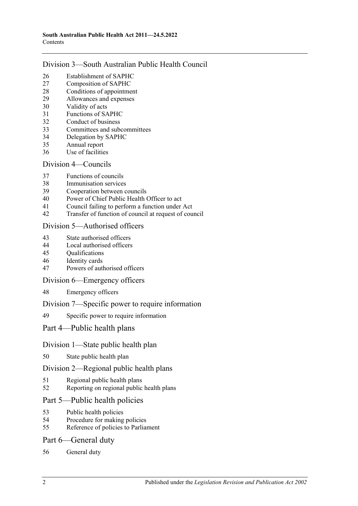## Division [3—South Australian Public Health Council](#page-16-0)

- [Establishment of SAPHC](#page-16-1)<br>27 Composition of SAPHC
- [Composition of SAPHC](#page-16-2)
- [Conditions of appointment](#page-17-0)
- [Allowances and expenses](#page-17-1)
- [Validity of acts](#page-17-2)
- [Functions of SAPHC](#page-17-3)
- [Conduct of business](#page-18-0)
- [Committees and subcommittees](#page-18-1)
- [Delegation by SAPHC](#page-18-2)
- [Annual report](#page-19-0)
- [Use of facilities](#page-19-1)

### Division [4—Councils](#page-19-2)

- [Functions of councils](#page-19-3)
- [Immunisation services](#page-19-4)
- [Cooperation between councils](#page-20-0)
- [Power of Chief Public Health Officer to act](#page-20-1)
- [Council failing to perform a function under Act](#page-20-2)
- [Transfer of function of council at request of council](#page-22-0)

## Division [5—Authorised officers](#page-22-1)

- [State authorised officers](#page-22-2)
- [Local authorised officers](#page-23-0)
- [Qualifications](#page-23-1)
- [Identity cards](#page-23-2)
- [Powers of authorised officers](#page-24-0)

#### Division [6—Emergency officers](#page-25-0)

[Emergency officers](#page-25-1)

#### Division [7—Specific power to require information](#page-26-0)

[Specific power to require information](#page-26-1)

# Part [4—Public health plans](#page-27-0)

#### Division [1—State public health plan](#page-27-1)

[State public health plan](#page-27-2)

#### Division [2—Regional public health plans](#page-28-0)

- [Regional public health plans](#page-28-1)
- [Reporting on regional public health plans](#page-31-0)

# Part [5—Public health policies](#page-31-1)

- [Public health policies](#page-31-2)<br>54 Procedure for making
- [Procedure for making policies](#page-31-3)
- [Reference of policies to Parliament](#page-32-0)

# Part [6—General duty](#page-32-1)

[General duty](#page-32-2)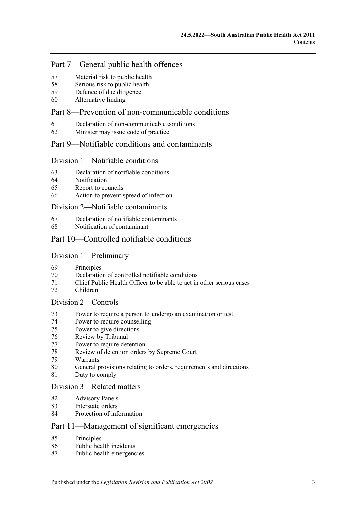### Part [7—General public health offences](#page-33-0)

- [Material risk to public health](#page-33-1)
- [Serious risk to public health](#page-34-0)
- [Defence of due diligence](#page-34-1)
- [Alternative finding](#page-35-0)

# Part [8—Prevention of non-communicable conditions](#page-35-1)

- [Declaration of non-communicable conditions](#page-35-2)
- [Minister may issue code of practice](#page-35-3)

#### Part [9—Notifiable conditions and contaminants](#page-36-0)

#### Division [1—Notifiable conditions](#page-36-1)

- [Declaration of notifiable conditions](#page-36-2)
- [Notification](#page-36-3)
- [Report to councils](#page-37-0)
- [Action to prevent spread of infection](#page-38-0)

#### Division [2—Notifiable contaminants](#page-39-0)

- [Declaration of notifiable contaminants](#page-39-1)
- [Notification of contaminant](#page-39-2)

### Part [10—Controlled notifiable conditions](#page-41-0)

#### Division [1—Preliminary](#page-41-1)

- [Principles](#page-41-2)
- Declaration [of controlled notifiable conditions](#page-41-3)
- [Chief Public Health Officer to be able to act in other serious cases](#page-42-0)
- [Children](#page-43-0)

#### Division [2—Controls](#page-43-1)

- [Power to require a person to undergo an examination or test](#page-43-2)
- [Power to require counselling](#page-45-0)
- [Power to give directions](#page-46-0)
- [Review by Tribunal](#page-47-0)
- [Power to require detention](#page-48-0)
- [Review of detention orders by Supreme](#page-50-0) Court
- [Warrants](#page-51-0)
- [General provisions relating to orders, requirements and directions](#page-52-0)
- [Duty to comply](#page-53-0)

#### Division [3—Related matters](#page-53-1)

- [Advisory Panels](#page-53-2)
- [Interstate orders](#page-54-0)
- [Protection of information](#page-54-1)

# Part [11—Management of significant emergencies](#page-54-2)

- [Principles](#page-54-3)
- [Public health incidents](#page-54-4)
- [Public health emergencies](#page-55-0)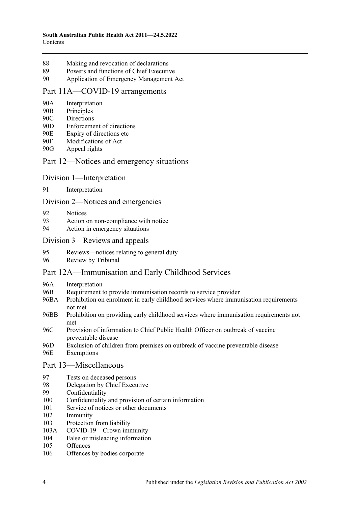- 88 [Making and revocation of declarations](#page-55-1)
- 89 [Powers and functions of Chief Executive](#page-55-2)
- 90 [Application of Emergency Management Act](#page-56-0)

#### [Part 11A—COVID-19 arrangements](#page-59-0)

- 90A [Interpretation](#page-59-1)
- 90B [Principles](#page-59-2)
- 90C [Directions](#page-59-3)
- 90D [Enforcement of directions](#page-60-0)
- 90E [Expiry of directions etc](#page-61-0)
- 90F [Modifications of Act](#page-61-1)
- 90G [Appeal rights](#page-61-2)

### Part [12—Notices and emergency situations](#page-64-0)

- Division [1—Interpretation](#page-64-1)
- 91 [Interpretation](#page-64-2)

Division [2—Notices and emergencies](#page-64-3)

- 92 [Notices](#page-64-4)
- 93 [Action on non-compliance with notice](#page-67-0)
- 94 [Action in emergency situations](#page-67-1)

#### Division [3—Reviews and appeals](#page-68-0)

- 95 [Reviews—notices relating to general duty](#page-68-1)
- 96 [Review by Tribunal](#page-70-0)

#### [Part 12A—Immunisation and Early Childhood Services](#page-70-1)

- 96A [Interpretation](#page-70-2)
- 96B [Requirement to provide immunisation records to service provider](#page-71-0)
- 96BA [Prohibition on enrolment in early childhood services where immunisation requirements](#page-72-0)  [not met](#page-72-0)
- 96BB [Prohibition on providing early childhood services where immunisation requirements not](#page-72-1)  [met](#page-72-1)
- 96C [Provision of information to Chief Public Health Officer on outbreak of vaccine](#page-72-2)  [preventable disease](#page-72-2)
- 96D [Exclusion of children from premises on outbreak of vaccine preventable disease](#page-73-0)
- 96E [Exemptions](#page-74-0)

#### Part [13—Miscellaneous](#page-74-1)

- 97 [Tests on deceased persons](#page-74-2)
- 98 [Delegation by Chief Executive](#page-75-0)<br>99 Confidentiality
- [Confidentiality](#page-75-1)
- 100 [Confidentiality and provision of certain information](#page-77-0)
- 101 [Service of notices or other documents](#page-77-1)
- 102 [Immunity](#page-78-0)
- 103 [Protection from liability](#page-79-0)
- 103A [COVID-19—Crown immunity](#page-79-1)
- 104 [False or misleading information](#page-79-2)
- 105 [Offences](#page-80-0)
- 106 [Offences by bodies corporate](#page-80-1)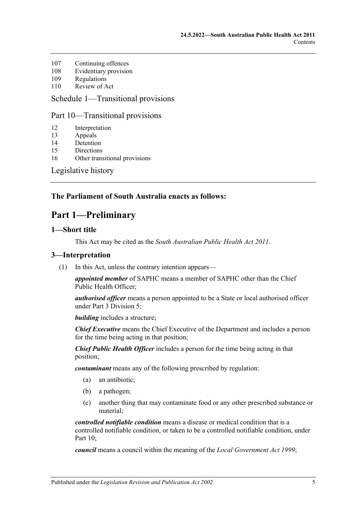- 107 [Continuing offences](#page-80-2)
- 108 [Evidentiary provision](#page-81-0)
- 109 [Regulations](#page-81-1)
- 110 [Review of Act](#page-84-0)

#### Schedule [1—Transitional provisions](#page-84-1)

#### Part 10—Transitional provisions

| 12<br>Interpretation |  |
|----------------------|--|
|----------------------|--|

- 13 [Appeals](#page-84-3)
- 14 [Detention](#page-85-0)
- 15 [Directions](#page-85-1)
- 16 [Other transitional provisions](#page-85-2)

[Legislative history](#page-86-0)

## <span id="page-4-0"></span>**The Parliament of South Australia enacts as follows:**

# **Part 1—Preliminary**

#### <span id="page-4-1"></span>**1—Short title**

This Act may be cited as the *South Australian Public Health Act 2011*.

### <span id="page-4-3"></span><span id="page-4-2"></span>**3—Interpretation**

(1) In this Act, unless the contrary intention appears—

*appointed member* of SAPHC means a member of SAPHC other than the Chief Public Health Officer;

*authorised officer* means a person appointed to be a State or local authorised officer under Part [3 Division](#page-22-1) 5;

*building* includes a structure;

*Chief Executive* means the Chief Executive of the Department and includes a person for the time being acting in that position;

*Chief Public Health Officer* includes a person for the time being acting in that position;

*contaminant* means any of the following prescribed by regulation:

- (a) an antibiotic;
- (b) a pathogen;
- (c) another thing that may contaminate food or any other prescribed substance or material;

*controlled notifiable condition* means a disease or medical condition that is a controlled notifiable condition, or taken to be a controlled notifiable condition, under [Part](#page-41-0) 10;

*council* means a council within the meaning of the *[Local Government Act](http://www.legislation.sa.gov.au/index.aspx?action=legref&type=act&legtitle=Local%20Government%20Act%201999) 1999*;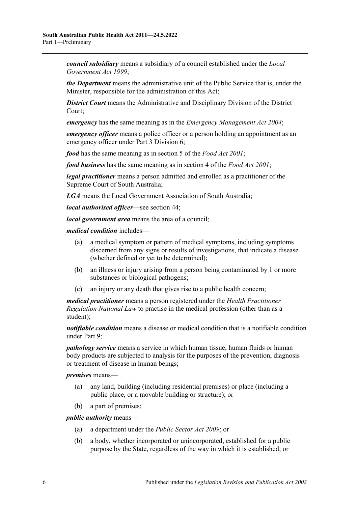*council subsidiary* means a subsidiary of a council established under the *[Local](http://www.legislation.sa.gov.au/index.aspx?action=legref&type=act&legtitle=Local%20Government%20Act%201999)  [Government Act](http://www.legislation.sa.gov.au/index.aspx?action=legref&type=act&legtitle=Local%20Government%20Act%201999) 1999*;

*the Department* means the administrative unit of the Public Service that is, under the Minister, responsible for the administration of this Act;

*District Court* means the Administrative and Disciplinary Division of the District Court;

*emergency* has the same meaning as in the *[Emergency Management Act](http://www.legislation.sa.gov.au/index.aspx?action=legref&type=act&legtitle=Emergency%20Management%20Act%202004) 2004*;

*emergency officer* means a police officer or a person holding an appointment as an emergency officer under Part [3 Division](#page-25-0) 6;

*food* has the same meaning as in section 5 of the *[Food Act](http://www.legislation.sa.gov.au/index.aspx?action=legref&type=act&legtitle=Food%20Act%202001) 2001*;

*food business* has the same meaning as in section 4 of the *[Food Act](http://www.legislation.sa.gov.au/index.aspx?action=legref&type=act&legtitle=Food%20Act%202001) 2001*;

*legal practitioner* means a person admitted and enrolled as a practitioner of the Supreme Court of South Australia;

*LGA* means the Local Government Association of South Australia;

*local authorised officer*—see [section](#page-23-0) 44;

*local government area* means the area of a council;

*medical condition* includes—

- (a) a medical symptom or pattern of medical symptoms, including symptoms discerned from any signs or results of investigations, that indicate a disease (whether defined or yet to be determined);
- (b) an illness or injury arising from a person being contaminated by 1 or more substances or biological pathogens;
- (c) an injury or any death that gives rise to a public health concern;

*medical practitioner* means a person registered under the *Health Practitioner Regulation National Law* to practise in the medical profession (other than as a student);

*notifiable condition* means a disease or medical condition that is a notifiable condition under [Part](#page-36-0) 9;

*pathology service* means a service in which human tissue, human fluids or human body products are subjected to analysis for the purposes of the prevention, diagnosis or treatment of disease in human beings;

*premises* means—

- (a) any land, building (including residential premises) or place (including a public place, or a movable building or structure); or
- (b) a part of premises;

*public authority* means—

- (a) a department under the *[Public Sector Act](http://www.legislation.sa.gov.au/index.aspx?action=legref&type=act&legtitle=Public%20Sector%20Act%202009) 2009*; or
- (b) a body, whether incorporated or unincorporated, established for a public purpose by the State, regardless of the way in which it is established; or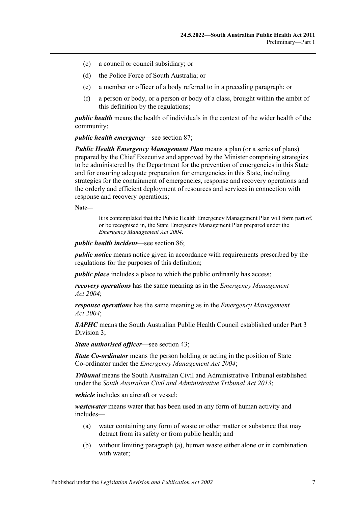- (c) a council or council subsidiary; or
- (d) the Police Force of South Australia; or
- (e) a member or officer of a body referred to in a preceding paragraph; or
- (f) a person or body, or a person or body of a class, brought within the ambit of this definition by the regulations;

*public health* means the health of individuals in the context of the wider health of the community;

*public health emergency*—see [section](#page-55-0) 87;

*Public Health Emergency Management Plan* means a plan (or a series of plans) prepared by the Chief Executive and approved by the Minister comprising strategies to be administered by the Department for the prevention of emergencies in this State and for ensuring adequate preparation for emergencies in this State, including strategies for the containment of emergencies, response and recovery operations and the orderly and efficient deployment of resources and services in connection with response and recovery operations;

**Note—**

It is contemplated that the Public Health Emergency Management Plan will form part of, or be recognised in, the State Emergency Management Plan prepared under the *[Emergency Management Act](http://www.legislation.sa.gov.au/index.aspx?action=legref&type=act&legtitle=Emergency%20Management%20Act%202004) 2004*.

*public health incident*—see [section](#page-54-4) 86;

*public notice* means notice given in accordance with requirements prescribed by the regulations for the purposes of this definition;

*public place* includes a place to which the public ordinarily has access:

*recovery operations* has the same meaning as in the *[Emergency Management](http://www.legislation.sa.gov.au/index.aspx?action=legref&type=act&legtitle=Emergency%20Management%20Act%202004)  Act [2004](http://www.legislation.sa.gov.au/index.aspx?action=legref&type=act&legtitle=Emergency%20Management%20Act%202004)*;

*response operations* has the same meaning as in the *[Emergency Management](http://www.legislation.sa.gov.au/index.aspx?action=legref&type=act&legtitle=Emergency%20Management%20Act%202004)  Act [2004](http://www.legislation.sa.gov.au/index.aspx?action=legref&type=act&legtitle=Emergency%20Management%20Act%202004)*;

*SAPHC* means the South Australian Public Health Council established under [Part](#page-16-0) 3 [Division](#page-16-0) 3;

*State authorised officer*—see [section](#page-22-2) 43;

*State Co-ordinator* means the person holding or acting in the position of State Co-ordinator under the *[Emergency Management Act](http://www.legislation.sa.gov.au/index.aspx?action=legref&type=act&legtitle=Emergency%20Management%20Act%202004) 2004*;

*Tribunal* means the South Australian Civil and Administrative Tribunal established under the *[South Australian Civil and Administrative Tribunal Act](http://www.legislation.sa.gov.au/index.aspx?action=legref&type=act&legtitle=South%20Australian%20Civil%20and%20Administrative%20Tribunal%20Act%202013) 2013*;

*vehicle* includes an aircraft or vessel;

<span id="page-6-0"></span>*wastewater* means water that has been used in any form of human activity and includes—

- (a) water containing any form of waste or other matter or substance that may detract from its safety or from public health; and
- (b) without limiting [paragraph](#page-6-0) (a), human waste either alone or in combination with water;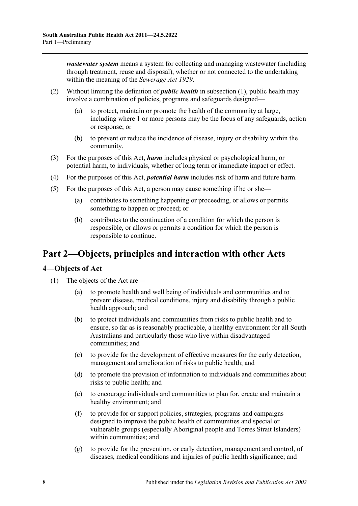*wastewater system* means a system for collecting and managing wastewater (including through treatment, reuse and disposal), whether or not connected to the undertaking within the meaning of the *[Sewerage Act](http://www.legislation.sa.gov.au/index.aspx?action=legref&type=act&legtitle=Sewerage%20Act%201929) 1929*.

- (2) Without limiting the definition of *public health* in [subsection](#page-4-3) (1), public health may involve a combination of policies, programs and safeguards designed—
	- (a) to protect, maintain or promote the health of the community at large, including where 1 or more persons may be the focus of any safeguards, action or response; or
	- (b) to prevent or reduce the incidence of disease, injury or disability within the community.
- (3) For the purposes of this Act, *harm* includes physical or psychological harm, or potential harm, to individuals, whether of long term or immediate impact or effect.
- (4) For the purposes of this Act, *potential harm* includes risk of harm and future harm.
- (5) For the purposes of this Act, a person may cause something if he or she—
	- (a) contributes to something happening or proceeding, or allows or permits something to happen or proceed; or
	- (b) contributes to the continuation of a condition for which the person is responsible, or allows or permits a condition for which the person is responsible to continue.

# <span id="page-7-0"></span>**Part 2—Objects, principles and interaction with other Acts**

#### <span id="page-7-1"></span>**4—Objects of Act**

- (1) The objects of the Act are—
	- (a) to promote health and well being of individuals and communities and to prevent disease, medical conditions, injury and disability through a public health approach; and
	- (b) to protect individuals and communities from risks to public health and to ensure, so far as is reasonably practicable, a healthy environment for all South Australians and particularly those who live within disadvantaged communities; and
	- (c) to provide for the development of effective measures for the early detection, management and amelioration of risks to public health; and
	- (d) to promote the provision of information to individuals and communities about risks to public health; and
	- (e) to encourage individuals and communities to plan for, create and maintain a healthy environment; and
	- (f) to provide for or support policies, strategies, programs and campaigns designed to improve the public health of communities and special or vulnerable groups (especially Aboriginal people and Torres Strait Islanders) within communities; and
	- (g) to provide for the prevention, or early detection, management and control, of diseases, medical conditions and injuries of public health significance; and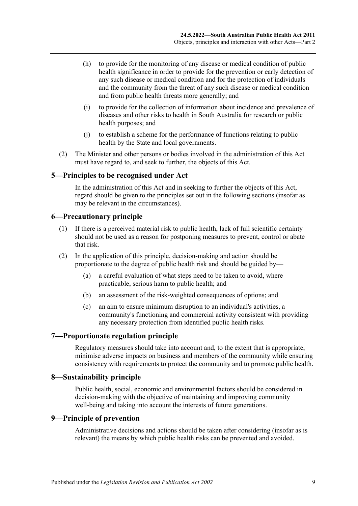- (h) to provide for the monitoring of any disease or medical condition of public health significance in order to provide for the prevention or early detection of any such disease or medical condition and for the protection of individuals and the community from the threat of any such disease or medical condition and from public health threats more generally; and
- (i) to provide for the collection of information about incidence and prevalence of diseases and other risks to health in South Australia for research or public health purposes; and
- (j) to establish a scheme for the performance of functions relating to public health by the State and local governments.
- (2) The Minister and other persons or bodies involved in the administration of this Act must have regard to, and seek to further, the objects of this Act.

#### <span id="page-8-0"></span>**5—Principles to be recognised under Act**

In the administration of this Act and in seeking to further the objects of this Act, regard should be given to the principles set out in the following sections (insofar as may be relevant in the circumstances).

#### <span id="page-8-1"></span>**6—Precautionary principle**

- (1) If there is a perceived material risk to public health, lack of full scientific certainty should not be used as a reason for postponing measures to prevent, control or abate that risk.
- (2) In the application of this principle, decision-making and action should be proportionate to the degree of public health risk and should be guided by—
	- (a) a careful evaluation of what steps need to be taken to avoid, where practicable, serious harm to public health; and
	- (b) an assessment of the risk-weighted consequences of options; and
	- (c) an aim to ensure minimum disruption to an individual's activities, a community's functioning and commercial activity consistent with providing any necessary protection from identified public health risks.

#### <span id="page-8-2"></span>**7—Proportionate regulation principle**

Regulatory measures should take into account and, to the extent that is appropriate, minimise adverse impacts on business and members of the community while ensuring consistency with requirements to protect the community and to promote public health.

#### <span id="page-8-3"></span>**8—Sustainability principle**

Public health, social, economic and environmental factors should be considered in decision-making with the objective of maintaining and improving community well-being and taking into account the interests of future generations.

#### <span id="page-8-4"></span>**9—Principle of prevention**

Administrative decisions and actions should be taken after considering (insofar as is relevant) the means by which public health risks can be prevented and avoided.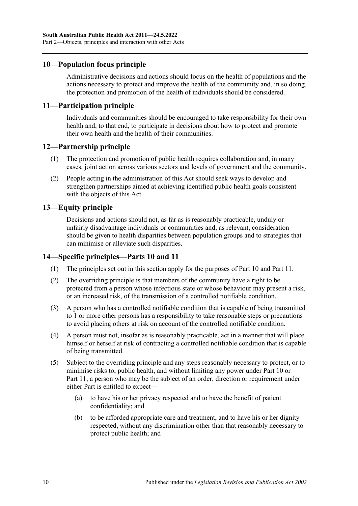### <span id="page-9-0"></span>**10—Population focus principle**

Administrative decisions and actions should focus on the health of populations and the actions necessary to protect and improve the health of the community and, in so doing, the protection and promotion of the health of individuals should be considered.

#### <span id="page-9-1"></span>**11—Participation principle**

Individuals and communities should be encouraged to take responsibility for their own health and, to that end, to participate in decisions about how to protect and promote their own health and the health of their communities.

#### <span id="page-9-2"></span>**12—Partnership principle**

- (1) The protection and promotion of public health requires collaboration and, in many cases, joint action across various sectors and levels of government and the community.
- (2) People acting in the administration of this Act should seek ways to develop and strengthen partnerships aimed at achieving identified public health goals consistent with the objects of this Act.

#### <span id="page-9-3"></span>**13—Equity principle**

Decisions and actions should not, as far as is reasonably practicable, unduly or unfairly disadvantage individuals or communities and, as relevant, consideration should be given to health disparities between population groups and to strategies that can minimise or alleviate such disparities.

#### <span id="page-9-4"></span>**14—Specific principles[—Parts](#page-41-0) 10 and [11](#page-54-2)**

- (1) The principles set out in this section apply for the purposes of [Part](#page-41-0) 10 and [Part](#page-54-2) 11.
- (2) The overriding principle is that members of the community have a right to be protected from a person whose infectious state or whose behaviour may present a risk, or an increased risk, of the transmission of a controlled notifiable condition.
- (3) A person who has a controlled notifiable condition that is capable of being transmitted to 1 or more other persons has a responsibility to take reasonable steps or precautions to avoid placing others at risk on account of the controlled notifiable condition.
- (4) A person must not, insofar as is reasonably practicable, act in a manner that will place himself or herself at risk of contracting a controlled notifiable condition that is capable of being transmitted.
- (5) Subject to the overriding principle and any steps reasonably necessary to protect, or to minimise risks to, public health, and without limiting any power under [Part](#page-41-0) 10 or [Part](#page-54-2) 11, a person who may be the subject of an order, direction or requirement under either Part is entitled to expect—
	- (a) to have his or her privacy respected and to have the benefit of patient confidentiality; and
	- (b) to be afforded appropriate care and treatment, and to have his or her dignity respected, without any discrimination other than that reasonably necessary to protect public health; and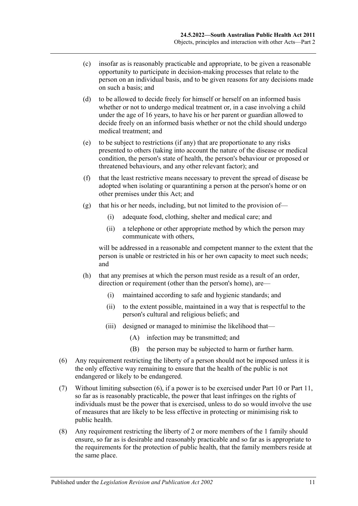- (c) insofar as is reasonably practicable and appropriate, to be given a reasonable opportunity to participate in decision-making processes that relate to the person on an individual basis, and to be given reasons for any decisions made on such a basis; and
- (d) to be allowed to decide freely for himself or herself on an informed basis whether or not to undergo medical treatment or, in a case involving a child under the age of 16 years, to have his or her parent or guardian allowed to decide freely on an informed basis whether or not the child should undergo medical treatment; and
- (e) to be subject to restrictions (if any) that are proportionate to any risks presented to others (taking into account the nature of the disease or medical condition, the person's state of health, the person's behaviour or proposed or threatened behaviours, and any other relevant factor); and
- (f) that the least restrictive means necessary to prevent the spread of disease be adopted when isolating or quarantining a person at the person's home or on other premises under this Act; and
- (g) that his or her needs, including, but not limited to the provision of—
	- (i) adequate food, clothing, shelter and medical care; and
	- (ii) a telephone or other appropriate method by which the person may communicate with others,

will be addressed in a reasonable and competent manner to the extent that the person is unable or restricted in his or her own capacity to meet such needs; and

- (h) that any premises at which the person must reside as a result of an order, direction or requirement (other than the person's home), are—
	- (i) maintained according to safe and hygienic standards; and
	- (ii) to the extent possible, maintained in a way that is respectful to the person's cultural and religious beliefs; and
	- (iii) designed or managed to minimise the likelihood that—
		- (A) infection may be transmitted; and
		- (B) the person may be subjected to harm or further harm.
- <span id="page-10-0"></span>(6) Any requirement restricting the liberty of a person should not be imposed unless it is the only effective way remaining to ensure that the health of the public is not endangered or likely to be endangered.
- (7) Without limiting [subsection](#page-10-0) (6), if a power is to be exercised under [Part](#page-41-0) 10 or [Part](#page-54-2) 11, so far as is reasonably practicable, the power that least infringes on the rights of individuals must be the power that is exercised, unless to do so would involve the use of measures that are likely to be less effective in protecting or minimising risk to public health.
- (8) Any requirement restricting the liberty of 2 or more members of the 1 family should ensure, so far as is desirable and reasonably practicable and so far as is appropriate to the requirements for the protection of public health, that the family members reside at the same place.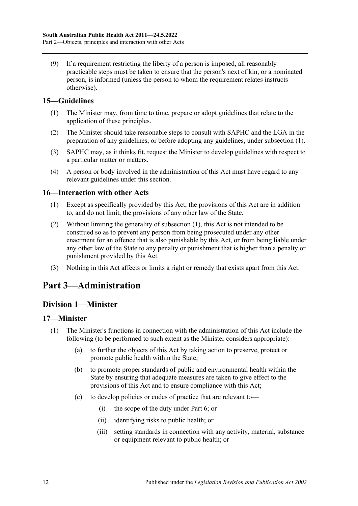(9) If a requirement restricting the liberty of a person is imposed, all reasonably practicable steps must be taken to ensure that the person's next of kin, or a nominated person, is informed (unless the person to whom the requirement relates instructs otherwise).

# <span id="page-11-5"></span><span id="page-11-0"></span>**15—Guidelines**

- (1) The Minister may, from time to time, prepare or adopt guidelines that relate to the application of these principles.
- (2) The Minister should take reasonable steps to consult with SAPHC and the LGA in the preparation of any guidelines, or before adopting any guidelines, under [subsection](#page-11-5) (1).
- (3) SAPHC may, as it thinks fit, request the Minister to develop guidelines with respect to a particular matter or matters.
- (4) A person or body involved in the administration of this Act must have regard to any relevant guidelines under this section.

## <span id="page-11-6"></span><span id="page-11-1"></span>**16—Interaction with other Acts**

- (1) Except as specifically provided by this Act, the provisions of this Act are in addition to, and do not limit, the provisions of any other law of the State.
- (2) Without limiting the generality of [subsection](#page-11-6) (1), this Act is not intended to be construed so as to prevent any person from being prosecuted under any other enactment for an offence that is also punishable by this Act, or from being liable under any other law of the State to any penalty or punishment that is higher than a penalty or punishment provided by this Act.
- (3) Nothing in this Act affects or limits a right or remedy that exists apart from this Act.

# <span id="page-11-2"></span>**Part 3—Administration**

# <span id="page-11-3"></span>**Division 1—Minister**

#### <span id="page-11-4"></span>**17—Minister**

- (1) The Minister's functions in connection with the administration of this Act include the following (to be performed to such extent as the Minister considers appropriate):
	- (a) to further the objects of this Act by taking action to preserve, protect or promote public health within the State;
	- (b) to promote proper standards of public and environmental health within the State by ensuring that adequate measures are taken to give effect to the provisions of this Act and to ensure compliance with this Act;
	- (c) to develop policies or codes of practice that are relevant to—
		- (i) the scope of the duty under [Part](#page-32-1) 6; or
		- (ii) identifying risks to public health; or
		- (iii) setting standards in connection with any activity, material, substance or equipment relevant to public health; or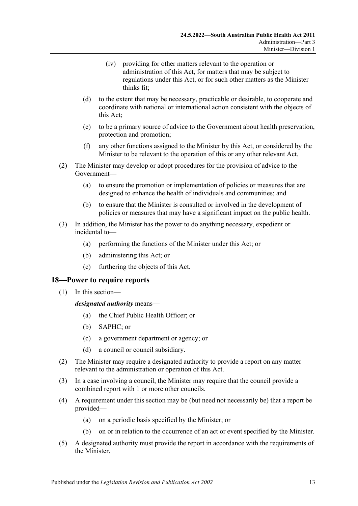- (iv) providing for other matters relevant to the operation or administration of this Act, for matters that may be subject to regulations under this Act, or for such other matters as the Minister thinks fit;
- (d) to the extent that may be necessary, practicable or desirable, to cooperate and coordinate with national or international action consistent with the objects of this Act;
- (e) to be a primary source of advice to the Government about health preservation, protection and promotion;
- (f) any other functions assigned to the Minister by this Act, or considered by the Minister to be relevant to the operation of this or any other relevant Act.
- (2) The Minister may develop or adopt procedures for the provision of advice to the Government—
	- (a) to ensure the promotion or implementation of policies or measures that are designed to enhance the health of individuals and communities; and
	- (b) to ensure that the Minister is consulted or involved in the development of policies or measures that may have a significant impact on the public health.
- (3) In addition, the Minister has the power to do anything necessary, expedient or incidental to—
	- (a) performing the functions of the Minister under this Act; or
	- (b) administering this Act; or
	- (c) furthering the objects of this Act.

#### <span id="page-12-0"></span>**18—Power to require reports**

(1) In this section—

*designated authority* means—

- (a) the Chief Public Health Officer; or
- (b) SAPHC; or
- (c) a government department or agency; or
- (d) a council or council subsidiary.
- (2) The Minister may require a designated authority to provide a report on any matter relevant to the administration or operation of this Act.
- (3) In a case involving a council, the Minister may require that the council provide a combined report with 1 or more other councils.
- (4) A requirement under this section may be (but need not necessarily be) that a report be provided—
	- (a) on a periodic basis specified by the Minister; or
	- (b) on or in relation to the occurrence of an act or event specified by the Minister.
- (5) A designated authority must provide the report in accordance with the requirements of the Minister.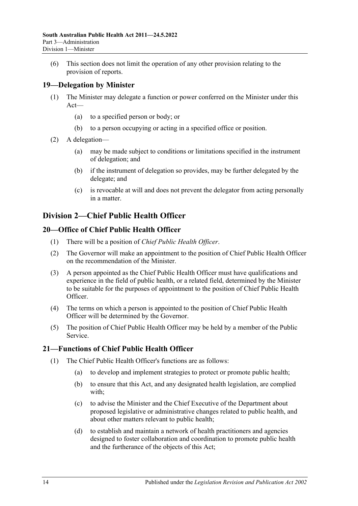(6) This section does not limit the operation of any other provision relating to the provision of reports.

## <span id="page-13-0"></span>**19—Delegation by Minister**

- (1) The Minister may delegate a function or power conferred on the Minister under this Act—
	- (a) to a specified person or body; or
	- (b) to a person occupying or acting in a specified office or position.
- (2) A delegation—
	- (a) may be made subject to conditions or limitations specified in the instrument of delegation; and
	- (b) if the instrument of delegation so provides, may be further delegated by the delegate; and
	- (c) is revocable at will and does not prevent the delegator from acting personally in a matter.

# <span id="page-13-1"></span>**Division 2—Chief Public Health Officer**

## <span id="page-13-2"></span>**20—Office of Chief Public Health Officer**

- (1) There will be a position of *Chief Public Health Officer*.
- (2) The Governor will make an appointment to the position of Chief Public Health Officer on the recommendation of the Minister.
- (3) A person appointed as the Chief Public Health Officer must have qualifications and experience in the field of public health, or a related field, determined by the Minister to be suitable for the purposes of appointment to the position of Chief Public Health Officer.
- (4) The terms on which a person is appointed to the position of Chief Public Health Officer will be determined by the Governor.
- (5) The position of Chief Public Health Officer may be held by a member of the Public Service.

# <span id="page-13-4"></span><span id="page-13-3"></span>**21—Functions of Chief Public Health Officer**

- (1) The Chief Public Health Officer's functions are as follows:
	- (a) to develop and implement strategies to protect or promote public health;
	- (b) to ensure that this Act, and any designated health legislation, are complied with;
	- (c) to advise the Minister and the Chief Executive of the Department about proposed legislative or administrative changes related to public health, and about other matters relevant to public health;
	- (d) to establish and maintain a network of health practitioners and agencies designed to foster collaboration and coordination to promote public health and the furtherance of the objects of this Act;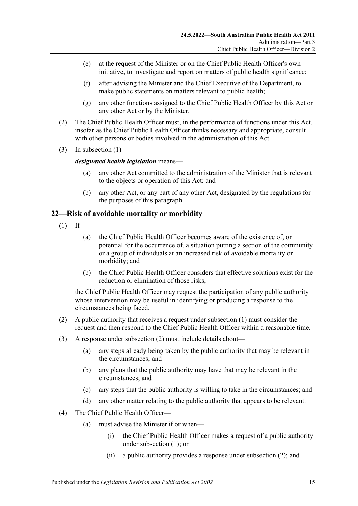- (e) at the request of the Minister or on the Chief Public Health Officer's own initiative, to investigate and report on matters of public health significance;
- (f) after advising the Minister and the Chief Executive of the Department, to make public statements on matters relevant to public health;
- (g) any other functions assigned to the Chief Public Health Officer by this Act or any other Act or by the Minister.
- (2) The Chief Public Health Officer must, in the performance of functions under this Act, insofar as the Chief Public Health Officer thinks necessary and appropriate, consult with other persons or bodies involved in the administration of this Act.
- (3) In [subsection](#page-13-4)  $(1)$ —

#### *designated health legislation* means—

- (a) any other Act committed to the administration of the Minister that is relevant to the objects or operation of this Act; and
- (b) any other Act, or any part of any other Act, designated by the regulations for the purposes of this paragraph.

## <span id="page-14-1"></span><span id="page-14-0"></span>**22—Risk of avoidable mortality or morbidity**

- $(1)$  If—
	- (a) the Chief Public Health Officer becomes aware of the existence of, or potential for the occurrence of, a situation putting a section of the community or a group of individuals at an increased risk of avoidable mortality or morbidity; and
	- (b) the Chief Public Health Officer considers that effective solutions exist for the reduction or elimination of those risks,

the Chief Public Health Officer may request the participation of any public authority whose intervention may be useful in identifying or producing a response to the circumstances being faced.

- <span id="page-14-2"></span>(2) A public authority that receives a request under [subsection](#page-14-1) (1) must consider the request and then respond to the Chief Public Health Officer within a reasonable time.
- (3) A response under [subsection](#page-14-2) (2) must include details about—
	- (a) any steps already being taken by the public authority that may be relevant in the circumstances; and
	- (b) any plans that the public authority may have that may be relevant in the circumstances; and
	- (c) any steps that the public authority is willing to take in the circumstances; and
	- (d) any other matter relating to the public authority that appears to be relevant.
- <span id="page-14-3"></span>(4) The Chief Public Health Officer—
	- (a) must advise the Minister if or when—
		- (i) the Chief Public Health Officer makes a request of a public authority under [subsection](#page-14-1) (1); or
		- (ii) a public authority provides a response under [subsection](#page-14-2) (2); and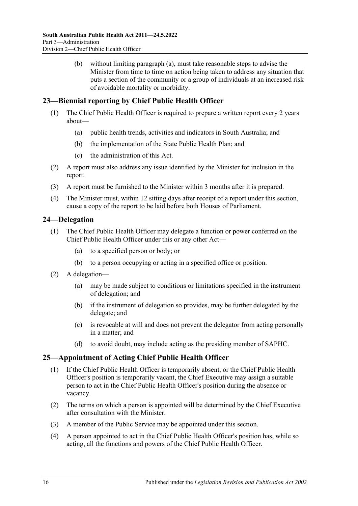(b) without limiting [paragraph](#page-14-3) (a), must take reasonable steps to advise the Minister from time to time on action being taken to address any situation that puts a section of the community or a group of individuals at an increased risk of avoidable mortality or morbidity.

# <span id="page-15-0"></span>**23—Biennial reporting by Chief Public Health Officer**

- (1) The Chief Public Health Officer is required to prepare a written report every 2 years about—
	- (a) public health trends, activities and indicators in South Australia; and
	- (b) the implementation of the State Public Health Plan; and
	- (c) the administration of this Act.
- (2) A report must also address any issue identified by the Minister for inclusion in the report.
- (3) A report must be furnished to the Minister within 3 months after it is prepared.
- (4) The Minister must, within 12 sitting days after receipt of a report under this section, cause a copy of the report to be laid before both Houses of Parliament.

## <span id="page-15-1"></span>**24—Delegation**

- (1) The Chief Public Health Officer may delegate a function or power conferred on the Chief Public Health Officer under this or any other Act—
	- (a) to a specified person or body; or
	- (b) to a person occupying or acting in a specified office or position.
- (2) A delegation—
	- (a) may be made subject to conditions or limitations specified in the instrument of delegation; and
	- (b) if the instrument of delegation so provides, may be further delegated by the delegate; and
	- (c) is revocable at will and does not prevent the delegator from acting personally in a matter; and
	- (d) to avoid doubt, may include acting as the presiding member of SAPHC.

# <span id="page-15-2"></span>**25—Appointment of Acting Chief Public Health Officer**

- (1) If the Chief Public Health Officer is temporarily absent, or the Chief Public Health Officer's position is temporarily vacant, the Chief Executive may assign a suitable person to act in the Chief Public Health Officer's position during the absence or vacancy.
- (2) The terms on which a person is appointed will be determined by the Chief Executive after consultation with the Minister.
- (3) A member of the Public Service may be appointed under this section.
- (4) A person appointed to act in the Chief Public Health Officer's position has, while so acting, all the functions and powers of the Chief Public Health Officer.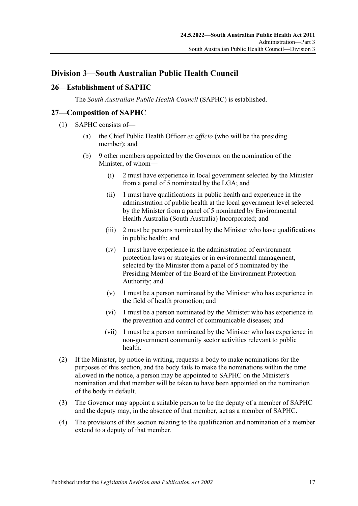# <span id="page-16-0"></span>**Division 3—South Australian Public Health Council**

# <span id="page-16-1"></span>**26—Establishment of SAPHC**

The *South Australian Public Health Council* (SAPHC) is established.

#### <span id="page-16-2"></span>**27—Composition of SAPHC**

- (1) SAPHC consists of—
	- (a) the Chief Public Health Officer *ex officio* (who will be the presiding member); and
	- (b) 9 other members appointed by the Governor on the nomination of the Minister, of whom—
		- (i) 2 must have experience in local government selected by the Minister from a panel of 5 nominated by the LGA; and
		- (ii) 1 must have qualifications in public health and experience in the administration of public health at the local government level selected by the Minister from a panel of 5 nominated by Environmental Health Australia (South Australia) Incorporated; and
		- (iii) 2 must be persons nominated by the Minister who have qualifications in public health; and
		- (iv) 1 must have experience in the administration of environment protection laws or strategies or in environmental management, selected by the Minister from a panel of 5 nominated by the Presiding Member of the Board of the Environment Protection Authority; and
		- (v) 1 must be a person nominated by the Minister who has experience in the field of health promotion; and
		- (vi) 1 must be a person nominated by the Minister who has experience in the prevention and control of communicable diseases; and
		- (vii) 1 must be a person nominated by the Minister who has experience in non-government community sector activities relevant to public health.
- (2) If the Minister, by notice in writing, requests a body to make nominations for the purposes of this section, and the body fails to make the nominations within the time allowed in the notice, a person may be appointed to SAPHC on the Minister's nomination and that member will be taken to have been appointed on the nomination of the body in default.
- (3) The Governor may appoint a suitable person to be the deputy of a member of SAPHC and the deputy may, in the absence of that member, act as a member of SAPHC.
- (4) The provisions of this section relating to the qualification and nomination of a member extend to a deputy of that member.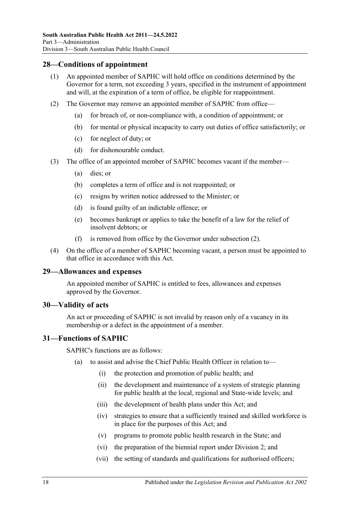### <span id="page-17-0"></span>**28—Conditions of appointment**

- (1) An appointed member of SAPHC will hold office on conditions determined by the Governor for a term, not exceeding 3 years, specified in the instrument of appointment and will, at the expiration of a term of office, be eligible for reappointment.
- <span id="page-17-4"></span>(2) The Governor may remove an appointed member of SAPHC from office—
	- (a) for breach of, or non-compliance with, a condition of appointment; or
	- (b) for mental or physical incapacity to carry out duties of office satisfactorily; or
	- (c) for neglect of duty; or
	- (d) for dishonourable conduct.
- (3) The office of an appointed member of SAPHC becomes vacant if the member—
	- (a) dies; or
	- (b) completes a term of office and is not reappointed; or
	- (c) resigns by written notice addressed to the Minister; or
	- (d) is found guilty of an indictable offence; or
	- (e) becomes bankrupt or applies to take the benefit of a law for the relief of insolvent debtors; or
	- (f) is removed from office by the Governor under [subsection](#page-17-4) (2).
- (4) On the office of a member of SAPHC becoming vacant, a person must be appointed to that office in accordance with this Act.

#### <span id="page-17-1"></span>**29—Allowances and expenses**

An appointed member of SAPHC is entitled to fees, allowances and expenses approved by the Governor.

#### <span id="page-17-2"></span>**30—Validity of acts**

An act or proceeding of SAPHC is not invalid by reason only of a vacancy in its membership or a defect in the appointment of a member.

#### <span id="page-17-3"></span>**31—Functions of SAPHC**

SAPHC's functions are as follows:

- (a) to assist and advise the Chief Public Health Officer in relation to—
	- (i) the protection and promotion of public health; and
	- (ii) the development and maintenance of a system of strategic planning for public health at the local, regional and State-wide levels; and
	- (iii) the development of health plans under this Act; and
	- (iv) strategies to ensure that a sufficiently trained and skilled workforce is in place for the purposes of this Act; and
	- (v) programs to promote public health research in the State; and
	- (vi) the preparation of the biennial report under [Division](#page-13-1) 2; and
	- (vii) the setting of standards and qualifications for authorised officers;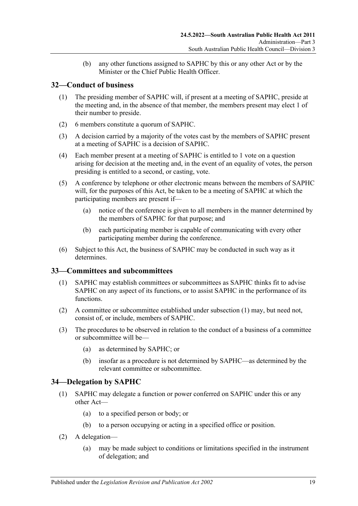(b) any other functions assigned to SAPHC by this or any other Act or by the Minister or the Chief Public Health Officer.

# <span id="page-18-0"></span>**32—Conduct of business**

- (1) The presiding member of SAPHC will, if present at a meeting of SAPHC, preside at the meeting and, in the absence of that member, the members present may elect 1 of their number to preside.
- (2) 6 members constitute a quorum of SAPHC.
- (3) A decision carried by a majority of the votes cast by the members of SAPHC present at a meeting of SAPHC is a decision of SAPHC.
- (4) Each member present at a meeting of SAPHC is entitled to 1 vote on a question arising for decision at the meeting and, in the event of an equality of votes, the person presiding is entitled to a second, or casting, vote.
- (5) A conference by telephone or other electronic means between the members of SAPHC will, for the purposes of this Act, be taken to be a meeting of SAPHC at which the participating members are present if—
	- (a) notice of the conference is given to all members in the manner determined by the members of SAPHC for that purpose; and
	- (b) each participating member is capable of communicating with every other participating member during the conference.
- (6) Subject to this Act, the business of SAPHC may be conducted in such way as it determines.

# <span id="page-18-3"></span><span id="page-18-1"></span>**33—Committees and subcommittees**

- (1) SAPHC may establish committees or subcommittees as SAPHC thinks fit to advise SAPHC on any aspect of its functions, or to assist SAPHC in the performance of its functions.
- (2) A committee or subcommittee established under [subsection](#page-18-3) (1) may, but need not, consist of, or include, members of SAPHC.
- (3) The procedures to be observed in relation to the conduct of a business of a committee or subcommittee will be—
	- (a) as determined by SAPHC; or
	- (b) insofar as a procedure is not determined by SAPHC—as determined by the relevant committee or subcommittee.

# <span id="page-18-2"></span>**34—Delegation by SAPHC**

- (1) SAPHC may delegate a function or power conferred on SAPHC under this or any other Act—
	- (a) to a specified person or body; or
	- (b) to a person occupying or acting in a specified office or position.
- (2) A delegation—
	- (a) may be made subject to conditions or limitations specified in the instrument of delegation; and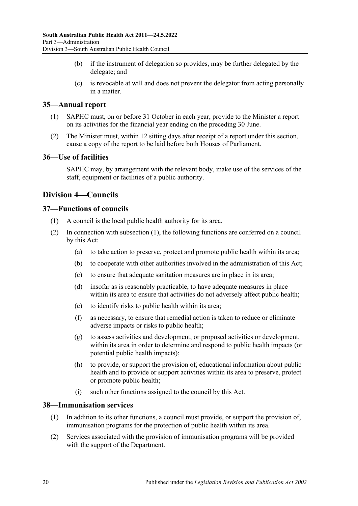- (b) if the instrument of delegation so provides, may be further delegated by the delegate; and
- (c) is revocable at will and does not prevent the delegator from acting personally in a matter.

## <span id="page-19-0"></span>**35—Annual report**

- (1) SAPHC must, on or before 31 October in each year, provide to the Minister a report on its activities for the financial year ending on the preceding 30 June.
- (2) The Minister must, within 12 sitting days after receipt of a report under this section, cause a copy of the report to be laid before both Houses of Parliament.

#### <span id="page-19-1"></span>**36—Use of facilities**

SAPHC may, by arrangement with the relevant body, make use of the services of the staff, equipment or facilities of a public authority.

# <span id="page-19-2"></span>**Division 4—Councils**

### <span id="page-19-5"></span><span id="page-19-3"></span>**37—Functions of councils**

- (1) A council is the local public health authority for its area.
- (2) In connection with [subsection](#page-19-5) (1), the following functions are conferred on a council by this Act:
	- (a) to take action to preserve, protect and promote public health within its area;
	- (b) to cooperate with other authorities involved in the administration of this Act;
	- (c) to ensure that adequate sanitation measures are in place in its area;
	- (d) insofar as is reasonably practicable, to have adequate measures in place within its area to ensure that activities do not adversely affect public health;
	- (e) to identify risks to public health within its area;
	- (f) as necessary, to ensure that remedial action is taken to reduce or eliminate adverse impacts or risks to public health;
	- (g) to assess activities and development, or proposed activities or development, within its area in order to determine and respond to public health impacts (or potential public health impacts);
	- (h) to provide, or support the provision of, educational information about public health and to provide or support activities within its area to preserve, protect or promote public health;
	- (i) such other functions assigned to the council by this Act.

#### <span id="page-19-4"></span>**38—Immunisation services**

- (1) In addition to its other functions, a council must provide, or support the provision of, immunisation programs for the protection of public health within its area.
- (2) Services associated with the provision of immunisation programs will be provided with the support of the Department.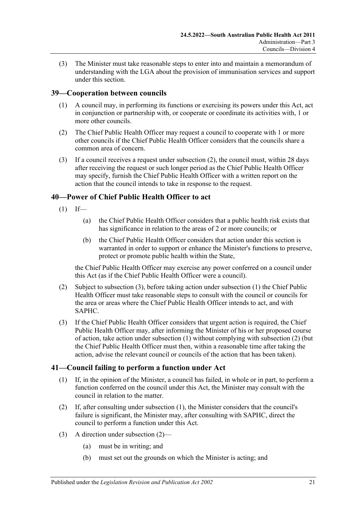(3) The Minister must take reasonable steps to enter into and maintain a memorandum of understanding with the LGA about the provision of immunisation services and support under this section.

## <span id="page-20-0"></span>**39—Cooperation between councils**

- (1) A council may, in performing its functions or exercising its powers under this Act, act in conjunction or partnership with, or cooperate or coordinate its activities with, 1 or more other councils.
- <span id="page-20-3"></span>(2) The Chief Public Health Officer may request a council to cooperate with 1 or more other councils if the Chief Public Health Officer considers that the councils share a common area of concern.
- (3) If a council receives a request under [subsection](#page-20-3) (2), the council must, within 28 days after receiving the request or such longer period as the Chief Public Health Officer may specify, furnish the Chief Public Health Officer with a written report on the action that the council intends to take in response to the request.

## <span id="page-20-5"></span><span id="page-20-1"></span>**40—Power of Chief Public Health Officer to act**

- $(1)$  If—
	- (a) the Chief Public Health Officer considers that a public health risk exists that has significance in relation to the areas of 2 or more councils; or
	- (b) the Chief Public Health Officer considers that action under this section is warranted in order to support or enhance the Minister's functions to preserve, protect or promote public health within the State,

the Chief Public Health Officer may exercise any power conferred on a council under this Act (as if the Chief Public Health Officer were a council).

- <span id="page-20-6"></span>(2) Subject to [subsection](#page-20-4) (3), before taking action under [subsection](#page-20-5) (1) the Chief Public Health Officer must take reasonable steps to consult with the council or councils for the area or areas where the Chief Public Health Officer intends to act, and with SAPHC.
- <span id="page-20-4"></span>(3) If the Chief Public Health Officer considers that urgent action is required, the Chief Public Health Officer may, after informing the Minister of his or her proposed course of action, take action under [subsection](#page-20-5) (1) without complying with [subsection](#page-20-6) (2) (but the Chief Public Health Officer must then, within a reasonable time after taking the action, advise the relevant council or councils of the action that has been taken).

#### <span id="page-20-7"></span><span id="page-20-2"></span>**41—Council failing to perform a function under Act**

- (1) If, in the opinion of the Minister, a council has failed, in whole or in part, to perform a function conferred on the council under this Act, the Minister may consult with the council in relation to the matter.
- <span id="page-20-8"></span>(2) If, after consulting under [subsection](#page-20-7) (1), the Minister considers that the council's failure is significant, the Minister may, after consulting with SAPHC, direct the council to perform a function under this Act.
- (3) A direction under [subsection](#page-20-8) (2)—
	- (a) must be in writing; and
	- (b) must set out the grounds on which the Minister is acting; and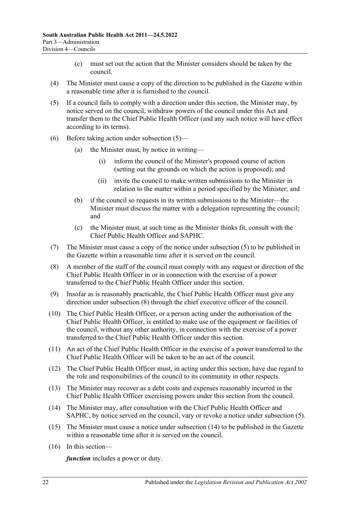- (c) must set out the action that the Minister considers should be taken by the council.
- (4) The Minister must cause a copy of the direction to be published in the Gazette within a reasonable time after it is furnished to the council.
- <span id="page-21-0"></span>(5) If a council fails to comply with a direction under this section, the Minister may, by notice served on the council, withdraw powers of the council under this Act and transfer them to the Chief Public Health Officer (and any such notice will have effect according to its terms).
- (6) Before taking action under [subsection](#page-21-0) (5)—
	- (a) the Minister must, by notice in writing—
		- (i) inform the council of the Minister's proposed course of action (setting out the grounds on which the action is proposed); and
		- (ii) invite the council to make written submissions to the Minister in relation to the matter within a period specified by the Minister; and
	- (b) if the council so requests in its written submissions to the Minister—the Minister must discuss the matter with a delegation representing the council; and
	- (c) the Minister must, at such time as the Minister thinks fit, consult with the Chief Public Health Officer and SAPHC.
- (7) The Minister must cause a copy of the notice under [subsection](#page-21-0) (5) to be published in the Gazette within a reasonable time after it is served on the council.
- <span id="page-21-1"></span>(8) A member of the staff of the council must comply with any request or direction of the Chief Public Health Officer in or in connection with the exercise of a power transferred to the Chief Public Health Officer under this section.
- (9) Insofar as is reasonably practicable, the Chief Public Health Officer must give any direction under [subsection](#page-21-1) (8) through the chief executive officer of the council.
- (10) The Chief Public Health Officer, or a person acting under the authorisation of the Chief Public Health Officer, is entitled to make use of the equipment or facilities of the council, without any other authority, in connection with the exercise of a power transferred to the Chief Public Health Officer under this section.
- (11) An act of the Chief Public Health Officer in the exercise of a power transferred to the Chief Public Health Officer will be taken to be an act of the council.
- (12) The Chief Public Health Officer must, in acting under this section, have due regard to the role and responsibilities of the council to its community in other respects.
- (13) The Minister may recover as a debt costs and expenses reasonably incurred in the Chief Public Health Officer exercising powers under this section from the council.
- <span id="page-21-2"></span>(14) The Minister may, after consultation with the Chief Public Health Officer and SAPHC, by notice served on the council, vary or revoke a notice under [subsection](#page-21-0) (5).
- (15) The Minister must cause a notice under [subsection](#page-21-2) (14) to be published in the Gazette within a reasonable time after it is served on the council.
- (16) In this section—

*function* includes a power or duty.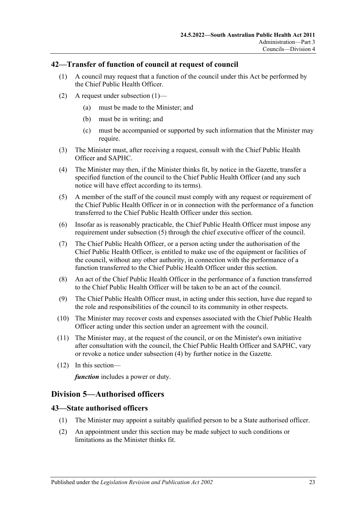#### <span id="page-22-3"></span><span id="page-22-0"></span>**42—Transfer of function of council at request of council**

- (1) A council may request that a function of the council under this Act be performed by the Chief Public Health Officer.
- (2) A request under [subsection](#page-22-3)  $(1)$ 
	- (a) must be made to the Minister; and
	- (b) must be in writing; and
	- (c) must be accompanied or supported by such information that the Minister may require.
- (3) The Minister must, after receiving a request, consult with the Chief Public Health Officer and SAPHC.
- <span id="page-22-5"></span>(4) The Minister may then, if the Minister thinks fit, by notice in the Gazette, transfer a specified function of the council to the Chief Public Health Officer (and any such notice will have effect according to its terms).
- <span id="page-22-4"></span>(5) A member of the staff of the council must comply with any request or requirement of the Chief Public Health Officer in or in connection with the performance of a function transferred to the Chief Public Health Officer under this section.
- (6) Insofar as is reasonably practicable, the Chief Public Health Officer must impose any requirement under [subsection](#page-22-4) (5) through the chief executive officer of the council.
- (7) The Chief Public Health Officer, or a person acting under the authorisation of the Chief Public Health Officer, is entitled to make use of the equipment or facilities of the council, without any other authority, in connection with the performance of a function transferred to the Chief Public Health Officer under this section.
- (8) An act of the Chief Public Health Officer in the performance of a function transferred to the Chief Public Health Officer will be taken to be an act of the council.
- (9) The Chief Public Health Officer must, in acting under this section, have due regard to the role and responsibilities of the council to its community in other respects.
- (10) The Minister may recover costs and expenses associated with the Chief Public Health Officer acting under this section under an agreement with the council.
- (11) The Minister may, at the request of the council, or on the Minister's own initiative after consultation with the council, the Chief Public Health Officer and SAPHC, vary or revoke a notice under [subsection](#page-22-5) (4) by further notice in the Gazette.
- (12) In this section—

*function* includes a power or duty.

# <span id="page-22-1"></span>**Division 5—Authorised officers**

#### <span id="page-22-2"></span>**43—State authorised officers**

- (1) The Minister may appoint a suitably qualified person to be a State authorised officer.
- <span id="page-22-6"></span>(2) An appointment under this section may be made subject to such conditions or limitations as the Minister thinks fit.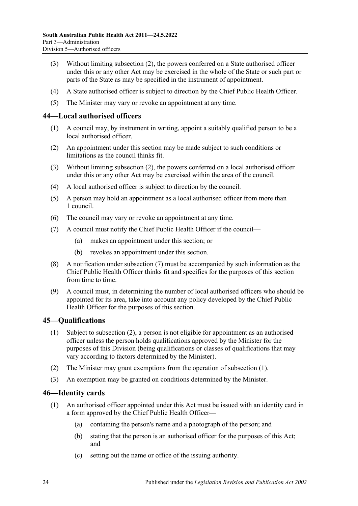- (3) Without limiting [subsection](#page-22-6) (2), the powers conferred on a State authorised officer under this or any other Act may be exercised in the whole of the State or such part or parts of the State as may be specified in the instrument of appointment.
- (4) A State authorised officer is subject to direction by the Chief Public Health Officer.
- (5) The Minister may vary or revoke an appointment at any time.

### <span id="page-23-0"></span>**44—Local authorised officers**

- (1) A council may, by instrument in writing, appoint a suitably qualified person to be a local authorised officer.
- <span id="page-23-3"></span>(2) An appointment under this section may be made subject to such conditions or limitations as the council thinks fit.
- (3) Without limiting [subsection](#page-23-3) (2), the powers conferred on a local authorised officer under this or any other Act may be exercised within the area of the council.
- (4) A local authorised officer is subject to direction by the council.
- (5) A person may hold an appointment as a local authorised officer from more than 1 council.
- (6) The council may vary or revoke an appointment at any time.
- <span id="page-23-4"></span>(7) A council must notify the Chief Public Health Officer if the council—
	- (a) makes an appointment under this section; or
	- (b) revokes an appointment under this section.
- (8) A notification under [subsection](#page-23-4) (7) must be accompanied by such information as the Chief Public Health Officer thinks fit and specifies for the purposes of this section from time to time.
- (9) A council must, in determining the number of local authorised officers who should be appointed for its area, take into account any policy developed by the Chief Public Health Officer for the purposes of this section.

# <span id="page-23-6"></span><span id="page-23-1"></span>**45—Qualifications**

- (1) Subject to [subsection](#page-23-5) (2), a person is not eligible for appointment as an authorised officer unless the person holds qualifications approved by the Minister for the purposes of this Division (being qualifications or classes of qualifications that may vary according to factors determined by the Minister).
- <span id="page-23-5"></span>(2) The Minister may grant exemptions from the operation of [subsection](#page-23-6) (1).
- (3) An exemption may be granted on conditions determined by the Minister.

# <span id="page-23-2"></span>**46—Identity cards**

- (1) An authorised officer appointed under this Act must be issued with an identity card in a form approved by the Chief Public Health Officer—
	- (a) containing the person's name and a photograph of the person; and
	- (b) stating that the person is an authorised officer for the purposes of this Act; and
	- (c) setting out the name or office of the issuing authority.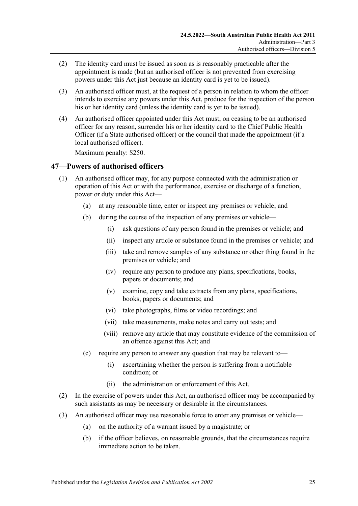- (2) The identity card must be issued as soon as is reasonably practicable after the appointment is made (but an authorised officer is not prevented from exercising powers under this Act just because an identity card is yet to be issued).
- (3) An authorised officer must, at the request of a person in relation to whom the officer intends to exercise any powers under this Act, produce for the inspection of the person his or her identity card (unless the identity card is yet to be issued).
- (4) An authorised officer appointed under this Act must, on ceasing to be an authorised officer for any reason, surrender his or her identity card to the Chief Public Health Officer (if a State authorised officer) or the council that made the appointment (if a local authorised officer).

Maximum penalty: \$250.

#### <span id="page-24-0"></span>**47—Powers of authorised officers**

- (1) An authorised officer may, for any purpose connected with the administration or operation of this Act or with the performance, exercise or discharge of a function, power or duty under this Act—
	- (a) at any reasonable time, enter or inspect any premises or vehicle; and
	- (b) during the course of the inspection of any premises or vehicle—
		- (i) ask questions of any person found in the premises or vehicle; and
		- (ii) inspect any article or substance found in the premises or vehicle; and
		- (iii) take and remove samples of any substance or other thing found in the premises or vehicle; and
		- (iv) require any person to produce any plans, specifications, books, papers or documents; and
		- (v) examine, copy and take extracts from any plans, specifications, books, papers or documents; and
		- (vi) take photographs, films or video recordings; and
		- (vii) take measurements, make notes and carry out tests; and
		- (viii) remove any article that may constitute evidence of the commission of an offence against this Act; and
	- (c) require any person to answer any question that may be relevant to—
		- (i) ascertaining whether the person is suffering from a notifiable condition; or
		- (ii) the administration or enforcement of this Act.
- (2) In the exercise of powers under this Act, an authorised officer may be accompanied by such assistants as may be necessary or desirable in the circumstances.
- <span id="page-24-1"></span>(3) An authorised officer may use reasonable force to enter any premises or vehicle—
	- (a) on the authority of a warrant issued by a magistrate; or
	- (b) if the officer believes, on reasonable grounds, that the circumstances require immediate action to be taken.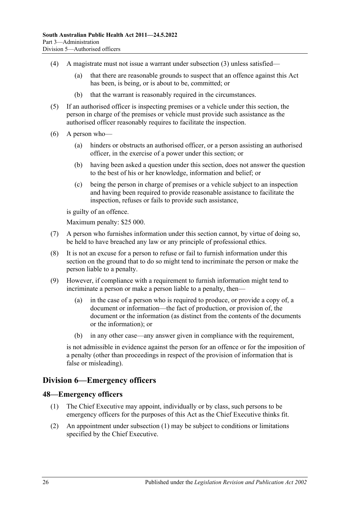- (4) A magistrate must not issue a warrant under [subsection](#page-24-1) (3) unless satisfied—
	- (a) that there are reasonable grounds to suspect that an offence against this Act has been, is being, or is about to be, committed; or
	- (b) that the warrant is reasonably required in the circumstances.
- (5) If an authorised officer is inspecting premises or a vehicle under this section, the person in charge of the premises or vehicle must provide such assistance as the authorised officer reasonably requires to facilitate the inspection.
- (6) A person who—
	- (a) hinders or obstructs an authorised officer, or a person assisting an authorised officer, in the exercise of a power under this section; or
	- (b) having been asked a question under this section, does not answer the question to the best of his or her knowledge, information and belief; or
	- (c) being the person in charge of premises or a vehicle subject to an inspection and having been required to provide reasonable assistance to facilitate the inspection, refuses or fails to provide such assistance,

is guilty of an offence.

Maximum penalty: \$25 000.

- (7) A person who furnishes information under this section cannot, by virtue of doing so, be held to have breached any law or any principle of professional ethics.
- (8) It is not an excuse for a person to refuse or fail to furnish information under this section on the ground that to do so might tend to incriminate the person or make the person liable to a penalty.
- (9) However, if compliance with a requirement to furnish information might tend to incriminate a person or make a person liable to a penalty, then-
	- (a) in the case of a person who is required to produce, or provide a copy of, a document or information—the fact of production, or provision of, the document or the information (as distinct from the contents of the documents or the information); or
	- (b) in any other case—any answer given in compliance with the requirement,

is not admissible in evidence against the person for an offence or for the imposition of a penalty (other than proceedings in respect of the provision of information that is false or misleading).

#### <span id="page-25-0"></span>**Division 6—Emergency officers**

#### <span id="page-25-2"></span><span id="page-25-1"></span>**48—Emergency officers**

- (1) The Chief Executive may appoint, individually or by class, such persons to be emergency officers for the purposes of this Act as the Chief Executive thinks fit.
- (2) An appointment under [subsection](#page-25-2) (1) may be subject to conditions or limitations specified by the Chief Executive.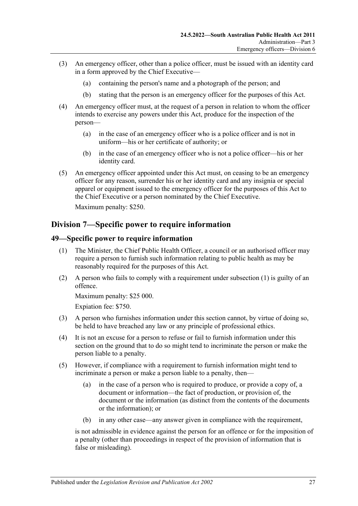- (3) An emergency officer, other than a police officer, must be issued with an identity card in a form approved by the Chief Executive—
	- (a) containing the person's name and a photograph of the person; and
	- (b) stating that the person is an emergency officer for the purposes of this Act.
- (4) An emergency officer must, at the request of a person in relation to whom the officer intends to exercise any powers under this Act, produce for the inspection of the person—
	- (a) in the case of an emergency officer who is a police officer and is not in uniform—his or her certificate of authority; or
	- (b) in the case of an emergency officer who is not a police officer—his or her identity card.
- (5) An emergency officer appointed under this Act must, on ceasing to be an emergency officer for any reason, surrender his or her identity card and any insignia or special apparel or equipment issued to the emergency officer for the purposes of this Act to the Chief Executive or a person nominated by the Chief Executive.

Maximum penalty: \$250.

# <span id="page-26-0"></span>**Division 7—Specific power to require information**

#### <span id="page-26-2"></span><span id="page-26-1"></span>**49—Specific power to require information**

- (1) The Minister, the Chief Public Health Officer, a council or an authorised officer may require a person to furnish such information relating to public health as may be reasonably required for the purposes of this Act.
- (2) A person who fails to comply with a requirement under [subsection](#page-26-2) (1) is guilty of an offence.

Maximum penalty: \$25 000.

Expiation fee: \$750.

- (3) A person who furnishes information under this section cannot, by virtue of doing so, be held to have breached any law or any principle of professional ethics.
- (4) It is not an excuse for a person to refuse or fail to furnish information under this section on the ground that to do so might tend to incriminate the person or make the person liable to a penalty.
- (5) However, if compliance with a requirement to furnish information might tend to incriminate a person or make a person liable to a penalty, then—
	- (a) in the case of a person who is required to produce, or provide a copy of, a document or information—the fact of production, or provision of, the document or the information (as distinct from the contents of the documents or the information); or
	- (b) in any other case—any answer given in compliance with the requirement,

is not admissible in evidence against the person for an offence or for the imposition of a penalty (other than proceedings in respect of the provision of information that is false or misleading).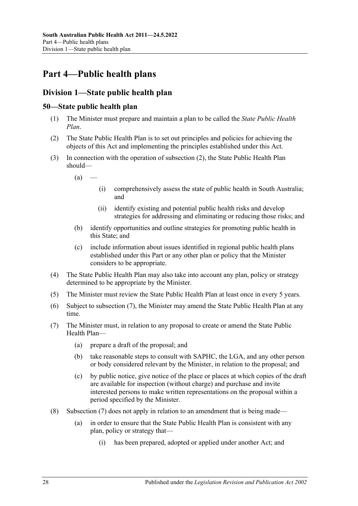# <span id="page-27-0"></span>**Part 4—Public health plans**

# <span id="page-27-1"></span>**Division 1—State public health plan**

# <span id="page-27-2"></span>**50—State public health plan**

- (1) The Minister must prepare and maintain a plan to be called the *State Public Health Plan*.
- <span id="page-27-3"></span>(2) The State Public Health Plan is to set out principles and policies for achieving the objects of this Act and implementing the principles established under this Act.
- (3) In connection with the operation of [subsection](#page-27-3) (2), the State Public Health Plan should—
	- $(a)$ 
		- (i) comprehensively assess the state of public health in South Australia; and
		- (ii) identify existing and potential public health risks and develop strategies for addressing and eliminating or reducing those risks; and
	- (b) identify opportunities and outline strategies for promoting public health in this State; and
	- (c) include information about issues identified in regional public health plans established under this Part or any other plan or policy that the Minister considers to be appropriate.
- (4) The State Public Health Plan may also take into account any plan, policy or strategy determined to be appropriate by the Minister.
- (5) The Minister must review the State Public Health Plan at least once in every 5 years.
- (6) Subject to [subsection](#page-27-4) (7), the Minister may amend the State Public Health Plan at any time.
- <span id="page-27-4"></span>(7) The Minister must, in relation to any proposal to create or amend the State Public Health Plan—
	- (a) prepare a draft of the proposal; and
	- (b) take reasonable steps to consult with SAPHC, the LGA, and any other person or body considered relevant by the Minister, in relation to the proposal; and
	- (c) by public notice, give notice of the place or places at which copies of the draft are available for inspection (without charge) and purchase and invite interested persons to make written representations on the proposal within a period specified by the Minister.
- (8) [Subsection](#page-27-4) (7) does not apply in relation to an amendment that is being made—
	- (a) in order to ensure that the State Public Health Plan is consistent with any plan, policy or strategy that—
		- (i) has been prepared, adopted or applied under another Act; and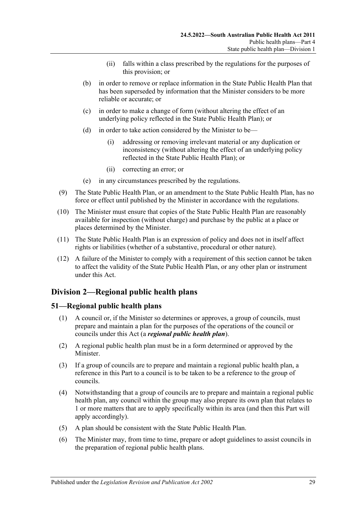- (ii) falls within a class prescribed by the regulations for the purposes of this provision; or
- (b) in order to remove or replace information in the State Public Health Plan that has been superseded by information that the Minister considers to be more reliable or accurate; or
- (c) in order to make a change of form (without altering the effect of an underlying policy reflected in the State Public Health Plan); or
- (d) in order to take action considered by the Minister to be—
	- (i) addressing or removing irrelevant material or any duplication or inconsistency (without altering the effect of an underlying policy reflected in the State Public Health Plan); or
	- (ii) correcting an error; or
- (e) in any circumstances prescribed by the regulations.
- (9) The State Public Health Plan, or an amendment to the State Public Health Plan, has no force or effect until published by the Minister in accordance with the regulations.
- (10) The Minister must ensure that copies of the State Public Health Plan are reasonably available for inspection (without charge) and purchase by the public at a place or places determined by the Minister.
- (11) The State Public Health Plan is an expression of policy and does not in itself affect rights or liabilities (whether of a substantive, procedural or other nature).
- (12) A failure of the Minister to comply with a requirement of this section cannot be taken to affect the validity of the State Public Health Plan, or any other plan or instrument under this Act.

# <span id="page-28-0"></span>**Division 2—Regional public health plans**

# <span id="page-28-1"></span>**51—Regional public health plans**

- (1) A council or, if the Minister so determines or approves, a group of councils, must prepare and maintain a plan for the purposes of the operations of the council or councils under this Act (a *regional public health plan*).
- (2) A regional public health plan must be in a form determined or approved by the Minister.
- (3) If a group of councils are to prepare and maintain a regional public health plan, a reference in this Part to a council is to be taken to be a reference to the group of councils.
- (4) Notwithstanding that a group of councils are to prepare and maintain a regional public health plan, any council within the group may also prepare its own plan that relates to 1 or more matters that are to apply specifically within its area (and then this Part will apply accordingly).
- (5) A plan should be consistent with the State Public Health Plan.
- <span id="page-28-2"></span>(6) The Minister may, from time to time, prepare or adopt guidelines to assist councils in the preparation of regional public health plans.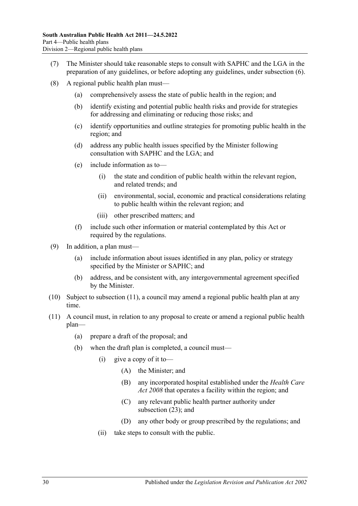- (7) The Minister should take reasonable steps to consult with SAPHC and the LGA in the preparation of any guidelines, or before adopting any guidelines, under [subsection](#page-28-2) (6).
- (8) A regional public health plan must—
	- (a) comprehensively assess the state of public health in the region; and
	- (b) identify existing and potential public health risks and provide for strategies for addressing and eliminating or reducing those risks; and
	- (c) identify opportunities and outline strategies for promoting public health in the region; and
	- (d) address any public health issues specified by the Minister following consultation with SAPHC and the LGA; and
	- (e) include information as to—
		- (i) the state and condition of public health within the relevant region, and related trends; and
		- (ii) environmental, social, economic and practical considerations relating to public health within the relevant region; and
		- (iii) other prescribed matters; and
	- (f) include such other information or material contemplated by this Act or required by the regulations.
- (9) In addition, a plan must—
	- (a) include information about issues identified in any plan, policy or strategy specified by the Minister or SAPHC; and
	- (b) address, and be consistent with, any intergovernmental agreement specified by the Minister.
- (10) Subject to [subsection](#page-29-0) (11), a council may amend a regional public health plan at any time.
- <span id="page-29-0"></span>(11) A council must, in relation to any proposal to create or amend a regional public health plan—
	- (a) prepare a draft of the proposal; and
	- (b) when the draft plan is completed, a council must—
		- $(i)$  give a copy of it to—
			- (A) the Minister; and
			- (B) any incorporated hospital established under the *[Health Care](http://www.legislation.sa.gov.au/index.aspx?action=legref&type=act&legtitle=Health%20Care%20Act%202008)  Act [2008](http://www.legislation.sa.gov.au/index.aspx?action=legref&type=act&legtitle=Health%20Care%20Act%202008)* that operates a facility within the region; and
			- (C) any relevant public health partner authority under [subsection](#page-30-0) (23); and
			- (D) any other body or group prescribed by the regulations; and
		- (ii) take steps to consult with the public.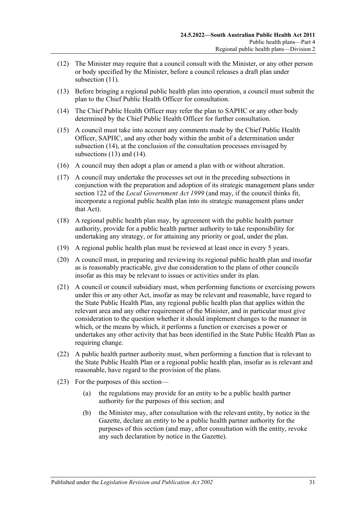- (12) The Minister may require that a council consult with the Minister, or any other person or body specified by the Minister, before a council releases a draft plan under [subsection](#page-29-0) (11).
- <span id="page-30-2"></span>(13) Before bringing a regional public health plan into operation, a council must submit the plan to the Chief Public Health Officer for consultation.
- <span id="page-30-1"></span>(14) The Chief Public Health Officer may refer the plan to SAPHC or any other body determined by the Chief Public Health Officer for further consultation.
- (15) A council must take into account any comments made by the Chief Public Health Officer, SAPHC, and any other body within the ambit of a determination under [subsection](#page-30-1) (14), at the conclusion of the consultation processes envisaged by [subsections](#page-30-2) (13) and [\(14\).](#page-30-1)
- (16) A council may then adopt a plan or amend a plan with or without alteration.
- (17) A council may undertake the processes set out in the preceding subsections in conjunction with the preparation and adoption of its strategic management plans under section 122 of the *[Local Government Act](http://www.legislation.sa.gov.au/index.aspx?action=legref&type=act&legtitle=Local%20Government%20Act%201999) 1999* (and may, if the council thinks fit, incorporate a regional public health plan into its strategic management plans under that Act).
- (18) A regional public health plan may, by agreement with the public health partner authority, provide for a public health partner authority to take responsibility for undertaking any strategy, or for attaining any priority or goal, under the plan.
- (19) A regional public health plan must be reviewed at least once in every 5 years.
- (20) A council must, in preparing and reviewing its regional public health plan and insofar as is reasonably practicable, give due consideration to the plans of other councils insofar as this may be relevant to issues or activities under its plan.
- (21) A council or council subsidiary must, when performing functions or exercising powers under this or any other Act, insofar as may be relevant and reasonable, have regard to the State Public Health Plan, any regional public health plan that applies within the relevant area and any other requirement of the Minister, and in particular must give consideration to the question whether it should implement changes to the manner in which, or the means by which, it performs a function or exercises a power or undertakes any other activity that has been identified in the State Public Health Plan as requiring change.
- (22) A public health partner authority must, when performing a function that is relevant to the State Public Health Plan or a regional public health plan, insofar as is relevant and reasonable, have regard to the provision of the plans.
- <span id="page-30-0"></span>(23) For the purposes of this section—
	- (a) the regulations may provide for an entity to be a public health partner authority for the purposes of this section; and
	- (b) the Minister may, after consultation with the relevant entity, by notice in the Gazette, declare an entity to be a public health partner authority for the purposes of this section (and may, after consultation with the entity, revoke any such declaration by notice in the Gazette).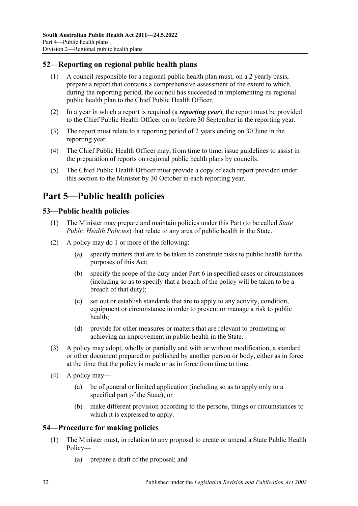# <span id="page-31-0"></span>**52—Reporting on regional public health plans**

- (1) A council responsible for a regional public health plan must, on a 2 yearly basis, prepare a report that contains a comprehensive assessment of the extent to which, during the reporting period, the council has succeeded in implementing its regional public health plan to the Chief Public Health Officer.
- (2) In a year in which a report is required (a *reporting year*), the report must be provided to the Chief Public Health Officer on or before 30 September in the reporting year.
- (3) The report must relate to a reporting period of 2 years ending on 30 June in the reporting year.
- (4) The Chief Public Health Officer may, from time to time, issue guidelines to assist in the preparation of reports on regional public health plans by councils.
- (5) The Chief Public Health Officer must provide a copy of each report provided under this section to the Minister by 30 October in each reporting year.

# <span id="page-31-1"></span>**Part 5—Public health policies**

#### <span id="page-31-2"></span>**53—Public health policies**

- (1) The Minister may prepare and maintain policies under this Part (to be called *State Public Health Policies*) that relate to any area of public health in the State.
- (2) A policy may do 1 or more of the following:
	- (a) specify matters that are to be taken to constitute risks to public health for the purposes of this Act;
	- (b) specify the scope of the duty under [Part](#page-32-1) 6 in specified cases or circumstances (including so as to specify that a breach of the policy will be taken to be a breach of that duty);
	- (c) set out or establish standards that are to apply to any activity, condition, equipment or circumstance in order to prevent or manage a risk to public health;
	- (d) provide for other measures or matters that are relevant to promoting or achieving an improvement in public health in the State.
- (3) A policy may adopt, wholly or partially and with or without modification, a standard or other document prepared or published by another person or body, either as in force at the time that the policy is made or as in force from time to time.
- (4) A policy may—
	- (a) be of general or limited application (including so as to apply only to a specified part of the State); or
	- (b) make different provision according to the persons, things or circumstances to which it is expressed to apply.

#### <span id="page-31-4"></span><span id="page-31-3"></span>**54—Procedure for making policies**

- (1) The Minister must, in relation to any proposal to create or amend a State Public Health Policy—
	- (a) prepare a draft of the proposal; and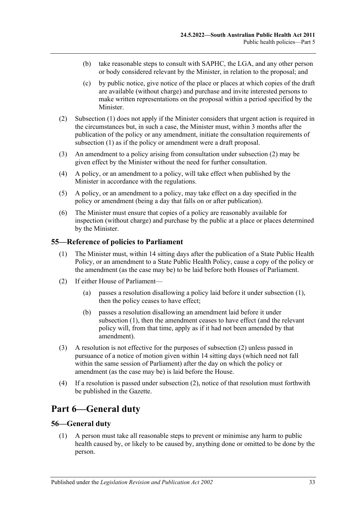- (b) take reasonable steps to consult with SAPHC, the LGA, and any other person or body considered relevant by the Minister, in relation to the proposal; and
- (c) by public notice, give notice of the place or places at which copies of the draft are available (without charge) and purchase and invite interested persons to make written representations on the proposal within a period specified by the Minister.
- <span id="page-32-3"></span>(2) [Subsection](#page-31-4) (1) does not apply if the Minister considers that urgent action is required in the circumstances but, in such a case, the Minister must, within 3 months after the publication of the policy or any amendment, initiate the consultation requirements of [subsection](#page-31-4) (1) as if the policy or amendment were a draft proposal.
- (3) An amendment to a policy arising from consultation under [subsection](#page-32-3) (2) may be given effect by the Minister without the need for further consultation.
- (4) A policy, or an amendment to a policy, will take effect when published by the Minister in accordance with the regulations.
- (5) A policy, or an amendment to a policy, may take effect on a day specified in the policy or amendment (being a day that falls on or after publication).
- (6) The Minister must ensure that copies of a policy are reasonably available for inspection (without charge) and purchase by the public at a place or places determined by the Minister.

#### <span id="page-32-4"></span><span id="page-32-0"></span>**55—Reference of policies to Parliament**

- (1) The Minister must, within 14 sitting days after the publication of a State Public Health Policy, or an amendment to a State Public Health Policy, cause a copy of the policy or the amendment (as the case may be) to be laid before both Houses of Parliament.
- <span id="page-32-5"></span>(2) If either House of Parliament—
	- (a) passes a resolution disallowing a policy laid before it under [subsection](#page-32-4) (1), then the policy ceases to have effect;
	- (b) passes a resolution disallowing an amendment laid before it under [subsection](#page-32-4) (1), then the amendment ceases to have effect (and the relevant policy will, from that time, apply as if it had not been amended by that amendment).
- (3) A resolution is not effective for the purposes of [subsection](#page-32-5) (2) unless passed in pursuance of a notice of motion given within 14 sitting days (which need not fall within the same session of Parliament) after the day on which the policy or amendment (as the case may be) is laid before the House.
- (4) If a resolution is passed under [subsection](#page-32-5) (2), notice of that resolution must forthwith be published in the Gazette.

# <span id="page-32-1"></span>**Part 6—General duty**

#### <span id="page-32-6"></span><span id="page-32-2"></span>**56—General duty**

(1) A person must take all reasonable steps to prevent or minimise any harm to public health caused by, or likely to be caused by, anything done or omitted to be done by the person.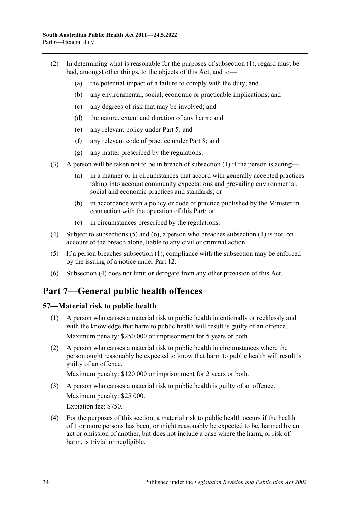- (2) In determining what is reasonable for the purposes of [subsection](#page-32-6) (1), regard must be had, amongst other things, to the objects of this Act, and to—
	- (a) the potential impact of a failure to comply with the duty; and
	- (b) any environmental, social, economic or practicable implications; and
	- (c) any degrees of risk that may be involved; and
	- (d) the nature, extent and duration of any harm; and
	- (e) any relevant policy under [Part](#page-31-1) 5; and
	- (f) any relevant code of practice under [Part](#page-35-1) 8; and
	- (g) any matter prescribed by the regulations.
- (3) A person will be taken not to be in breach of [subsection](#page-32-6) (1) if the person is acting—
	- (a) in a manner or in circumstances that accord with generally accepted practices taking into account community expectations and prevailing environmental, social and economic practices and standards; or
	- (b) in accordance with a policy or code of practice published by the Minister in connection with the operation of this Part; or
	- (c) in circumstances prescribed by the regulations.
- <span id="page-33-4"></span>(4) Subject to [subsections](#page-33-2) (5) and [\(6\),](#page-33-3) a person who breaches [subsection](#page-32-6) (1) is not, on account of the breach alone, liable to any civil or criminal action.
- <span id="page-33-2"></span>(5) If a person breaches [subsection](#page-32-6) (1), compliance with the subsection may be enforced by the issuing of a notice under [Part](#page-64-0) 12.
- <span id="page-33-3"></span>(6) [Subsection](#page-33-4) (4) does not limit or derogate from any other provision of this Act.

# <span id="page-33-0"></span>**Part 7—General public health offences**

# <span id="page-33-1"></span>**57—Material risk to public health**

- (1) A person who causes a material risk to public health intentionally or recklessly and with the knowledge that harm to public health will result is guilty of an offence. Maximum penalty: \$250 000 or imprisonment for 5 years or both.
- (2) A person who causes a material risk to public health in circumstances where the person ought reasonably be expected to know that harm to public health will result is guilty of an offence.

Maximum penalty: \$120 000 or imprisonment for 2 years or both.

- (3) A person who causes a material risk to public health is guilty of an offence. Maximum penalty: \$25 000. Expiation fee: \$750.
- (4) For the purposes of this section, a material risk to public health occurs if the health of 1 or more persons has been, or might reasonably be expected to be, harmed by an act or omission of another, but does not include a case where the harm, or risk of harm, is trivial or negligible.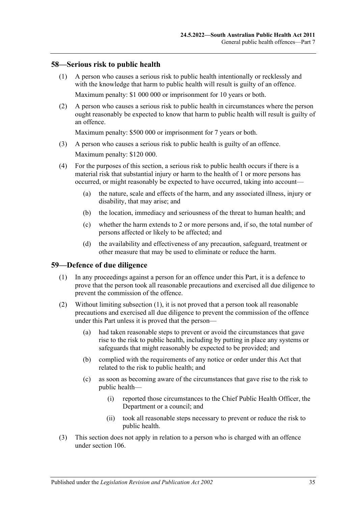#### <span id="page-34-0"></span>**58—Serious risk to public health**

- (1) A person who causes a serious risk to public health intentionally or recklessly and with the knowledge that harm to public health will result is guilty of an offence. Maximum penalty: \$1 000 000 or imprisonment for 10 years or both.
- (2) A person who causes a serious risk to public health in circumstances where the person ought reasonably be expected to know that harm to public health will result is guilty of an offence.

Maximum penalty: \$500 000 or imprisonment for 7 years or both.

- (3) A person who causes a serious risk to public health is guilty of an offence. Maximum penalty: \$120 000.
- (4) For the purposes of this section, a serious risk to public health occurs if there is a material risk that substantial injury or harm to the health of 1 or more persons has occurred, or might reasonably be expected to have occurred, taking into account—
	- (a) the nature, scale and effects of the harm, and any associated illness, injury or disability, that may arise; and
	- (b) the location, immediacy and seriousness of the threat to human health; and
	- (c) whether the harm extends to 2 or more persons and, if so, the total number of persons affected or likely to be affected; and
	- (d) the availability and effectiveness of any precaution, safeguard, treatment or other measure that may be used to eliminate or reduce the harm.

#### <span id="page-34-2"></span><span id="page-34-1"></span>**59—Defence of due diligence**

- (1) In any proceedings against a person for an offence under this Part, it is a defence to prove that the person took all reasonable precautions and exercised all due diligence to prevent the commission of the offence.
- (2) Without limiting [subsection](#page-34-2) (1), it is not proved that a person took all reasonable precautions and exercised all due diligence to prevent the commission of the offence under this Part unless it is proved that the person—
	- (a) had taken reasonable steps to prevent or avoid the circumstances that gave rise to the risk to public health, including by putting in place any systems or safeguards that might reasonably be expected to be provided; and
	- (b) complied with the requirements of any notice or order under this Act that related to the risk to public health; and
	- (c) as soon as becoming aware of the circumstances that gave rise to the risk to public health—
		- (i) reported those circumstances to the Chief Public Health Officer, the Department or a council; and
		- (ii) took all reasonable steps necessary to prevent or reduce the risk to public health.
- (3) This section does not apply in relation to a person who is charged with an offence under [section](#page-80-1) 106.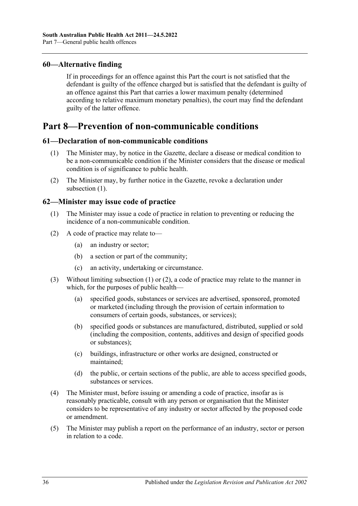### <span id="page-35-0"></span>**60—Alternative finding**

If in proceedings for an offence against this Part the court is not satisfied that the defendant is guilty of the offence charged but is satisfied that the defendant is guilty of an offence against this Part that carries a lower maximum penalty (determined according to relative maximum monetary penalties), the court may find the defendant guilty of the latter offence.

# <span id="page-35-1"></span>**Part 8—Prevention of non-communicable conditions**

#### <span id="page-35-4"></span><span id="page-35-2"></span>**61—Declaration of non-communicable conditions**

- (1) The Minister may, by notice in the Gazette, declare a disease or medical condition to be a non-communicable condition if the Minister considers that the disease or medical condition is of significance to public health.
- (2) The Minister may, by further notice in the Gazette, revoke a declaration under [subsection](#page-35-4) (1).

#### <span id="page-35-5"></span><span id="page-35-3"></span>**62—Minister may issue code of practice**

- (1) The Minister may issue a code of practice in relation to preventing or reducing the incidence of a non-communicable condition.
- <span id="page-35-6"></span>(2) A code of practice may relate to—
	- (a) an industry or sector;
	- (b) a section or part of the community;
	- (c) an activity, undertaking or circumstance.
- (3) Without limiting [subsection](#page-35-5) (1) or [\(2\),](#page-35-6) a code of practice may relate to the manner in which, for the purposes of public health—
	- (a) specified goods, substances or services are advertised, sponsored, promoted or marketed (including through the provision of certain information to consumers of certain goods, substances, or services);
	- (b) specified goods or substances are manufactured, distributed, supplied or sold (including the composition, contents, additives and design of specified goods or substances);
	- (c) buildings, infrastructure or other works are designed, constructed or maintained;
	- (d) the public, or certain sections of the public, are able to access specified goods, substances or services.
- (4) The Minister must, before issuing or amending a code of practice, insofar as is reasonably practicable, consult with any person or organisation that the Minister considers to be representative of any industry or sector affected by the proposed code or amendment.
- (5) The Minister may publish a report on the performance of an industry, sector or person in relation to a code.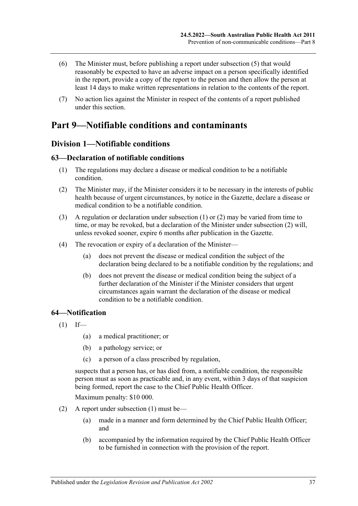- (6) The Minister must, before publishing a report under [subsection](#page-35-0) (5) that would reasonably be expected to have an adverse impact on a person specifically identified in the report, provide a copy of the report to the person and then allow the person at least 14 days to make written representations in relation to the contents of the report.
- (7) No action lies against the Minister in respect of the contents of a report published under this section.

# **Part 9—Notifiable conditions and contaminants**

# **Division 1—Notifiable conditions**

### <span id="page-36-0"></span>**63—Declaration of notifiable conditions**

- (1) The regulations may declare a disease or medical condition to be a notifiable condition.
- <span id="page-36-1"></span>(2) The Minister may, if the Minister considers it to be necessary in the interests of public health because of urgent circumstances, by notice in the Gazette, declare a disease or medical condition to be a notifiable condition.
- (3) A regulation or declaration under [subsection](#page-36-0) (1) or [\(2\)](#page-36-1) may be varied from time to time, or may be revoked, but a declaration of the Minister under [subsection](#page-36-1) (2) will, unless revoked sooner, expire 6 months after publication in the Gazette.
- (4) The revocation or expiry of a declaration of the Minister—
	- (a) does not prevent the disease or medical condition the subject of the declaration being declared to be a notifiable condition by the regulations; and
	- (b) does not prevent the disease or medical condition being the subject of a further declaration of the Minister if the Minister considers that urgent circumstances again warrant the declaration of the disease or medical condition to be a notifiable condition.

# <span id="page-36-2"></span>**64—Notification**

- $(1)$  If—
	- (a) a medical practitioner; or
	- (b) a pathology service; or
	- (c) a person of a class prescribed by regulation,

suspects that a person has, or has died from, a notifiable condition, the responsible person must as soon as practicable and, in any event, within 3 days of that suspicion being formed, report the case to the Chief Public Health Officer.

Maximum penalty: \$10 000.

- (2) A report under [subsection](#page-36-2) (1) must be—
	- (a) made in a manner and form determined by the Chief Public Health Officer; and
	- (b) accompanied by the information required by the Chief Public Health Officer to be furnished in connection with the provision of the report.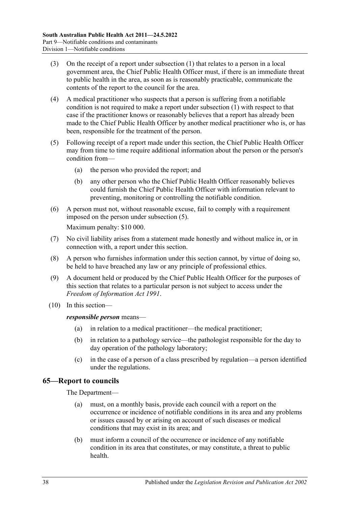- (3) On the receipt of a report under [subsection](#page-36-2) (1) that relates to a person in a local government area, the Chief Public Health Officer must, if there is an immediate threat to public health in the area, as soon as is reasonably practicable, communicate the contents of the report to the council for the area.
- (4) A medical practitioner who suspects that a person is suffering from a notifiable condition is not required to make a report under [subsection](#page-36-2) (1) with respect to that case if the practitioner knows or reasonably believes that a report has already been made to the Chief Public Health Officer by another medical practitioner who is, or has been, responsible for the treatment of the person.
- <span id="page-37-0"></span>(5) Following receipt of a report made under this section, the Chief Public Health Officer may from time to time require additional information about the person or the person's condition from—
	- (a) the person who provided the report; and
	- (b) any other person who the Chief Public Health Officer reasonably believes could furnish the Chief Public Health Officer with information relevant to preventing, monitoring or controlling the notifiable condition.
- (6) A person must not, without reasonable excuse, fail to comply with a requirement imposed on the person under [subsection](#page-37-0) (5). Maximum penalty: \$10 000.
- (7) No civil liability arises from a statement made honestly and without malice in, or in connection with, a report under this section.
- (8) A person who furnishes information under this section cannot, by virtue of doing so, be held to have breached any law or any principle of professional ethics.
- (9) A document held or produced by the Chief Public Health Officer for the purposes of this section that relates to a particular person is not subject to access under the *[Freedom of Information Act](http://www.legislation.sa.gov.au/index.aspx?action=legref&type=act&legtitle=Freedom%20of%20Information%20Act%201991) 1991*.
- (10) In this section—

*responsible person* means—

- (a) in relation to a medical practitioner—the medical practitioner;
- (b) in relation to a pathology service—the pathologist responsible for the day to day operation of the pathology laboratory;
- (c) in the case of a person of a class prescribed by regulation—a person identified under the regulations.

# **65—Report to councils**

The Department—

- (a) must, on a monthly basis, provide each council with a report on the occurrence or incidence of notifiable conditions in its area and any problems or issues caused by or arising on account of such diseases or medical conditions that may exist in its area; and
- (b) must inform a council of the occurrence or incidence of any notifiable condition in its area that constitutes, or may constitute, a threat to public health.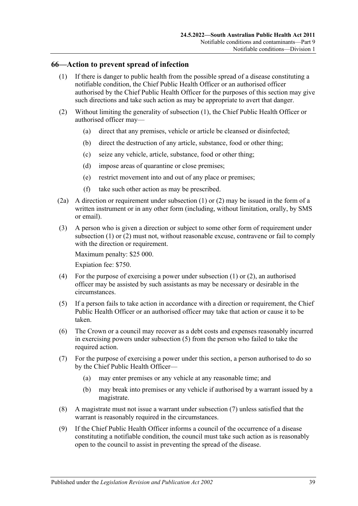#### <span id="page-38-0"></span>**66—Action to prevent spread of infection**

- (1) If there is danger to public health from the possible spread of a disease constituting a notifiable condition, the Chief Public Health Officer or an authorised officer authorised by the Chief Public Health Officer for the purposes of this section may give such directions and take such action as may be appropriate to avert that danger.
- <span id="page-38-1"></span>(2) Without limiting the generality of [subsection](#page-38-0) (1), the Chief Public Health Officer or authorised officer may—
	- (a) direct that any premises, vehicle or article be cleansed or disinfected;
	- (b) direct the destruction of any article, substance, food or other thing;
	- (c) seize any vehicle, article, substance, food or other thing;
	- (d) impose areas of quarantine or close premises;
	- (e) restrict movement into and out of any place or premises;
	- (f) take such other action as may be prescribed.
- (2a) A direction or requirement under [subsection](#page-38-0) (1) or [\(2\)](#page-38-1) may be issued in the form of a written instrument or in any other form (including, without limitation, orally, by SMS or email).
- (3) A person who is given a direction or subject to some other form of requirement under [subsection](#page-38-0) (1) or [\(2\)](#page-38-1) must not, without reasonable excuse, contravene or fail to comply with the direction or requirement.

Maximum penalty: \$25 000. Expiation fee: \$750.

- (4) For the purpose of exercising a power under [subsection](#page-38-0)  $(1)$  or  $(2)$ , an authorised officer may be assisted by such assistants as may be necessary or desirable in the circumstances.
- <span id="page-38-2"></span>(5) If a person fails to take action in accordance with a direction or requirement, the Chief Public Health Officer or an authorised officer may take that action or cause it to be taken.
- (6) The Crown or a council may recover as a debt costs and expenses reasonably incurred in exercising powers under [subsection](#page-38-2) (5) from the person who failed to take the required action.
- <span id="page-38-3"></span>(7) For the purpose of exercising a power under this section, a person authorised to do so by the Chief Public Health Officer—
	- (a) may enter premises or any vehicle at any reasonable time; and
	- (b) may break into premises or any vehicle if authorised by a warrant issued by a magistrate.
- (8) A magistrate must not issue a warrant under [subsection](#page-38-3) (7) unless satisfied that the warrant is reasonably required in the circumstances.
- (9) If the Chief Public Health Officer informs a council of the occurrence of a disease constituting a notifiable condition, the council must take such action as is reasonably open to the council to assist in preventing the spread of the disease.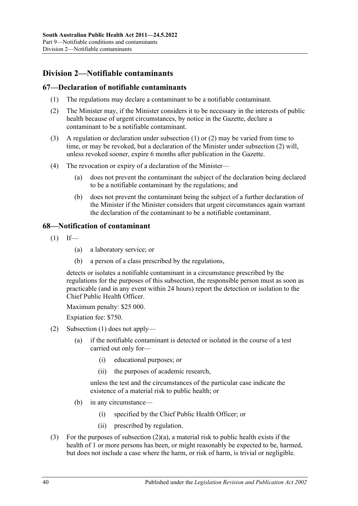# **Division 2—Notifiable contaminants**

# <span id="page-39-0"></span>**67—Declaration of notifiable contaminants**

- (1) The regulations may declare a contaminant to be a notifiable contaminant.
- <span id="page-39-1"></span>(2) The Minister may, if the Minister considers it to be necessary in the interests of public health because of urgent circumstances, by notice in the Gazette, declare a contaminant to be a notifiable contaminant.
- (3) A regulation or declaration under [subsection](#page-39-0) (1) or [\(2\)](#page-39-1) may be varied from time to time, or may be revoked, but a declaration of the Minister under [subsection](#page-39-1) (2) will, unless revoked sooner, expire 6 months after publication in the Gazette.
- (4) The revocation or expiry of a declaration of the Minister—
	- (a) does not prevent the contaminant the subject of the declaration being declared to be a notifiable contaminant by the regulations; and
	- (b) does not prevent the contaminant being the subject of a further declaration of the Minister if the Minister considers that urgent circumstances again warrant the declaration of the contaminant to be a notifiable contaminant.

# <span id="page-39-2"></span>**68—Notification of contaminant**

- $(1)$  If—
	- (a) a laboratory service; or
	- (b) a person of a class prescribed by the regulations,

detects or isolates a notifiable contaminant in a circumstance prescribed by the regulations for the purposes of this subsection, the responsible person must as soon as practicable (and in any event within 24 hours) report the detection or isolation to the Chief Public Health Officer.

Maximum penalty: \$25 000.

Expiation fee: \$750.

- <span id="page-39-3"></span>(2) [Subsection](#page-39-2) (1) does not apply—
	- (a) if the notifiable contaminant is detected or isolated in the course of a test carried out only for—
		- (i) educational purposes; or
		- (ii) the purposes of academic research,

unless the test and the circumstances of the particular case indicate the existence of a material risk to public health; or

- (b) in any circumstance—
	- (i) specified by the Chief Public Health Officer; or
	- (ii) prescribed by regulation.
- (3) For the purposes of [subsection](#page-39-3)  $(2)(a)$ , a material risk to public health exists if the health of 1 or more persons has been, or might reasonably be expected to be, harmed, but does not include a case where the harm, or risk of harm, is trivial or negligible.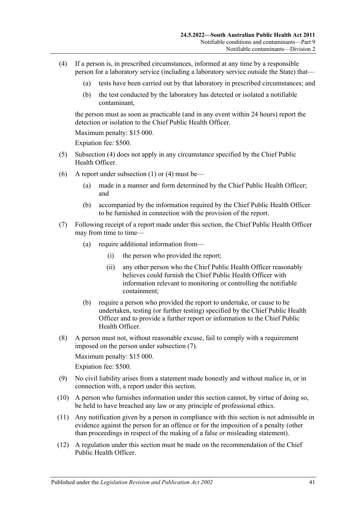- <span id="page-40-0"></span>(4) If a person is, in prescribed circumstances, informed at any time by a responsible person for a laboratory service (including a laboratory service outside the State) that—
	- (a) tests have been carried out by that laboratory in prescribed circumstances; and
	- (b) the test conducted by the laboratory has detected or isolated a notifiable contaminant,

the person must as soon as practicable (and in any event within 24 hours) report the detection or isolation to the Chief Public Health Officer.

Maximum penalty: \$15 000.

Expiation fee: \$500.

- (5) [Subsection](#page-40-0) (4) does not apply in any circumstance specified by the Chief Public Health Officer.
- (6) A report under [subsection](#page-39-2) (1) or [\(4\)](#page-40-0) must be—
	- (a) made in a manner and form determined by the Chief Public Health Officer; and
	- (b) accompanied by the information required by the Chief Public Health Officer to be furnished in connection with the provision of the report.
- <span id="page-40-1"></span>(7) Following receipt of a report made under this section, the Chief Public Health Officer may from time to time-
	- (a) require additional information from—
		- (i) the person who provided the report;
		- (ii) any other person who the Chief Public Health Officer reasonably believes could furnish the Chief Public Health Officer with information relevant to monitoring or controlling the notifiable containment;
	- (b) require a person who provided the report to undertake, or cause to be undertaken, testing (or further testing) specified by the Chief Public Health Officer and to provide a further report or information to the Chief Public Health Officer.
- (8) A person must not, without reasonable excuse, fail to comply with a requirement imposed on the person under [subsection](#page-40-1) (7).

Maximum penalty: \$15 000.

Expiation fee: \$500.

- (9) No civil liability arises from a statement made honestly and without malice in, or in connection with, a report under this section.
- (10) A person who furnishes information under this section cannot, by virtue of doing so, be held to have breached any law or any principle of professional ethics.
- (11) Any notification given by a person in compliance with this section is not admissible in evidence against the person for an offence or for the imposition of a penalty (other than proceedings in respect of the making of a false or misleading statement).
- <span id="page-40-2"></span>(12) A regulation under this section must be made on the recommendation of the Chief Public Health Officer.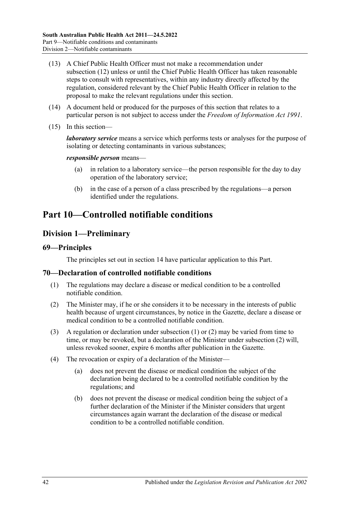- (13) A Chief Public Health Officer must not make a recommendation under [subsection](#page-40-2) (12) unless or until the Chief Public Health Officer has taken reasonable steps to consult with representatives, within any industry directly affected by the regulation, considered relevant by the Chief Public Health Officer in relation to the proposal to make the relevant regulations under this section.
- (14) A document held or produced for the purposes of this section that relates to a particular person is not subject to access under the *[Freedom of Information Act](http://www.legislation.sa.gov.au/index.aspx?action=legref&type=act&legtitle=Freedom%20of%20Information%20Act%201991) 1991*.
- (15) In this section—

*laboratory service* means a service which performs tests or analyses for the purpose of isolating or detecting contaminants in various substances;

#### *responsible person* means—

- (a) in relation to a laboratory service—the person responsible for the day to day operation of the laboratory service;
- (b) in the case of a person of a class prescribed by the regulations—a person identified under the regulations.

# <span id="page-41-2"></span>**Part 10—Controlled notifiable conditions**

# **Division 1—Preliminary**

# **69—Principles**

The principles set out in [section](#page-9-0) 14 have particular application to this Part.

# <span id="page-41-0"></span>**70—Declaration of controlled notifiable conditions**

- (1) The regulations may declare a disease or medical condition to be a controlled notifiable condition.
- <span id="page-41-1"></span>(2) The Minister may, if he or she considers it to be necessary in the interests of public health because of urgent circumstances, by notice in the Gazette, declare a disease or medical condition to be a controlled notifiable condition.
- (3) A regulation or declaration under [subsection](#page-41-0) (1) or [\(2\)](#page-41-1) may be varied from time to time, or may be revoked, but a declaration of the Minister under [subsection](#page-41-1) (2) will, unless revoked sooner, expire 6 months after publication in the Gazette.
- (4) The revocation or expiry of a declaration of the Minister—
	- (a) does not prevent the disease or medical condition the subject of the declaration being declared to be a controlled notifiable condition by the regulations; and
	- (b) does not prevent the disease or medical condition being the subject of a further declaration of the Minister if the Minister considers that urgent circumstances again warrant the declaration of the disease or medical condition to be a controlled notifiable condition.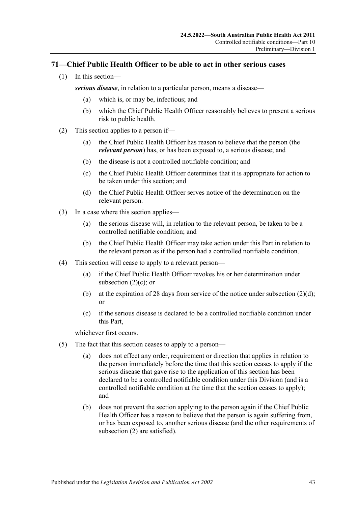# **71—Chief Public Health Officer to be able to act in other serious cases**

(1) In this section—

*serious disease*, in relation to a particular person, means a disease—

- (a) which is, or may be, infectious; and
- (b) which the Chief Public Health Officer reasonably believes to present a serious risk to public health.
- <span id="page-42-2"></span><span id="page-42-0"></span>(2) This section applies to a person if—
	- (a) the Chief Public Health Officer has reason to believe that the person (the *relevant person*) has, or has been exposed to, a serious disease; and
	- (b) the disease is not a controlled notifiable condition; and
	- (c) the Chief Public Health Officer determines that it is appropriate for action to be taken under this section; and
	- (d) the Chief Public Health Officer serves notice of the determination on the relevant person.
- <span id="page-42-1"></span>(3) In a case where this section applies—
	- (a) the serious disease will, in relation to the relevant person, be taken to be a controlled notifiable condition; and
	- (b) the Chief Public Health Officer may take action under this Part in relation to the relevant person as if the person had a controlled notifiable condition.
- (4) This section will cease to apply to a relevant person—
	- (a) if the Chief Public Health Officer revokes his or her determination under [subsection](#page-42-0) (2)(c); or
	- (b) at the expiration of 28 days from service of the notice under [subsection](#page-42-1)  $(2)(d)$ ; or
	- (c) if the serious disease is declared to be a controlled notifiable condition under this Part,

whichever first occurs.

- (5) The fact that this section ceases to apply to a person—
	- (a) does not effect any order, requirement or direction that applies in relation to the person immediately before the time that this section ceases to apply if the serious disease that gave rise to the application of this section has been declared to be a controlled notifiable condition under this Division (and is a controlled notifiable condition at the time that the section ceases to apply); and
	- (b) does not prevent the section applying to the person again if the Chief Public Health Officer has a reason to believe that the person is again suffering from, or has been exposed to, another serious disease (and the other requirements of [subsection](#page-42-2) (2) are satisfied).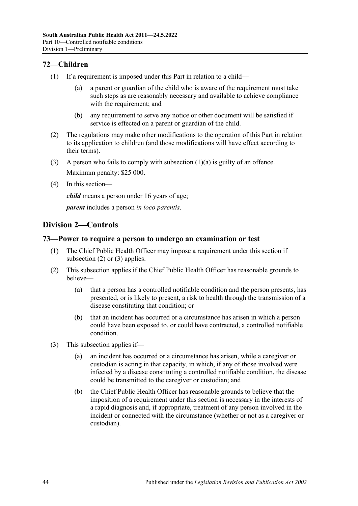# **72—Children**

- <span id="page-43-0"></span>(1) If a requirement is imposed under this Part in relation to a child—
	- (a) a parent or guardian of the child who is aware of the requirement must take such steps as are reasonably necessary and available to achieve compliance with the requirement; and
	- (b) any requirement to serve any notice or other document will be satisfied if service is effected on a parent or guardian of the child.
- (2) The regulations may make other modifications to the operation of this Part in relation to its application to children (and those modifications will have effect according to their terms).
- (3) A person who fails to comply with [subsection](#page-43-0) (1)(a) is guilty of an offence. Maximum penalty: \$25 000.
- (4) In this section—

*child* means a person under 16 years of age;

*parent* includes a person *in loco parentis*.

# **Division 2—Controls**

# **73—Power to require a person to undergo an examination or test**

- (1) The Chief Public Health Officer may impose a requirement under this section if [subsection](#page-43-1) (2) or [\(3\)](#page-43-2) applies.
- <span id="page-43-1"></span>(2) This subsection applies if the Chief Public Health Officer has reasonable grounds to believe—
	- (a) that a person has a controlled notifiable condition and the person presents, has presented, or is likely to present, a risk to health through the transmission of a disease constituting that condition; or
	- (b) that an incident has occurred or a circumstance has arisen in which a person could have been exposed to, or could have contracted, a controlled notifiable condition.
- <span id="page-43-2"></span>(3) This subsection applies if—
	- (a) an incident has occurred or a circumstance has arisen, while a caregiver or custodian is acting in that capacity, in which, if any of those involved were infected by a disease constituting a controlled notifiable condition, the disease could be transmitted to the caregiver or custodian; and
	- (b) the Chief Public Health Officer has reasonable grounds to believe that the imposition of a requirement under this section is necessary in the interests of a rapid diagnosis and, if appropriate, treatment of any person involved in the incident or connected with the circumstance (whether or not as a caregiver or custodian).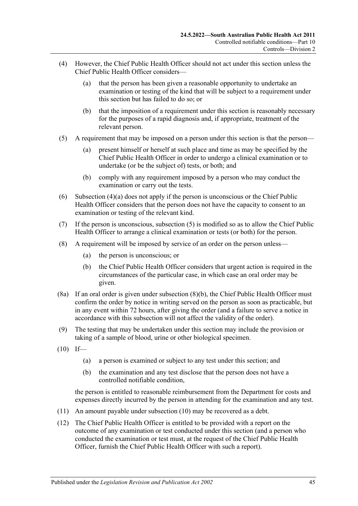- <span id="page-44-0"></span>(4) However, the Chief Public Health Officer should not act under this section unless the Chief Public Health Officer considers—
	- (a) that the person has been given a reasonable opportunity to undertake an examination or testing of the kind that will be subject to a requirement under this section but has failed to do so; or
	- (b) that the imposition of a requirement under this section is reasonably necessary for the purposes of a rapid diagnosis and, if appropriate, treatment of the relevant person.
- <span id="page-44-1"></span>(5) A requirement that may be imposed on a person under this section is that the person—
	- (a) present himself or herself at such place and time as may be specified by the Chief Public Health Officer in order to undergo a clinical examination or to undertake (or be the subject of) tests, or both; and
	- (b) comply with any requirement imposed by a person who may conduct the examination or carry out the tests.
- (6) [Subsection](#page-44-0) (4)(a) does not apply if the person is unconscious or the Chief Public Health Officer considers that the person does not have the capacity to consent to an examination or testing of the relevant kind.
- (7) If the person is unconscious, [subsection](#page-44-1) (5) is modified so as to allow the Chief Public Health Officer to arrange a clinical examination or tests (or both) for the person.
- <span id="page-44-2"></span>(8) A requirement will be imposed by service of an order on the person unless—
	- (a) the person is unconscious; or
	- (b) the Chief Public Health Officer considers that urgent action is required in the circumstances of the particular case, in which case an oral order may be given.
- (8a) If an oral order is given under [subsection](#page-44-2) (8)(b), the Chief Public Health Officer must confirm the order by notice in writing served on the person as soon as practicable, but in any event within 72 hours, after giving the order (and a failure to serve a notice in accordance with this subsection will not affect the validity of the order).
- (9) The testing that may be undertaken under this section may include the provision or taking of a sample of blood, urine or other biological specimen.
- <span id="page-44-3"></span> $(10)$  If—
	- (a) a person is examined or subject to any test under this section; and
	- (b) the examination and any test disclose that the person does not have a controlled notifiable condition,

the person is entitled to reasonable reimbursement from the Department for costs and expenses directly incurred by the person in attending for the examination and any test.

- (11) An amount payable under [subsection](#page-44-3) (10) may be recovered as a debt.
- (12) The Chief Public Health Officer is entitled to be provided with a report on the outcome of any examination or test conducted under this section (and a person who conducted the examination or test must, at the request of the Chief Public Health Officer, furnish the Chief Public Health Officer with such a report).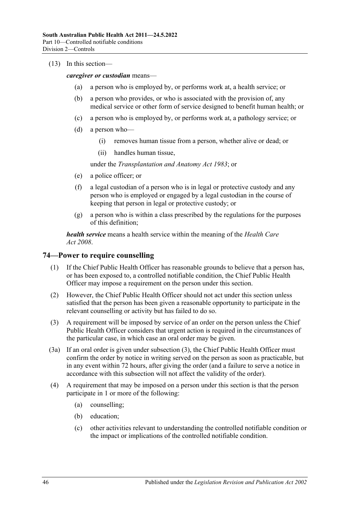#### (13) In this section—

*caregiver or custodian* means—

- (a) a person who is employed by, or performs work at, a health service; or
- (b) a person who provides, or who is associated with the provision of, any medical service or other form of service designed to benefit human health; or
- (c) a person who is employed by, or performs work at, a pathology service; or
- (d) a person who—
	- (i) removes human tissue from a person, whether alive or dead; or
	- (ii) handles human tissue,

under the *[Transplantation and Anatomy Act](http://www.legislation.sa.gov.au/index.aspx?action=legref&type=act&legtitle=Transplantation%20and%20Anatomy%20Act%201983) 1983*; or

- (e) a police officer; or
- (f) a legal custodian of a person who is in legal or protective custody and any person who is employed or engaged by a legal custodian in the course of keeping that person in legal or protective custody; or
- (g) a person who is within a class prescribed by the regulations for the purposes of this definition;

*health service* means a health service within the meaning of the *[Health Care](http://www.legislation.sa.gov.au/index.aspx?action=legref&type=act&legtitle=Health%20Care%20Act%202008)  Act [2008](http://www.legislation.sa.gov.au/index.aspx?action=legref&type=act&legtitle=Health%20Care%20Act%202008)*.

# **74—Power to require counselling**

- (1) If the Chief Public Health Officer has reasonable grounds to believe that a person has, or has been exposed to, a controlled notifiable condition, the Chief Public Health Officer may impose a requirement on the person under this section.
- (2) However, the Chief Public Health Officer should not act under this section unless satisfied that the person has been given a reasonable opportunity to participate in the relevant counselling or activity but has failed to do so.
- <span id="page-45-0"></span>(3) A requirement will be imposed by service of an order on the person unless the Chief Public Health Officer considers that urgent action is required in the circumstances of the particular case, in which case an oral order may be given.
- (3a) If an oral order is given under [subsection](#page-45-0) (3), the Chief Public Health Officer must confirm the order by notice in writing served on the person as soon as practicable, but in any event within 72 hours, after giving the order (and a failure to serve a notice in accordance with this subsection will not affect the validity of the order).
- <span id="page-45-1"></span>(4) A requirement that may be imposed on a person under this section is that the person participate in 1 or more of the following:
	- (a) counselling;
	- (b) education;
	- (c) other activities relevant to understanding the controlled notifiable condition or the impact or implications of the controlled notifiable condition.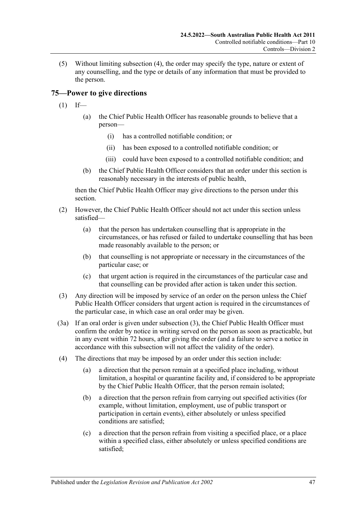(5) Without limiting [subsection](#page-45-1) (4), the order may specify the type, nature or extent of any counselling, and the type or details of any information that must be provided to the person.

# <span id="page-46-1"></span>**75—Power to give directions**

- $(1)$  If—
	- (a) the Chief Public Health Officer has reasonable grounds to believe that a person—
		- (i) has a controlled notifiable condition; or
		- (ii) has been exposed to a controlled notifiable condition; or
		- (iii) could have been exposed to a controlled notifiable condition; and
	- (b) the Chief Public Health Officer considers that an order under this section is reasonably necessary in the interests of public health,

then the Chief Public Health Officer may give directions to the person under this section.

- (2) However, the Chief Public Health Officer should not act under this section unless satisfied—
	- (a) that the person has undertaken counselling that is appropriate in the circumstances, or has refused or failed to undertake counselling that has been made reasonably available to the person; or
	- (b) that counselling is not appropriate or necessary in the circumstances of the particular case; or
	- (c) that urgent action is required in the circumstances of the particular case and that counselling can be provided after action is taken under this section.
- <span id="page-46-0"></span>(3) Any direction will be imposed by service of an order on the person unless the Chief Public Health Officer considers that urgent action is required in the circumstances of the particular case, in which case an oral order may be given.
- (3a) If an oral order is given under [subsection](#page-46-0) (3), the Chief Public Health Officer must confirm the order by notice in writing served on the person as soon as practicable, but in any event within 72 hours, after giving the order (and a failure to serve a notice in accordance with this subsection will not affect the validity of the order).
- (4) The directions that may be imposed by an order under this section include:
	- (a) a direction that the person remain at a specified place including, without limitation, a hospital or quarantine facility and, if considered to be appropriate by the Chief Public Health Officer, that the person remain isolated;
	- (b) a direction that the person refrain from carrying out specified activities (for example, without limitation, employment, use of public transport or participation in certain events), either absolutely or unless specified conditions are satisfied;
	- (c) a direction that the person refrain from visiting a specified place, or a place within a specified class, either absolutely or unless specified conditions are satisfied;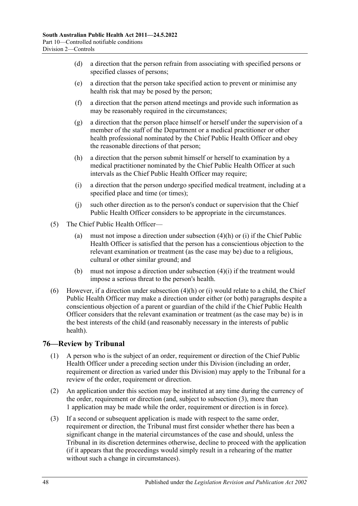- (d) a direction that the person refrain from associating with specified persons or specified classes of persons;
- (e) a direction that the person take specified action to prevent or minimise any health risk that may be posed by the person;
- (f) a direction that the person attend meetings and provide such information as may be reasonably required in the circumstances;
- (g) a direction that the person place himself or herself under the supervision of a member of the staff of the Department or a medical practitioner or other health professional nominated by the Chief Public Health Officer and obey the reasonable directions of that person;
- <span id="page-47-0"></span>(h) a direction that the person submit himself or herself to examination by a medical practitioner nominated by the Chief Public Health Officer at such intervals as the Chief Public Health Officer may require;
- <span id="page-47-1"></span>(i) a direction that the person undergo specified medical treatment, including at a specified place and time (or times);
- (j) such other direction as to the person's conduct or supervision that the Chief Public Health Officer considers to be appropriate in the circumstances.
- (5) The Chief Public Health Officer—
	- (a) must not impose a direction under [subsection](#page-47-0) (4)(h) or [\(i\)](#page-47-1) if the Chief Public Health Officer is satisfied that the person has a conscientious objection to the relevant examination or treatment (as the case may be) due to a religious, cultural or other similar ground; and
	- (b) must not impose a direction under [subsection](#page-47-1) (4)(i) if the treatment would impose a serious threat to the person's health.
- (6) However, if a direction under [subsection](#page-47-0) (4)(h) or [\(i\)](#page-47-1) would relate to a child, the Chief Public Health Officer may make a direction under either (or both) paragraphs despite a conscientious objection of a parent or guardian of the child if the Chief Public Health Officer considers that the relevant examination or treatment (as the case may be) is in the best interests of the child (and reasonably necessary in the interests of public health).

# **76—Review by Tribunal**

- (1) A person who is the subject of an order, requirement or direction of the Chief Public Health Officer under a preceding section under this Division (including an order, requirement or direction as varied under this Division) may apply to the Tribunal for a review of the order, requirement or direction.
- (2) An application under this section may be instituted at any time during the currency of the order, requirement or direction (and, subject to [subsection](#page-47-2) (3), more than 1 application may be made while the order, requirement or direction is in force).
- <span id="page-47-2"></span>(3) If a second or subsequent application is made with respect to the same order, requirement or direction, the Tribunal must first consider whether there has been a significant change in the material circumstances of the case and should, unless the Tribunal in its discretion determines otherwise, decline to proceed with the application (if it appears that the proceedings would simply result in a rehearing of the matter without such a change in circumstances).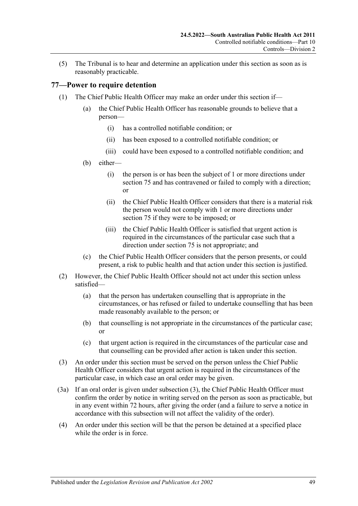(5) The Tribunal is to hear and determine an application under this section as soon as is reasonably practicable.

# <span id="page-48-4"></span>**77—Power to require detention**

- <span id="page-48-3"></span><span id="page-48-2"></span><span id="page-48-1"></span>(1) The Chief Public Health Officer may make an order under this section if—
	- (a) the Chief Public Health Officer has reasonable grounds to believe that a person—
		- (i) has a controlled notifiable condition; or
		- (ii) has been exposed to a controlled notifiable condition; or
		- (iii) could have been exposed to a controlled notifiable condition; and
	- (b) either—
		- (i) the person is or has been the subject of 1 or more directions under [section](#page-46-1) 75 and has contravened or failed to comply with a direction; or
		- (ii) the Chief Public Health Officer considers that there is a material risk the person would not comply with 1 or more directions under [section](#page-46-1) 75 if they were to be imposed; or
		- (iii) the Chief Public Health Officer is satisfied that urgent action is required in the circumstances of the particular case such that a direction under [section](#page-46-1) 75 is not appropriate; and
	- (c) the Chief Public Health Officer considers that the person presents, or could present, a risk to public health and that action under this section is justified.
- (2) However, the Chief Public Health Officer should not act under this section unless satisfied—
	- (a) that the person has undertaken counselling that is appropriate in the circumstances, or has refused or failed to undertake counselling that has been made reasonably available to the person; or
	- (b) that counselling is not appropriate in the circumstances of the particular case; or
	- (c) that urgent action is required in the circumstances of the particular case and that counselling can be provided after action is taken under this section.
- <span id="page-48-0"></span>(3) An order under this section must be served on the person unless the Chief Public Health Officer considers that urgent action is required in the circumstances of the particular case, in which case an oral order may be given.
- (3a) If an oral order is given under [subsection](#page-48-0) (3), the Chief Public Health Officer must confirm the order by notice in writing served on the person as soon as practicable, but in any event within 72 hours, after giving the order (and a failure to serve a notice in accordance with this subsection will not affect the validity of the order).
- (4) An order under this section will be that the person be detained at a specified place while the order is in force.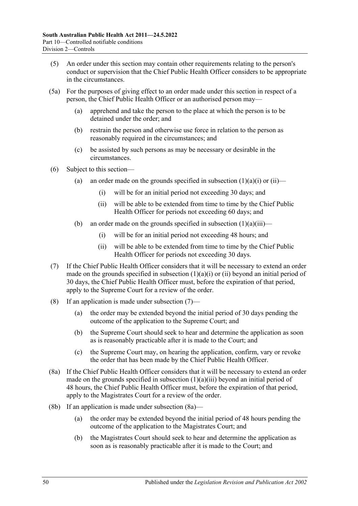- (5) An order under this section may contain other requirements relating to the person's conduct or supervision that the Chief Public Health Officer considers to be appropriate in the circumstances.
- (5a) For the purposes of giving effect to an order made under this section in respect of a person, the Chief Public Health Officer or an authorised person may—
	- (a) apprehend and take the person to the place at which the person is to be detained under the order; and
	- (b) restrain the person and otherwise use force in relation to the person as reasonably required in the circumstances; and
	- (c) be assisted by such persons as may be necessary or desirable in the circumstances.
- (6) Subject to this section
	- (a) an order made on the grounds specified in [subsection](#page-48-1)  $(1)(a)(i)$  or  $(ii)$ 
		- (i) will be for an initial period not exceeding 30 days; and
		- (ii) will be able to be extended from time to time by the Chief Public Health Officer for periods not exceeding 60 days; and
	- (b) an order made on the grounds specified in [subsection](#page-48-3)  $(1)(a)(iii)$ 
		- (i) will be for an initial period not exceeding 48 hours; and
		- (ii) will be able to be extended from time to time by the Chief Public Health Officer for periods not exceeding 30 days.
- <span id="page-49-0"></span>(7) If the Chief Public Health Officer considers that it will be necessary to extend an order made on the grounds specified in [subsection](#page-48-1)  $(1)(a)(i)$  or  $(ii)$  beyond an initial period of 30 days, the Chief Public Health Officer must, before the expiration of that period, apply to the Supreme Court for a review of the order.
- <span id="page-49-2"></span>(8) If an application is made under [subsection](#page-49-0) (7)—
	- (a) the order may be extended beyond the initial period of 30 days pending the outcome of the application to the Supreme Court; and
	- (b) the Supreme Court should seek to hear and determine the application as soon as is reasonably practicable after it is made to the Court; and
	- (c) the Supreme Court may, on hearing the application, confirm, vary or revoke the order that has been made by the Chief Public Health Officer.
- <span id="page-49-1"></span>(8a) If the Chief Public Health Officer considers that it will be necessary to extend an order made on the grounds specified in [subsection](#page-48-3)  $(1)(a)(iii)$  beyond an initial period of 48 hours, the Chief Public Health Officer must, before the expiration of that period, apply to the Magistrates Court for a review of the order.
- (8b) If an application is made under [subsection](#page-49-1) (8a)—
	- (a) the order may be extended beyond the initial period of 48 hours pending the outcome of the application to the Magistrates Court; and
	- (b) the Magistrates Court should seek to hear and determine the application as soon as is reasonably practicable after it is made to the Court; and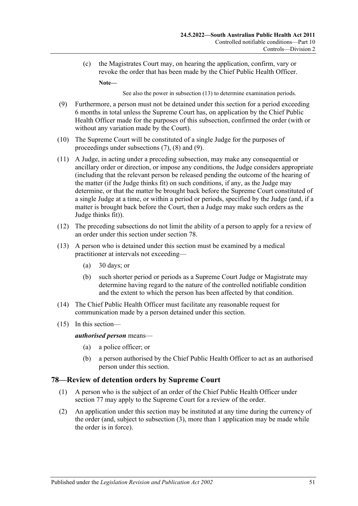(c) the Magistrates Court may, on hearing the application, confirm, vary or revoke the order that has been made by the Chief Public Health Officer.

**Note—**

See also the power in [subsection](#page-50-0) (13) to determine examination periods.

- <span id="page-50-1"></span>(9) Furthermore, a person must not be detained under this section for a period exceeding 6 months in total unless the Supreme Court has, on application by the Chief Public Health Officer made for the purposes of this subsection, confirmed the order (with or without any variation made by the Court).
- (10) The Supreme Court will be constituted of a single Judge for the purposes of proceedings under [subsections](#page-49-0) (7), [\(8\)](#page-49-2) and [\(9\).](#page-50-1)
- (11) A Judge, in acting under a preceding subsection, may make any consequential or ancillary order or direction, or impose any conditions, the Judge considers appropriate (including that the relevant person be released pending the outcome of the hearing of the matter (if the Judge thinks fit) on such conditions, if any, as the Judge may determine, or that the matter be brought back before the Supreme Court constituted of a single Judge at a time, or within a period or periods, specified by the Judge (and, if a matter is brought back before the Court, then a Judge may make such orders as the Judge thinks fit)).
- (12) The preceding subsections do not limit the ability of a person to apply for a review of an order under this section under [section](#page-50-2) 78.
- <span id="page-50-0"></span>(13) A person who is detained under this section must be examined by a medical practitioner at intervals not exceeding—
	- (a) 30 days; or
	- (b) such shorter period or periods as a Supreme Court Judge or Magistrate may determine having regard to the nature of the controlled notifiable condition and the extent to which the person has been affected by that condition.
- (14) The Chief Public Health Officer must facilitate any reasonable request for communication made by a person detained under this section.
- (15) In this section—

#### *authorised person* means—

- (a) a police officer; or
- (b) a person authorised by the Chief Public Health Officer to act as an authorised person under this section.

#### <span id="page-50-2"></span>**78—Review of detention orders by Supreme Court**

- (1) A person who is the subject of an order of the Chief Public Health Officer under [section](#page-48-4) 77 may apply to the Supreme Court for a review of the order.
- (2) An application under this section may be instituted at any time during the currency of the order (and, subject to [subsection](#page-51-0) (3), more than 1 application may be made while the order is in force).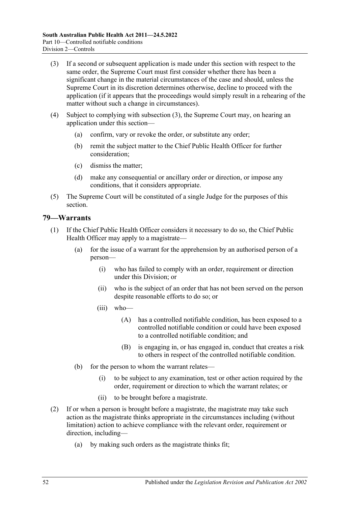- <span id="page-51-0"></span>(3) If a second or subsequent application is made under this section with respect to the same order, the Supreme Court must first consider whether there has been a significant change in the material circumstances of the case and should, unless the Supreme Court in its discretion determines otherwise, decline to proceed with the application (if it appears that the proceedings would simply result in a rehearing of the matter without such a change in circumstances).
- (4) Subject to complying with [subsection](#page-51-0) (3), the Supreme Court may, on hearing an application under this section—
	- (a) confirm, vary or revoke the order, or substitute any order;
	- (b) remit the subject matter to the Chief Public Health Officer for further consideration;
	- (c) dismiss the matter;
	- (d) make any consequential or ancillary order or direction, or impose any conditions, that it considers appropriate.
- (5) The Supreme Court will be constituted of a single Judge for the purposes of this section.

### <span id="page-51-1"></span>**79—Warrants**

- (1) If the Chief Public Health Officer considers it necessary to do so, the Chief Public Health Officer may apply to a magistrate—
	- (a) for the issue of a warrant for the apprehension by an authorised person of a person—
		- (i) who has failed to comply with an order, requirement or direction under this Division; or
		- (ii) who is the subject of an order that has not been served on the person despite reasonable efforts to do so; or
		- (iii) who—
			- (A) has a controlled notifiable condition, has been exposed to a controlled notifiable condition or could have been exposed to a controlled notifiable condition; and
			- (B) is engaging in, or has engaged in, conduct that creates a risk to others in respect of the controlled notifiable condition.
	- (b) for the person to whom the warrant relates—
		- (i) to be subject to any examination, test or other action required by the order, requirement or direction to which the warrant relates; or
		- (ii) to be brought before a magistrate.
- <span id="page-51-2"></span>(2) If or when a person is brought before a magistrate, the magistrate may take such action as the magistrate thinks appropriate in the circumstances including (without limitation) action to achieve compliance with the relevant order, requirement or direction, including—
	- (a) by making such orders as the magistrate thinks fit;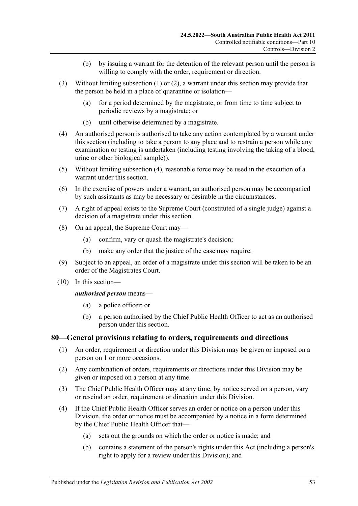- (b) by issuing a warrant for the detention of the relevant person until the person is willing to comply with the order, requirement or direction.
- (3) Without limiting [subsection](#page-51-1) (1) or [\(2\),](#page-51-2) a warrant under this section may provide that the person be held in a place of quarantine or isolation—
	- (a) for a period determined by the magistrate, or from time to time subject to periodic reviews by a magistrate; or
	- (b) until otherwise determined by a magistrate.
- <span id="page-52-0"></span>(4) An authorised person is authorised to take any action contemplated by a warrant under this section (including to take a person to any place and to restrain a person while any examination or testing is undertaken (including testing involving the taking of a blood, urine or other biological sample)).
- (5) Without limiting [subsection](#page-52-0) (4), reasonable force may be used in the execution of a warrant under this section.
- (6) In the exercise of powers under a warrant, an authorised person may be accompanied by such assistants as may be necessary or desirable in the circumstances.
- (7) A right of appeal exists to the Supreme Court (constituted of a single judge) against a decision of a magistrate under this section.
- (8) On an appeal, the Supreme Court may—
	- (a) confirm, vary or quash the magistrate's decision;
	- (b) make any order that the justice of the case may require.
- (9) Subject to an appeal, an order of a magistrate under this section will be taken to be an order of the Magistrates Court.
- (10) In this section—

#### *authorised person* means—

- (a) a police officer; or
- (b) a person authorised by the Chief Public Health Officer to act as an authorised person under this section.

#### **80—General provisions relating to orders, requirements and directions**

- (1) An order, requirement or direction under this Division may be given or imposed on a person on 1 or more occasions.
- (2) Any combination of orders, requirements or directions under this Division may be given or imposed on a person at any time.
- (3) The Chief Public Health Officer may at any time, by notice served on a person, vary or rescind an order, requirement or direction under this Division.
- (4) If the Chief Public Health Officer serves an order or notice on a person under this Division, the order or notice must be accompanied by a notice in a form determined by the Chief Public Health Officer that—
	- (a) sets out the grounds on which the order or notice is made; and
	- (b) contains a statement of the person's rights under this Act (including a person's right to apply for a review under this Division); and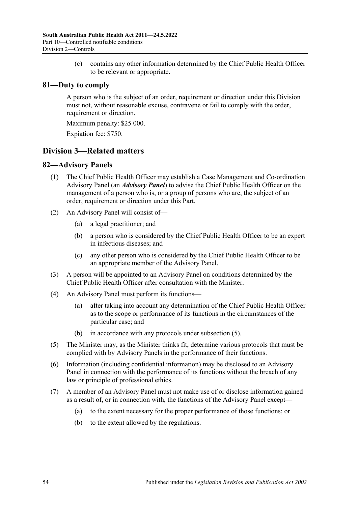(c) contains any other information determined by the Chief Public Health Officer to be relevant or appropriate.

# **81—Duty to comply**

A person who is the subject of an order, requirement or direction under this Division must not, without reasonable excuse, contravene or fail to comply with the order, requirement or direction.

Maximum penalty: \$25 000.

Expiation fee: \$750.

# **Division 3—Related matters**

# **82—Advisory Panels**

- (1) The Chief Public Health Officer may establish a Case Management and Co-ordination Advisory Panel (an *Advisory Panel*) to advise the Chief Public Health Officer on the management of a person who is, or a group of persons who are, the subject of an order, requirement or direction under this Part.
- (2) An Advisory Panel will consist of—
	- (a) a legal practitioner; and
	- (b) a person who is considered by the Chief Public Health Officer to be an expert in infectious diseases; and
	- (c) any other person who is considered by the Chief Public Health Officer to be an appropriate member of the Advisory Panel.
- (3) A person will be appointed to an Advisory Panel on conditions determined by the Chief Public Health Officer after consultation with the Minister.
- (4) An Advisory Panel must perform its functions—
	- (a) after taking into account any determination of the Chief Public Health Officer as to the scope or performance of its functions in the circumstances of the particular case; and
	- (b) in accordance with any protocols under [subsection](#page-53-0) (5).
- <span id="page-53-0"></span>(5) The Minister may, as the Minister thinks fit, determine various protocols that must be complied with by Advisory Panels in the performance of their functions.
- (6) Information (including confidential information) may be disclosed to an Advisory Panel in connection with the performance of its functions without the breach of any law or principle of professional ethics.
- (7) A member of an Advisory Panel must not make use of or disclose information gained as a result of, or in connection with, the functions of the Advisory Panel except—
	- (a) to the extent necessary for the proper performance of those functions; or
	- (b) to the extent allowed by the regulations.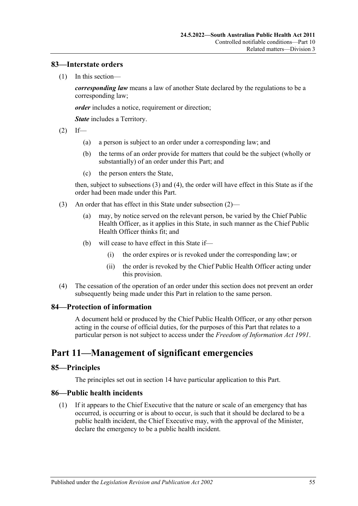### **83—Interstate orders**

(1) In this section—

*corresponding law* means a law of another State declared by the regulations to be a corresponding law;

*order* includes a notice, requirement or direction;

*State* includes a Territory.

- <span id="page-54-2"></span> $(2)$  If—
	- (a) a person is subject to an order under a corresponding law; and
	- (b) the terms of an order provide for matters that could be the subject (wholly or substantially) of an order under this Part; and
	- (c) the person enters the State,

then, subject to [subsections](#page-54-0) (3) and [\(4\),](#page-54-1) the order will have effect in this State as if the order had been made under this Part.

- <span id="page-54-0"></span>(3) An order that has effect in this State under [subsection](#page-54-2) (2)—
	- (a) may, by notice served on the relevant person, be varied by the Chief Public Health Officer, as it applies in this State, in such manner as the Chief Public Health Officer thinks fit; and
	- (b) will cease to have effect in this State if—
		- (i) the order expires or is revoked under the corresponding law; or
		- (ii) the order is revoked by the Chief Public Health Officer acting under this provision.
- <span id="page-54-1"></span>(4) The cessation of the operation of an order under this section does not prevent an order subsequently being made under this Part in relation to the same person.

#### **84—Protection of information**

A document held or produced by the Chief Public Health Officer, or any other person acting in the course of official duties, for the purposes of this Part that relates to a particular person is not subject to access under the *[Freedom of Information Act](http://www.legislation.sa.gov.au/index.aspx?action=legref&type=act&legtitle=Freedom%20of%20Information%20Act%201991) 1991*.

# <span id="page-54-4"></span>**Part 11—Management of significant emergencies**

#### **85—Principles**

The principles set out in [section](#page-9-0) 14 have particular application to this Part.

# <span id="page-54-3"></span>**86—Public health incidents**

(1) If it appears to the Chief Executive that the nature or scale of an emergency that has occurred, is occurring or is about to occur, is such that it should be declared to be a public health incident, the Chief Executive may, with the approval of the Minister, declare the emergency to be a public health incident.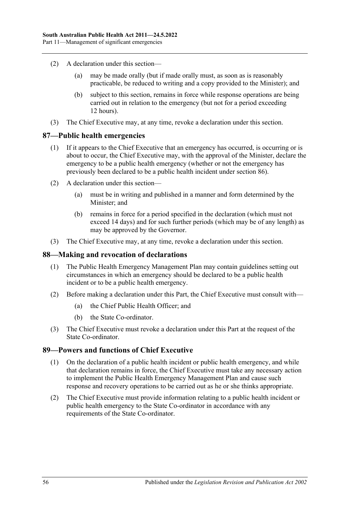- (2) A declaration under this section—
	- (a) may be made orally (but if made orally must, as soon as is reasonably practicable, be reduced to writing and a copy provided to the Minister); and
	- (b) subject to this section, remains in force while response operations are being carried out in relation to the emergency (but not for a period exceeding 12 hours).
- (3) The Chief Executive may, at any time, revoke a declaration under this section.

### **87—Public health emergencies**

- (1) If it appears to the Chief Executive that an emergency has occurred, is occurring or is about to occur, the Chief Executive may, with the approval of the Minister, declare the emergency to be a public health emergency (whether or not the emergency has previously been declared to be a public health incident under [section](#page-54-3) 86).
- (2) A declaration under this section—
	- (a) must be in writing and published in a manner and form determined by the Minister; and
	- (b) remains in force for a period specified in the declaration (which must not exceed 14 days) and for such further periods (which may be of any length) as may be approved by the Governor.
- (3) The Chief Executive may, at any time, revoke a declaration under this section.

#### **88—Making and revocation of declarations**

- (1) The Public Health Emergency Management Plan may contain guidelines setting out circumstances in which an emergency should be declared to be a public health incident or to be a public health emergency.
- (2) Before making a declaration under this Part, the Chief Executive must consult with—
	- (a) the Chief Public Health Officer; and
	- (b) the State Co-ordinator.
- (3) The Chief Executive must revoke a declaration under this Part at the request of the State Co-ordinator.

# <span id="page-55-0"></span>**89—Powers and functions of Chief Executive**

- (1) On the declaration of a public health incident or public health emergency, and while that declaration remains in force, the Chief Executive must take any necessary action to implement the Public Health Emergency Management Plan and cause such response and recovery operations to be carried out as he or she thinks appropriate.
- (2) The Chief Executive must provide information relating to a public health incident or public health emergency to the State Co-ordinator in accordance with any requirements of the State Co-ordinator.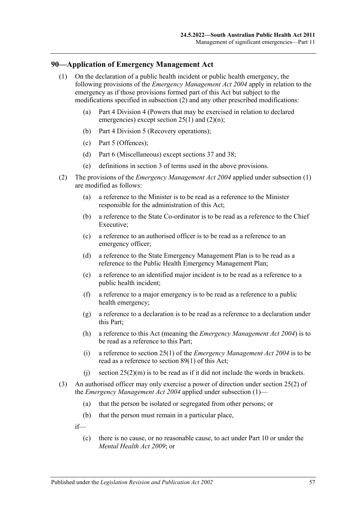# <span id="page-56-1"></span>**90—Application of Emergency Management Act**

- (1) On the declaration of a public health incident or public health emergency, the following provisions of the *[Emergency Management Act](http://www.legislation.sa.gov.au/index.aspx?action=legref&type=act&legtitle=Emergency%20Management%20Act%202004) 2004* apply in relation to the emergency as if those provisions formed part of this Act but subject to the modifications specified in [subsection](#page-56-0) (2) and any other prescribed modifications:
	- (a) Part 4 Division 4 (Powers that may be exercised in relation to declared emergencies) except section  $25(1)$  and  $(2)(n)$ ;
	- (b) Part 4 Division 5 (Recovery operations);
	- (c) Part 5 (Offences);
	- (d) Part 6 (Miscellaneous) except sections 37 and 38;
	- (e) definitions in section 3 of terms used in the above provisions.
- <span id="page-56-0"></span>(2) The provisions of the *[Emergency Management Act](http://www.legislation.sa.gov.au/index.aspx?action=legref&type=act&legtitle=Emergency%20Management%20Act%202004) 2004* applied under [subsection](#page-56-1) (1) are modified as follows:
	- (a) a reference to the Minister is to be read as a reference to the Minister responsible for the administration of this Act;
	- (b) a reference to the State Co-ordinator is to be read as a reference to the Chief Executive;
	- (c) a reference to an authorised officer is to be read as a reference to an emergency officer;
	- (d) a reference to the State Emergency Management Plan is to be read as a reference to the Public Health Emergency Management Plan;
	- (e) a reference to an identified major incident is to be read as a reference to a public health incident;
	- (f) a reference to a major emergency is to be read as a reference to a public health emergency;
	- (g) a reference to a declaration is to be read as a reference to a declaration under this Part;
	- (h) a reference to this Act (meaning the *[Emergency Management Act](http://www.legislation.sa.gov.au/index.aspx?action=legref&type=act&legtitle=Emergency%20Management%20Act%202004) 2004*) is to be read as a reference to this Part;
	- (i) a reference to section 25(1) of the *[Emergency Management Act](http://www.legislation.sa.gov.au/index.aspx?action=legref&type=act&legtitle=Emergency%20Management%20Act%202004) 2004* is to be read as a reference to [section](#page-55-0) 89(1) of this Act;
	- (i) section  $25(2)(m)$  is to be read as if it did not include the words in brackets.
- <span id="page-56-2"></span>(3) An authorised officer may only exercise a power of direction under section 25(2) of the *[Emergency Management Act](http://www.legislation.sa.gov.au/index.aspx?action=legref&type=act&legtitle=Emergency%20Management%20Act%202004) 2004* applied under [subsection](#page-56-1) (1)—
	- (a) that the person be isolated or segregated from other persons; or
	- (b) that the person must remain in a particular place,
	- if—
		- (c) there is no cause, or no reasonable cause, to act under [Part](#page-41-2) 10 or under the *[Mental Health Act](http://www.legislation.sa.gov.au/index.aspx?action=legref&type=act&legtitle=Mental%20Health%20Act%202009) 2009*; or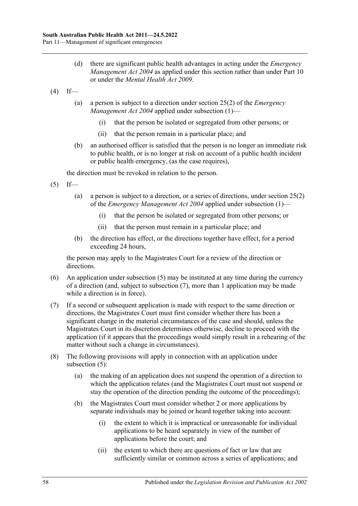- (d) there are significant public health advantages in acting under the *[Emergency](http://www.legislation.sa.gov.au/index.aspx?action=legref&type=act&legtitle=Emergency%20Management%20Act%202004)  [Management Act](http://www.legislation.sa.gov.au/index.aspx?action=legref&type=act&legtitle=Emergency%20Management%20Act%202004)* 2004 as applied under this section rather than under [Part](#page-41-2) 10 or under the *[Mental Health Act](http://www.legislation.sa.gov.au/index.aspx?action=legref&type=act&legtitle=Mental%20Health%20Act%202009) 2009*.
- <span id="page-57-2"></span> $(4)$  If—
	- (a) a person is subject to a direction under section 25(2) of the *[Emergency](http://www.legislation.sa.gov.au/index.aspx?action=legref&type=act&legtitle=Emergency%20Management%20Act%202004)  [Management Act](http://www.legislation.sa.gov.au/index.aspx?action=legref&type=act&legtitle=Emergency%20Management%20Act%202004) 2004* applied under [subsection](#page-56-1) (1)—
		- (i) that the person be isolated or segregated from other persons; or
		- (ii) that the person remain in a particular place; and
	- (b) an authorised officer is satisfied that the person is no longer an immediate risk to public health, or is no longer at risk on account of a public health incident or public health emergency, (as the case requires),

the direction must be revoked in relation to the person.

- <span id="page-57-0"></span> $(5)$  If—
	- (a) a person is subject to a direction, or a series of directions, under section 25(2) of the *[Emergency Management Act](http://www.legislation.sa.gov.au/index.aspx?action=legref&type=act&legtitle=Emergency%20Management%20Act%202004) 2004* applied under [subsection](#page-56-1) (1)—
		- (i) that the person be isolated or segregated from other persons; or
		- (ii) that the person must remain in a particular place; and
	- (b) the direction has effect, or the directions together have effect, for a period exceeding 24 hours,

the person may apply to the Magistrates Court for a review of the direction or directions.

- (6) An application under [subsection](#page-57-0) (5) may be instituted at any time during the currency of a direction (and, subject to [subsection](#page-57-1) (7), more than 1 application may be made while a direction is in force).
- <span id="page-57-1"></span>(7) If a second or subsequent application is made with respect to the same direction or directions, the Magistrates Court must first consider whether there has been a significant change in the material circumstances of the case and should, unless the Magistrates Court in its discretion determines otherwise, decline to proceed with the application (if it appears that the proceedings would simply result in a rehearing of the matter without such a change in circumstances).
- (8) The following provisions will apply in connection with an application under [subsection](#page-57-0) (5):
	- (a) the making of an application does not suspend the operation of a direction to which the application relates (and the Magistrates Court must not suspend or stay the operation of the direction pending the outcome of the proceedings);
	- (b) the Magistrates Court must consider whether 2 or more applications by separate individuals may be joined or heard together taking into account:
		- (i) the extent to which it is impractical or unreasonable for individual applications to be heard separately in view of the number of applications before the court; and
		- (ii) the extent to which there are questions of fact or law that are sufficiently similar or common across a series of applications; and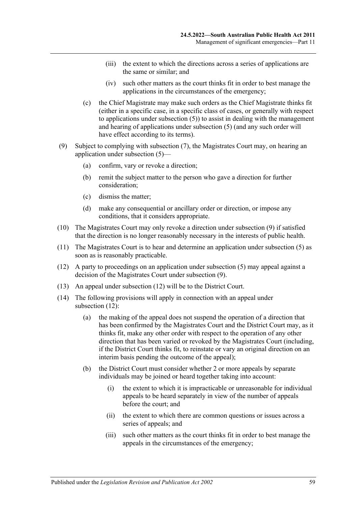- (iii) the extent to which the directions across a series of applications are the same or similar; and
- (iv) such other matters as the court thinks fit in order to best manage the applications in the circumstances of the emergency;
- (c) the Chief Magistrate may make such orders as the Chief Magistrate thinks fit (either in a specific case, in a specific class of cases, or generally with respect to applications under [subsection](#page-57-0) (5)) to assist in dealing with the management and hearing of applications under [subsection](#page-57-0) (5) (and any such order will have effect according to its terms).
- <span id="page-58-0"></span>(9) Subject to complying with [subsection](#page-57-1) (7), the Magistrates Court may, on hearing an application under [subsection](#page-57-0) (5)—
	- (a) confirm, vary or revoke a direction;
	- (b) remit the subject matter to the person who gave a direction for further consideration;
	- (c) dismiss the matter;
	- (d) make any consequential or ancillary order or direction, or impose any conditions, that it considers appropriate.
- (10) The Magistrates Court may only revoke a direction under [subsection](#page-58-0) (9) if satisfied that the direction is no longer reasonably necessary in the interests of public health.
- (11) The Magistrates Court is to hear and determine an application under [subsection](#page-57-0) (5) as soon as is reasonably practicable.
- <span id="page-58-1"></span>(12) A party to proceedings on an application under [subsection](#page-57-0) (5) may appeal against a decision of the Magistrates Court under [subsection](#page-58-0) (9).
- (13) An appeal under [subsection](#page-58-1) (12) will be to the District Court.
- (14) The following provisions will apply in connection with an appeal under [subsection](#page-58-1) (12):
	- (a) the making of the appeal does not suspend the operation of a direction that has been confirmed by the Magistrates Court and the District Court may, as it thinks fit, make any other order with respect to the operation of any other direction that has been varied or revoked by the Magistrates Court (including, if the District Court thinks fit, to reinstate or vary an original direction on an interim basis pending the outcome of the appeal);
	- (b) the District Court must consider whether 2 or more appeals by separate individuals may be joined or heard together taking into account:
		- (i) the extent to which it is impracticable or unreasonable for individual appeals to be heard separately in view of the number of appeals before the court; and
		- (ii) the extent to which there are common questions or issues across a series of appeals; and
		- (iii) such other matters as the court thinks fit in order to best manage the appeals in the circumstances of the emergency;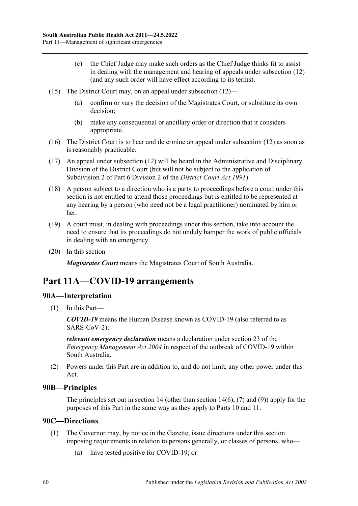- (c) the Chief Judge may make such orders as the Chief Judge thinks fit to assist in dealing with the management and hearing of appeals under [subsection](#page-58-1) (12) (and any such order will have effect according to its terms).
- (15) The District Court may, on an appeal under [subsection](#page-58-1) (12)—
	- (a) confirm or vary the decision of the Magistrates Court, or substitute its own decision;
	- (b) make any consequential or ancillary order or direction that it considers appropriate.
- (16) The District Court is to hear and determine an appeal under [subsection](#page-58-1) (12) as soon as is reasonably practicable.
- (17) An appeal under [subsection](#page-58-1) (12) will be heard in the Administrative and Disciplinary Division of the District Court (but will not be subject to the application of Subdivision 2 of Part 6 Division 2 of the *[District Court Act](http://www.legislation.sa.gov.au/index.aspx?action=legref&type=act&legtitle=District%20Court%20Act%201991) 1991*).
- (18) A person subject to a direction who is a party to proceedings before a court under this section is not entitled to attend those proceedings but is entitled to be represented at any hearing by a person (who need not be a legal practitioner) nominated by him or her.
- (19) A court must, in dealing with proceedings under this section, take into account the need to ensure that its proceedings do not unduly hamper the work of public officials in dealing with an emergency.
- (20) In this section—

*Magistrates Court* means the Magistrates Court of South Australia.

# **Part 11A—COVID-19 arrangements**

# **90A—Interpretation**

(1) In this Part—

*COVID-19* means the Human Disease known as COVID-19 (also referred to as SARS-CoV-2);

*relevant emergency declaration* means a declaration under section 23 of the *[Emergency Management](http://www.legislation.sa.gov.au/index.aspx?action=legref&type=act&legtitle=Emergency%20Management%20Act%202004) Act 2004* in respect of the outbreak of COVID-19 within South Australia.

(2) Powers under this Part are in addition to, and do not limit, any other power under this Act.

# **90B—Principles**

The principles set out in [section](#page-10-0) 14 (other than section 14(6), [\(7\)](#page-10-1) and [\(9\)\)](#page-11-0) apply for the purposes of this Part in the same way as they apply to [Parts](#page-41-2) 10 and [11.](#page-54-4)

# <span id="page-59-1"></span><span id="page-59-0"></span>**90C—Directions**

- (1) The Governor may, by notice in the Gazette, issue directions under this section imposing requirements in relation to persons generally, or classes of persons, who—
	- (a) have tested positive for COVID-19; or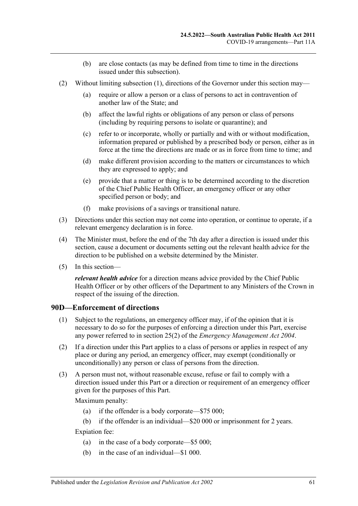- (b) are close contacts (as may be defined from time to time in the directions issued under this subsection).
- (2) Without limiting [subsection](#page-59-0) (1), directions of the Governor under this section may—
	- (a) require or allow a person or a class of persons to act in contravention of another law of the State; and
	- (b) affect the lawful rights or obligations of any person or class of persons (including by requiring persons to isolate or quarantine); and
	- (c) refer to or incorporate, wholly or partially and with or without modification, information prepared or published by a prescribed body or person, either as in force at the time the directions are made or as in force from time to time; and
	- (d) make different provision according to the matters or circumstances to which they are expressed to apply; and
	- (e) provide that a matter or thing is to be determined according to the discretion of the Chief Public Health Officer, an emergency officer or any other specified person or body; and
	- (f) make provisions of a savings or transitional nature.
- (3) Directions under this section may not come into operation, or continue to operate, if a relevant emergency declaration is in force.
- (4) The Minister must, before the end of the 7th day after a direction is issued under this section, cause a document or documents setting out the relevant health advice for the direction to be published on a website determined by the Minister.
- (5) In this section—

*relevant health advice* for a direction means advice provided by the Chief Public Health Officer or by other officers of the Department to any Ministers of the Crown in respect of the issuing of the direction.

#### **90D—Enforcement of directions**

- (1) Subject to the regulations, an emergency officer may, if of the opinion that it is necessary to do so for the purposes of enforcing a direction under this Part, exercise any power referred to in section 25(2) of the *[Emergency Management Act](http://www.legislation.sa.gov.au/index.aspx?action=legref&type=act&legtitle=Emergency%20Management%20Act%202004) 2004*.
- (2) If a direction under this Part applies to a class of persons or applies in respect of any place or during any period, an emergency officer, may exempt (conditionally or unconditionally) any person or class of persons from the direction.
- (3) A person must not, without reasonable excuse, refuse or fail to comply with a direction issued under this Part or a direction or requirement of an emergency officer given for the purposes of this Part.

Maximum penalty:

- (a) if the offender is a body corporate—\$75 000;
- (b) if the offender is an individual—\$20 000 or imprisonment for 2 years.

Expiation fee:

- (a) in the case of a body corporate—\$5 000;
- (b) in the case of an individual—\$1 000.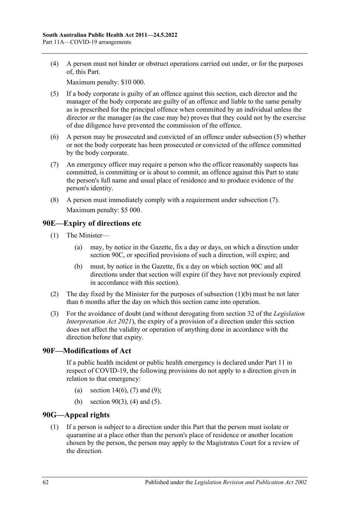(4) A person must not hinder or obstruct operations carried out under, or for the purposes of, this Part.

Maximum penalty: \$10 000.

- <span id="page-61-0"></span>(5) If a body corporate is guilty of an offence against this section, each director and the manager of the body corporate are guilty of an offence and liable to the same penalty as is prescribed for the principal offence when committed by an individual unless the director or the manager (as the case may be) proves that they could not by the exercise of due diligence have prevented the commission of the offence.
- (6) A person may be prosecuted and convicted of an offence under [subsection](#page-61-0) (5) whether or not the body corporate has been prosecuted or convicted of the offence committed by the body corporate.
- <span id="page-61-1"></span>(7) An emergency officer may require a person who the officer reasonably suspects has committed, is committing or is about to commit, an offence against this Part to state the person's full name and usual place of residence and to produce evidence of the person's identity.
- (8) A person must immediately comply with a requirement under [subsection](#page-61-1) (7). Maximum penalty: \$5 000.

# **90E—Expiry of directions etc**

- <span id="page-61-2"></span>(1) The Minister—
	- (a) may, by notice in the Gazette, fix a day or days, on which a direction under [section](#page-59-1) 90C, or specified provisions of such a direction, will expire; and
	- (b) must, by notice in the Gazette, fix a day on which [section](#page-59-1) 90C and all directions under that section will expire (if they have not previously expired in accordance with this section).
- (2) The day fixed by the Minister for the purposes of [subsection](#page-61-2)  $(1)(b)$  must be not later than 6 months after the day on which this section came into operation.
- (3) For the avoidance of doubt (and without derogating from section 32 of the *[Legislation](http://www.legislation.sa.gov.au/index.aspx?action=legref&type=act&legtitle=Legislation%20Interpretation%20Act%202021)  [Interpretation Act](http://www.legislation.sa.gov.au/index.aspx?action=legref&type=act&legtitle=Legislation%20Interpretation%20Act%202021) 2021*), the expiry of a provision of a direction under this section does not affect the validity or operation of anything done in accordance with the direction before that expiry.

# **90F—Modifications of Act**

If a public health incident or public health emergency is declared under [Part](#page-54-4) 11 in respect of COVID-19, the following provisions do not apply to a direction given in relation to that emergency:

- (a) [section](#page-10-0)  $14(6)$ , [\(7\)](#page-10-1) and [\(9\);](#page-11-0)
- (b) [section](#page-56-2)  $90(3)$ , [\(4\)](#page-57-2) and [\(5\).](#page-57-0)

# <span id="page-61-3"></span>**90G—Appeal rights**

(1) If a person is subject to a direction under this Part that the person must isolate or quarantine at a place other than the person's place of residence or another location chosen by the person, the person may apply to the Magistrates Court for a review of the direction.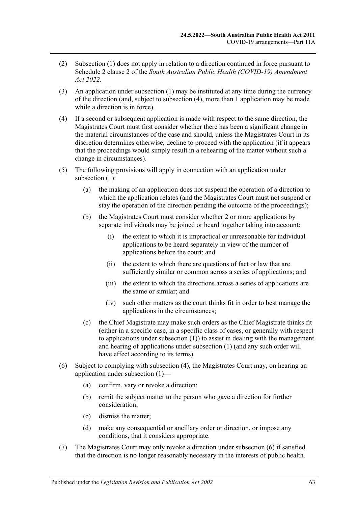- (2) [Subsection](#page-61-3) (1) does not apply in relation to a direction continued in force pursuant to Schedule 2 clause 2 of the *[South Australian Public Health \(COVID-19\) Amendment](http://www.legislation.sa.gov.au/index.aspx?action=legref&type=act&legtitle=South%20Australian%20Public%20Health%20(COVID-19)%20Amendment%20Act%202022)  Act [2022](http://www.legislation.sa.gov.au/index.aspx?action=legref&type=act&legtitle=South%20Australian%20Public%20Health%20(COVID-19)%20Amendment%20Act%202022)*.
- (3) An application under [subsection](#page-61-3) (1) may be instituted at any time during the currency of the direction (and, subject to [subsection](#page-62-0) (4), more than 1 application may be made while a direction is in force).
- <span id="page-62-0"></span>(4) If a second or subsequent application is made with respect to the same direction, the Magistrates Court must first consider whether there has been a significant change in the material circumstances of the case and should, unless the Magistrates Court in its discretion determines otherwise, decline to proceed with the application (if it appears that the proceedings would simply result in a rehearing of the matter without such a change in circumstances).
- (5) The following provisions will apply in connection with an application under [subsection](#page-61-3) (1):
	- (a) the making of an application does not suspend the operation of a direction to which the application relates (and the Magistrates Court must not suspend or stay the operation of the direction pending the outcome of the proceedings);
	- (b) the Magistrates Court must consider whether 2 or more applications by separate individuals may be joined or heard together taking into account:
		- (i) the extent to which it is impractical or unreasonable for individual applications to be heard separately in view of the number of applications before the court; and
		- (ii) the extent to which there are questions of fact or law that are sufficiently similar or common across a series of applications; and
		- (iii) the extent to which the directions across a series of applications are the same or similar; and
		- (iv) such other matters as the court thinks fit in order to best manage the applications in the circumstances;
	- (c) the Chief Magistrate may make such orders as the Chief Magistrate thinks fit (either in a specific case, in a specific class of cases, or generally with respect to applications under [subsection](#page-61-3) (1)) to assist in dealing with the management and hearing of applications under [subsection](#page-61-3) (1) (and any such order will have effect according to its terms).
- <span id="page-62-1"></span>(6) Subject to complying with [subsection](#page-62-0) (4), the Magistrates Court may, on hearing an application under [subsection](#page-61-3) (1)—
	- (a) confirm, vary or revoke a direction;
	- (b) remit the subject matter to the person who gave a direction for further consideration;
	- (c) dismiss the matter;
	- (d) make any consequential or ancillary order or direction, or impose any conditions, that it considers appropriate.
- (7) The Magistrates Court may only revoke a direction under [subsection](#page-62-1) (6) if satisfied that the direction is no longer reasonably necessary in the interests of public health.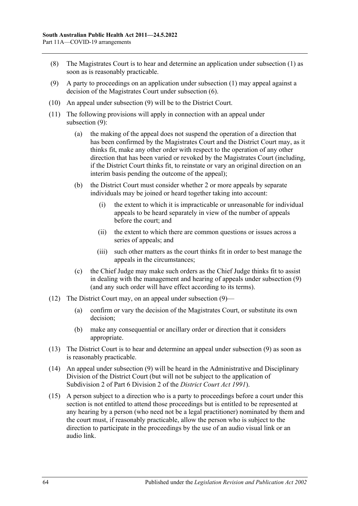- (8) The Magistrates Court is to hear and determine an application under [subsection](#page-61-3) (1) as soon as is reasonably practicable.
- <span id="page-63-0"></span>(9) A party to proceedings on an application under [subsection](#page-61-3) (1) may appeal against a decision of the Magistrates Court under [subsection](#page-62-1) (6).
- (10) An appeal under [subsection](#page-63-0) (9) will be to the District Court.
- (11) The following provisions will apply in connection with an appeal under [subsection](#page-63-0) (9):
	- (a) the making of the appeal does not suspend the operation of a direction that has been confirmed by the Magistrates Court and the District Court may, as it thinks fit, make any other order with respect to the operation of any other direction that has been varied or revoked by the Magistrates Court (including, if the District Court thinks fit, to reinstate or vary an original direction on an interim basis pending the outcome of the appeal);
	- (b) the District Court must consider whether 2 or more appeals by separate individuals may be joined or heard together taking into account:
		- (i) the extent to which it is impracticable or unreasonable for individual appeals to be heard separately in view of the number of appeals before the court; and
		- (ii) the extent to which there are common questions or issues across a series of appeals; and
		- (iii) such other matters as the court thinks fit in order to best manage the appeals in the circumstances;
	- (c) the Chief Judge may make such orders as the Chief Judge thinks fit to assist in dealing with the management and hearing of appeals under [subsection](#page-63-0) (9) (and any such order will have effect according to its terms).
- (12) The District Court may, on an appeal under [subsection](#page-63-0) (9)—
	- (a) confirm or vary the decision of the Magistrates Court, or substitute its own decision;
	- (b) make any consequential or ancillary order or direction that it considers appropriate.
- (13) The District Court is to hear and determine an appeal under [subsection](#page-63-0) (9) as soon as is reasonably practicable.
- (14) An appeal under [subsection](#page-63-0) (9) will be heard in the Administrative and Disciplinary Division of the District Court (but will not be subject to the application of Subdivision 2 of Part 6 Division 2 of the *[District Court Act](http://www.legislation.sa.gov.au/index.aspx?action=legref&type=act&legtitle=District%20Court%20Act%201991) 1991*).
- (15) A person subject to a direction who is a party to proceedings before a court under this section is not entitled to attend those proceedings but is entitled to be represented at any hearing by a person (who need not be a legal practitioner) nominated by them and the court must, if reasonably practicable, allow the person who is subject to the direction to participate in the proceedings by the use of an audio visual link or an audio link.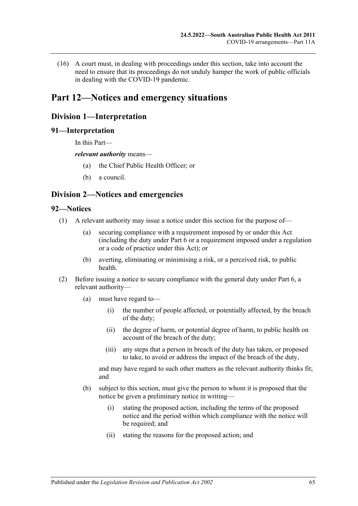(16) A court must, in dealing with proceedings under this section, take into account the need to ensure that its proceedings do not unduly hamper the work of public officials in dealing with the COVID-19 pandemic.

# **Part 12—Notices and emergency situations**

# **Division 1—Interpretation**

### **91—Interpretation**

In this Part—

#### *relevant authority* means—

- (a) the Chief Public Health Officer; or
- (b) a council.

# **Division 2—Notices and emergencies**

# **92—Notices**

- (1) A relevant authority may issue a notice under this section for the purpose of—
	- (a) securing compliance with a requirement imposed by or under this Act (including the duty under [Part](#page-32-0) 6 or a requirement imposed under a regulation or a code of practice under this Act); or
	- (b) averting, eliminating or minimising a risk, or a perceived risk, to public health.
- (2) Before issuing a notice to secure compliance with the general duty under [Part](#page-32-0) 6, a relevant authority—
	- (a) must have regard to—
		- (i) the number of people affected, or potentially affected, by the breach of the duty;
		- (ii) the degree of harm, or potential degree of harm, to public health on account of the breach of the duty;
		- (iii) any steps that a person in breach of the duty has taken, or proposed to take, to avoid or address the impact of the breach of the duty,

and may have regard to such other matters as the relevant authority thinks fit; and

- <span id="page-64-0"></span>(b) subject to this section, must give the person to whom it is proposed that the notice be given a preliminary notice in writing—
	- (i) stating the proposed action, including the terms of the proposed notice and the period within which compliance with the notice will be required; and
	- (ii) stating the reasons for the proposed action; and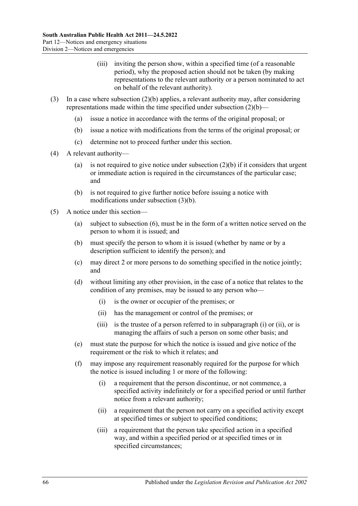- (iii) inviting the person show, within a specified time (of a reasonable period), why the proposed action should not be taken (by making representations to the relevant authority or a person nominated to act on behalf of the relevant authority).
- <span id="page-65-0"></span>(3) In a case where [subsection](#page-64-0) (2)(b) applies, a relevant authority may, after considering representations made within the time specified under [subsection](#page-64-0)  $(2)(b)$ —
	- (a) issue a notice in accordance with the terms of the original proposal; or
	- (b) issue a notice with modifications from the terms of the original proposal; or
	- (c) determine not to proceed further under this section.
- (4) A relevant authority
	- (a) is not required to give notice under [subsection](#page-64-0)  $(2)(b)$  if it considers that urgent or immediate action is required in the circumstances of the particular case; and
	- (b) is not required to give further notice before issuing a notice with modifications under [subsection](#page-65-0) (3)(b).
- <span id="page-65-3"></span><span id="page-65-2"></span><span id="page-65-1"></span>(5) A notice under this section—
	- (a) subject to [subsection](#page-66-0) (6), must be in the form of a written notice served on the person to whom it is issued; and
	- (b) must specify the person to whom it is issued (whether by name or by a description sufficient to identify the person); and
	- (c) may direct 2 or more persons to do something specified in the notice jointly; and
	- (d) without limiting any other provision, in the case of a notice that relates to the condition of any premises, may be issued to any person who—
		- (i) is the owner or occupier of the premises; or
		- (ii) has the management or control of the premises; or
		- (iii) is the trustee of a person referred to in [subparagraph](#page-65-1) (i) or [\(ii\),](#page-65-2) or is managing the affairs of such a person on some other basis; and
	- (e) must state the purpose for which the notice is issued and give notice of the requirement or the risk to which it relates; and
	- (f) may impose any requirement reasonably required for the purpose for which the notice is issued including 1 or more of the following:
		- (i) a requirement that the person discontinue, or not commence, a specified activity indefinitely or for a specified period or until further notice from a relevant authority;
		- (ii) a requirement that the person not carry on a specified activity except at specified times or subject to specified conditions;
		- (iii) a requirement that the person take specified action in a specified way, and within a specified period or at specified times or in specified circumstances;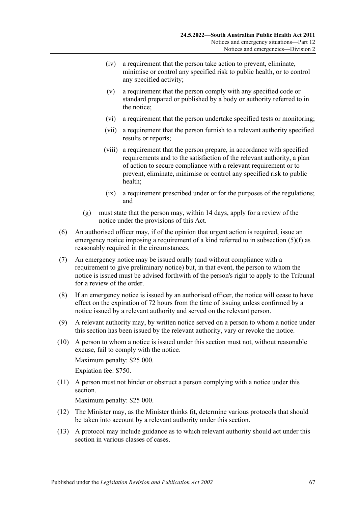- (iv) a requirement that the person take action to prevent, eliminate, minimise or control any specified risk to public health, or to control any specified activity;
- (v) a requirement that the person comply with any specified code or standard prepared or published by a body or authority referred to in the notice;
- (vi) a requirement that the person undertake specified tests or monitoring;
- (vii) a requirement that the person furnish to a relevant authority specified results or reports;
- (viii) a requirement that the person prepare, in accordance with specified requirements and to the satisfaction of the relevant authority, a plan of action to secure compliance with a relevant requirement or to prevent, eliminate, minimise or control any specified risk to public health;
- (ix) a requirement prescribed under or for the purposes of the regulations; and
- (g) must state that the person may, within 14 days, apply for a review of the notice under the provisions of this Act.
- <span id="page-66-0"></span>(6) An authorised officer may, if of the opinion that urgent action is required, issue an emergency notice imposing a requirement of a kind referred to in [subsection](#page-65-3) (5)(f) as reasonably required in the circumstances.
- (7) An emergency notice may be issued orally (and without compliance with a requirement to give preliminary notice) but, in that event, the person to whom the notice is issued must be advised forthwith of the person's right to apply to the Tribunal for a review of the order.
- (8) If an emergency notice is issued by an authorised officer, the notice will cease to have effect on the expiration of 72 hours from the time of issuing unless confirmed by a notice issued by a relevant authority and served on the relevant person.
- (9) A relevant authority may, by written notice served on a person to whom a notice under this section has been issued by the relevant authority, vary or revoke the notice.
- (10) A person to whom a notice is issued under this section must not, without reasonable excuse, fail to comply with the notice. Maximum penalty: \$25 000. Expiation fee: \$750.
- (11) A person must not hinder or obstruct a person complying with a notice under this section.

Maximum penalty: \$25 000.

- (12) The Minister may, as the Minister thinks fit, determine various protocols that should be taken into account by a relevant authority under this section.
- (13) A protocol may include guidance as to which relevant authority should act under this section in various classes of cases.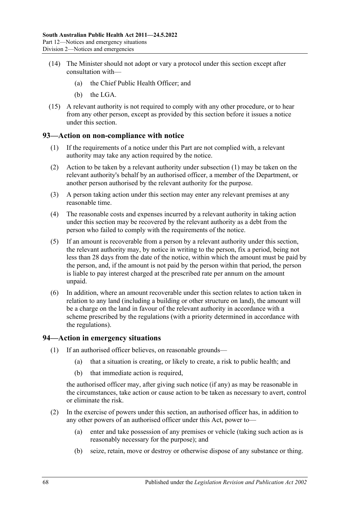- (14) The Minister should not adopt or vary a protocol under this section except after consultation with—
	- (a) the Chief Public Health Officer; and
	- (b) the LGA.
- (15) A relevant authority is not required to comply with any other procedure, or to hear from any other person, except as provided by this section before it issues a notice under this section.

# <span id="page-67-0"></span>**93—Action on non-compliance with notice**

- (1) If the requirements of a notice under this Part are not complied with, a relevant authority may take any action required by the notice.
- (2) Action to be taken by a relevant authority under [subsection](#page-67-0) (1) may be taken on the relevant authority's behalf by an authorised officer, a member of the Department, or another person authorised by the relevant authority for the purpose.
- (3) A person taking action under this section may enter any relevant premises at any reasonable time.
- (4) The reasonable costs and expenses incurred by a relevant authority in taking action under this section may be recovered by the relevant authority as a debt from the person who failed to comply with the requirements of the notice.
- (5) If an amount is recoverable from a person by a relevant authority under this section, the relevant authority may, by notice in writing to the person, fix a period, being not less than 28 days from the date of the notice, within which the amount must be paid by the person, and, if the amount is not paid by the person within that period, the person is liable to pay interest charged at the prescribed rate per annum on the amount unpaid.
- (6) In addition, where an amount recoverable under this section relates to action taken in relation to any land (including a building or other structure on land), the amount will be a charge on the land in favour of the relevant authority in accordance with a scheme prescribed by the regulations (with a priority determined in accordance with the regulations).

#### **94—Action in emergency situations**

- (1) If an authorised officer believes, on reasonable grounds—
	- (a) that a situation is creating, or likely to create, a risk to public health; and
	- (b) that immediate action is required,

the authorised officer may, after giving such notice (if any) as may be reasonable in the circumstances, take action or cause action to be taken as necessary to avert, control or eliminate the risk.

- <span id="page-67-1"></span>(2) In the exercise of powers under this section, an authorised officer has, in addition to any other powers of an authorised officer under this Act, power to—
	- (a) enter and take possession of any premises or vehicle (taking such action as is reasonably necessary for the purpose); and
	- (b) seize, retain, move or destroy or otherwise dispose of any substance or thing.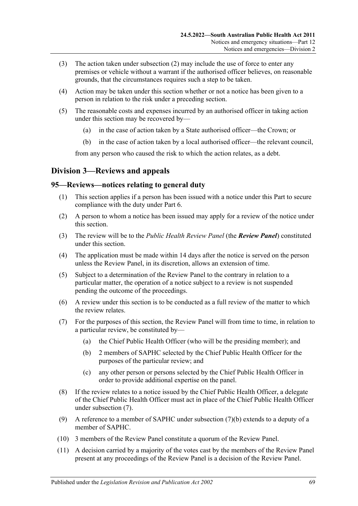- (3) The action taken under [subsection](#page-67-1) (2) may include the use of force to enter any premises or vehicle without a warrant if the authorised officer believes, on reasonable grounds, that the circumstances requires such a step to be taken.
- (4) Action may be taken under this section whether or not a notice has been given to a person in relation to the risk under a preceding section.
- (5) The reasonable costs and expenses incurred by an authorised officer in taking action under this section may be recovered by—
	- (a) in the case of action taken by a State authorised officer—the Crown; or
	- (b) in the case of action taken by a local authorised officer—the relevant council,

from any person who caused the risk to which the action relates, as a debt.

# **Division 3—Reviews and appeals**

### <span id="page-68-2"></span>**95—Reviews—notices relating to general duty**

- (1) This section applies if a person has been issued with a notice under this Part to secure compliance with the duty under [Part](#page-32-0) 6.
- (2) A person to whom a notice has been issued may apply for a review of the notice under this section.
- (3) The review will be to the *Public Health Review Panel* (the *Review Panel*) constituted under this section.
- (4) The application must be made within 14 days after the notice is served on the person unless the Review Panel, in its discretion, allows an extension of time.
- (5) Subject to a determination of the Review Panel to the contrary in relation to a particular matter, the operation of a notice subject to a review is not suspended pending the outcome of the proceedings.
- (6) A review under this section is to be conducted as a full review of the matter to which the review relates.
- <span id="page-68-1"></span><span id="page-68-0"></span>(7) For the purposes of this section, the Review Panel will from time to time, in relation to a particular review, be constituted by—
	- (a) the Chief Public Health Officer (who will be the presiding member); and
	- (b) 2 members of SAPHC selected by the Chief Public Health Officer for the purposes of the particular review; and
	- (c) any other person or persons selected by the Chief Public Health Officer in order to provide additional expertise on the panel.
- (8) If the review relates to a notice issued by the Chief Public Health Officer, a delegate of the Chief Public Health Officer must act in place of the Chief Public Health Officer under [subsection](#page-68-0) (7).
- (9) A reference to a member of SAPHC under [subsection](#page-68-1) (7)(b) extends to a deputy of a member of SAPHC.
- (10) 3 members of the Review Panel constitute a quorum of the Review Panel.
- (11) A decision carried by a majority of the votes cast by the members of the Review Panel present at any proceedings of the Review Panel is a decision of the Review Panel.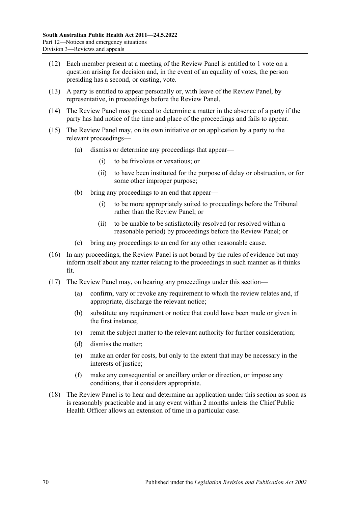- (12) Each member present at a meeting of the Review Panel is entitled to 1 vote on a question arising for decision and, in the event of an equality of votes, the person presiding has a second, or casting, vote.
- (13) A party is entitled to appear personally or, with leave of the Review Panel, by representative, in proceedings before the Review Panel.
- (14) The Review Panel may proceed to determine a matter in the absence of a party if the party has had notice of the time and place of the proceedings and fails to appear.
- (15) The Review Panel may, on its own initiative or on application by a party to the relevant proceedings—
	- (a) dismiss or determine any proceedings that appear—
		- (i) to be frivolous or vexatious; or
		- (ii) to have been instituted for the purpose of delay or obstruction, or for some other improper purpose;
	- (b) bring any proceedings to an end that appear—
		- (i) to be more appropriately suited to proceedings before the Tribunal rather than the Review Panel; or
		- (ii) to be unable to be satisfactorily resolved (or resolved within a reasonable period) by proceedings before the Review Panel; or
	- (c) bring any proceedings to an end for any other reasonable cause.
- (16) In any proceedings, the Review Panel is not bound by the rules of evidence but may inform itself about any matter relating to the proceedings in such manner as it thinks fit.
- (17) The Review Panel may, on hearing any proceedings under this section—
	- (a) confirm, vary or revoke any requirement to which the review relates and, if appropriate, discharge the relevant notice;
	- (b) substitute any requirement or notice that could have been made or given in the first instance;
	- (c) remit the subject matter to the relevant authority for further consideration;
	- (d) dismiss the matter;
	- (e) make an order for costs, but only to the extent that may be necessary in the interests of justice;
	- (f) make any consequential or ancillary order or direction, or impose any conditions, that it considers appropriate.
- (18) The Review Panel is to hear and determine an application under this section as soon as is reasonably practicable and in any event within 2 months unless the Chief Public Health Officer allows an extension of time in a particular case.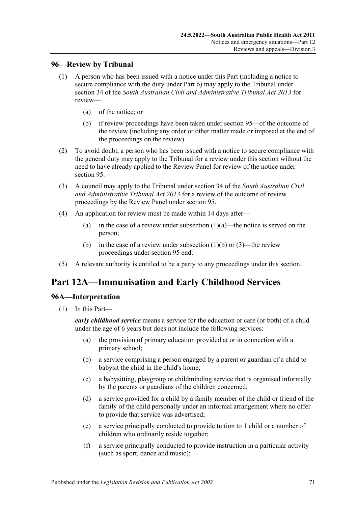# **96—Review by Tribunal**

- <span id="page-70-0"></span>(1) A person who has been issued with a notice under this Part (including a notice to secure compliance with the duty under [Part](#page-32-0) 6) may apply to the Tribunal under section 34 of the *[South Australian Civil and Administrative Tribunal Act](http://www.legislation.sa.gov.au/index.aspx?action=legref&type=act&legtitle=South%20Australian%20Civil%20and%20Administrative%20Tribunal%20Act%202013) 2013* for review—
	- (a) of the notice; or
	- (b) if review proceedings have been taken under [section](#page-68-2) 95—of the outcome of the review (including any order or other matter made or imposed at the end of the proceedings on the review).
- <span id="page-70-1"></span>(2) To avoid doubt, a person who has been issued with a notice to secure compliance with the general duty may apply to the Tribunal for a review under this section without the need to have already applied to the Review Panel for review of the notice under [section](#page-68-2) 95.
- (3) A council may apply to the Tribunal under section 34 of the *[South Australian Civil](http://www.legislation.sa.gov.au/index.aspx?action=legref&type=act&legtitle=South%20Australian%20Civil%20and%20Administrative%20Tribunal%20Act%202013)  [and Administrative Tribunal Act](http://www.legislation.sa.gov.au/index.aspx?action=legref&type=act&legtitle=South%20Australian%20Civil%20and%20Administrative%20Tribunal%20Act%202013) 2013* for a review of the outcome of review proceedings by the Review Panel under [section](#page-68-2) 95.
- (4) An application for review must be made within 14 days after
	- (a) in the case of a review under [subsection](#page-70-0)  $(1)(a)$ —the notice is served on the person;
	- (b) in the case of a review under [subsection](#page-70-1) (1)(b) or (3)—the review proceedings under [section](#page-68-2) 95 end.
- (5) A relevant authority is entitled to be a party to any proceedings under this section.

# **Part 12A—Immunisation and Early Childhood Services**

# **96A—Interpretation**

(1) In this Part—

*early childhood service* means a service for the education or care (or both) of a child under the age of 6 years but does not include the following services:

- (a) the provision of primary education provided at or in connection with a primary school;
- (b) a service comprising a person engaged by a parent or guardian of a child to babysit the child in the child's home;
- (c) a babysitting, playgroup or childminding service that is organised informally by the parents or guardians of the children concerned;
- (d) a service provided for a child by a family member of the child or friend of the family of the child personally under an informal arrangement where no offer to provide that service was advertised;
- (e) a service principally conducted to provide tuition to 1 child or a number of children who ordinarily reside together;
- (f) a service principally conducted to provide instruction in a particular activity (such as sport, dance and music);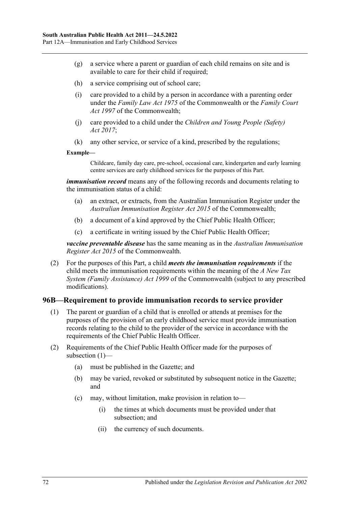- (g) a service where a parent or guardian of each child remains on site and is available to care for their child if required:
- (h) a service comprising out of school care;
- (i) care provided to a child by a person in accordance with a parenting order under the *Family Law Act 1975* of the Commonwealth or the *Family Court Act 1997* of the Commonwealth;
- (j) care provided to a child under the *[Children and Young People \(Safety\)](http://www.legislation.sa.gov.au/index.aspx?action=legref&type=act&legtitle=Children%20and%20Young%20People%20(Safety)%20Act%202017)  Act [2017](http://www.legislation.sa.gov.au/index.aspx?action=legref&type=act&legtitle=Children%20and%20Young%20People%20(Safety)%20Act%202017)*;
- (k) any other service, or service of a kind, prescribed by the regulations;

#### **Example—**

Childcare, family day care, pre-school, occasional care, kindergarten and early learning centre services are early childhood services for the purposes of this Part.

*immunisation record* means any of the following records and documents relating to the immunisation status of a child:

- (a) an extract, or extracts, from the Australian Immunisation Register under the *Australian Immunisation Register Act 2015* of the Commonwealth;
- (b) a document of a kind approved by the Chief Public Health Officer;
- (c) a certificate in writing issued by the Chief Public Health Officer;

*vaccine preventable disease* has the same meaning as in the *Australian Immunisation Register Act 2015* of the Commonwealth.

(2) For the purposes of this Part, a child *meets the immunisation requirements* if the child meets the immunisation requirements within the meaning of the *A New Tax System (Family Assistance) Act 1999* of the Commonwealth (subject to any prescribed modifications).

# <span id="page-71-0"></span>**96B—Requirement to provide immunisation records to service provider**

- (1) The parent or guardian of a child that is enrolled or attends at premises for the purposes of the provision of an early childhood service must provide immunisation records relating to the child to the provider of the service in accordance with the requirements of the Chief Public Health Officer.
- (2) Requirements of the Chief Public Health Officer made for the purposes of [subsection](#page-71-0) (1)—
	- (a) must be published in the Gazette; and
	- (b) may be varied, revoked or substituted by subsequent notice in the Gazette; and
	- (c) may, without limitation, make provision in relation to—
		- (i) the times at which documents must be provided under that subsection; and
		- (ii) the currency of such documents.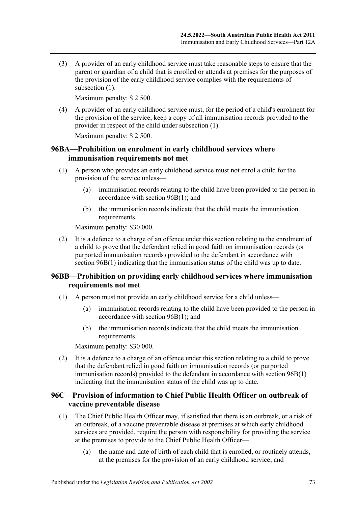(3) A provider of an early childhood service must take reasonable steps to ensure that the parent or guardian of a child that is enrolled or attends at premises for the purposes of the provision of the early childhood service complies with the requirements of [subsection](#page-71-0) (1).

Maximum penalty: \$ 2 500.

(4) A provider of an early childhood service must, for the period of a child's enrolment for the provision of the service, keep a copy of all immunisation records provided to the provider in respect of the child under [subsection](#page-71-0) (1).

Maximum penalty: \$ 2 500.

# **96BA—Prohibition on enrolment in early childhood services where immunisation requirements not met**

- (1) A person who provides an early childhood service must not enrol a child for the provision of the service unless—
	- (a) immunisation records relating to the child have been provided to the person in accordance with section [96B\(1\);](#page-71-0) and
	- (b) the immunisation records indicate that the child meets the immunisation requirements.

Maximum penalty: \$30 000.

(2) It is a defence to a charge of an offence under this section relating to the enrolment of a child to prove that the defendant relied in good faith on immunisation records (or purported immunisation records) provided to the defendant in accordance with section [96B\(1\)](#page-71-0) indicating that the immunisation status of the child was up to date.

# **96BB—Prohibition on providing early childhood services where immunisation requirements not met**

- (1) A person must not provide an early childhood service for a child unless—
	- (a) immunisation records relating to the child have been provided to the person in accordance with section [96B\(1\);](#page-71-0) and
	- (b) the immunisation records indicate that the child meets the immunisation requirements.

Maximum penalty: \$30 000.

(2) It is a defence to a charge of an offence under this section relating to a child to prove that the defendant relied in good faith on immunisation records (or purported immunisation records) provided to the defendant in accordance with [section](#page-71-0) 96B(1) indicating that the immunisation status of the child was up to date.

# **96C—Provision of information to Chief Public Health Officer on outbreak of vaccine preventable disease**

- <span id="page-72-1"></span><span id="page-72-0"></span>(1) The Chief Public Health Officer may, if satisfied that there is an outbreak, or a risk of an outbreak, of a vaccine preventable disease at premises at which early childhood services are provided, require the person with responsibility for providing the service at the premises to provide to the Chief Public Health Officer—
	- (a) the name and date of birth of each child that is enrolled, or routinely attends, at the premises for the provision of an early childhood service; and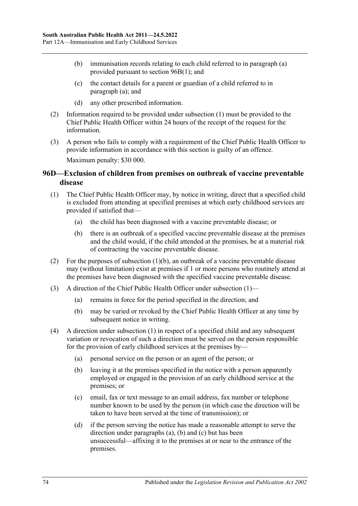- (b) immunisation records relating to each child referred to in [paragraph](#page-72-0) (a) provided pursuant to section [96B\(1\);](#page-71-0) and
- (c) the contact details for a parent or guardian of a child referred to in [paragraph](#page-72-0) (a); and
- (d) any other prescribed information.
- (2) Information required to be provided under [subsection](#page-72-1) (1) must be provided to the Chief Public Health Officer within 24 hours of the receipt of the request for the information.
- (3) A person who fails to comply with a requirement of the Chief Public Health Officer to provide information in accordance with this section is guilty of an offence. Maximum penalty: \$30 000.

# **96D—Exclusion of children from premises on outbreak of vaccine preventable disease**

- <span id="page-73-1"></span>(1) The Chief Public Health Officer may, by notice in writing, direct that a specified child is excluded from attending at specified premises at which early childhood services are provided if satisfied that—
	- (a) the child has been diagnosed with a vaccine preventable disease; or
	- (b) there is an outbreak of a specified vaccine preventable disease at the premises and the child would, if the child attended at the premises, be at a material risk of contracting the vaccine preventable disease.
- <span id="page-73-0"></span>(2) For the purposes of [subsection](#page-73-0)  $(1)(b)$ , an outbreak of a vaccine preventable disease may (without limitation) exist at premises if 1 or more persons who routinely attend at the premises have been diagnosed with the specified vaccine preventable disease.
- (3) A direction of the Chief Public Health Officer under [subsection](#page-73-1) (1)—
	- (a) remains in force for the period specified in the direction; and
	- (b) may be varied or revoked by the Chief Public Health Officer at any time by subsequent notice in writing.
- <span id="page-73-4"></span><span id="page-73-3"></span><span id="page-73-2"></span>(4) A direction under [subsection](#page-73-1) (1) in respect of a specified child and any subsequent variation or revocation of such a direction must be served on the person responsible for the provision of early childhood services at the premises by—
	- (a) personal service on the person or an agent of the person; or
	- (b) leaving it at the premises specified in the notice with a person apparently employed or engaged in the provision of an early childhood service at the premises; or
	- (c) email, fax or text message to an email address, fax number or telephone number known to be used by the person (in which case the direction will be taken to have been served at the time of transmission); or
	- (d) if the person serving the notice has made a reasonable attempt to serve the direction under [paragraphs](#page-73-2) (a), [\(b\)](#page-73-3) and [\(c\)](#page-73-4) but has been unsuccessful—affixing it to the premises at or near to the entrance of the premises.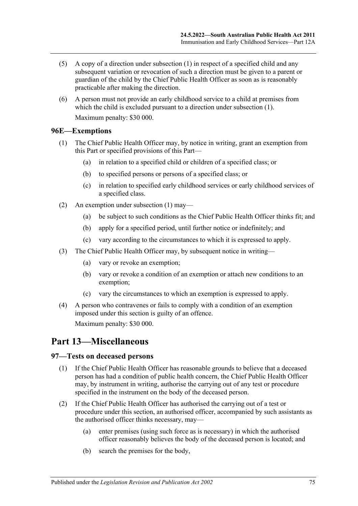- (5) A copy of a direction under [subsection](#page-73-1) (1) in respect of a specified child and any subsequent variation or revocation of such a direction must be given to a parent or guardian of the child by the Chief Public Health Officer as soon as is reasonably practicable after making the direction.
- (6) A person must not provide an early childhood service to a child at premises from which the child is excluded pursuant to a direction under [subsection](#page-73-1) (1). Maximum penalty: \$30 000.

# <span id="page-74-0"></span>**96E—Exemptions**

- (1) The Chief Public Health Officer may, by notice in writing, grant an exemption from this Part or specified provisions of this Part—
	- (a) in relation to a specified child or children of a specified class; or
	- (b) to specified persons or persons of a specified class; or
	- (c) in relation to specified early childhood services or early childhood services of a specified class.
- (2) An exemption under [subsection](#page-74-0) (1) may—
	- (a) be subject to such conditions as the Chief Public Health Officer thinks fit; and
	- (b) apply for a specified period, until further notice or indefinitely; and
	- (c) vary according to the circumstances to which it is expressed to apply.
- (3) The Chief Public Health Officer may, by subsequent notice in writing—
	- (a) vary or revoke an exemption;
	- (b) vary or revoke a condition of an exemption or attach new conditions to an exemption;
	- (c) vary the circumstances to which an exemption is expressed to apply.
- (4) A person who contravenes or fails to comply with a condition of an exemption imposed under this section is guilty of an offence. Maximum penalty: \$30 000.

# **Part 13—Miscellaneous**

# **97—Tests on deceased persons**

- (1) If the Chief Public Health Officer has reasonable grounds to believe that a deceased person has had a condition of public health concern, the Chief Public Health Officer may, by instrument in writing, authorise the carrying out of any test or procedure specified in the instrument on the body of the deceased person.
- <span id="page-74-1"></span>(2) If the Chief Public Health Officer has authorised the carrying out of a test or procedure under this section, an authorised officer, accompanied by such assistants as the authorised officer thinks necessary, may—
	- (a) enter premises (using such force as is necessary) in which the authorised officer reasonably believes the body of the deceased person is located; and
	- (b) search the premises for the body,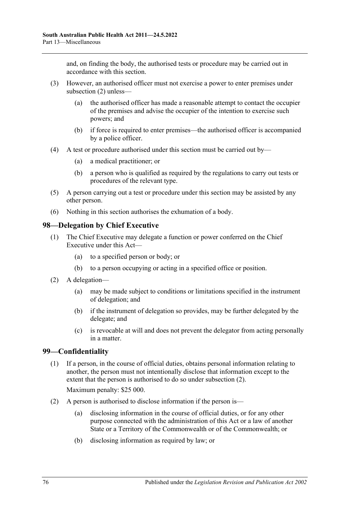and, on finding the body, the authorised tests or procedure may be carried out in accordance with this section.

- (3) However, an authorised officer must not exercise a power to enter premises under [subsection](#page-74-1) (2) unless—
	- (a) the authorised officer has made a reasonable attempt to contact the occupier of the premises and advise the occupier of the intention to exercise such powers; and
	- (b) if force is required to enter premises—the authorised officer is accompanied by a police officer.
- (4) A test or procedure authorised under this section must be carried out by—
	- (a) a medical practitioner; or
	- (b) a person who is qualified as required by the regulations to carry out tests or procedures of the relevant type.
- (5) A person carrying out a test or procedure under this section may be assisted by any other person.
- (6) Nothing in this section authorises the exhumation of a body.

#### **98—Delegation by Chief Executive**

- (1) The Chief Executive may delegate a function or power conferred on the Chief Executive under this Act—
	- (a) to a specified person or body; or
	- (b) to a person occupying or acting in a specified office or position.
- (2) A delegation—
	- (a) may be made subject to conditions or limitations specified in the instrument of delegation; and
	- (b) if the instrument of delegation so provides, may be further delegated by the delegate; and
	- (c) is revocable at will and does not prevent the delegator from acting personally in a matter.

# **99—Confidentiality**

(1) If a person, in the course of official duties, obtains personal information relating to another, the person must not intentionally disclose that information except to the extent that the person is authorised to do so under [subsection](#page-75-0) (2).

Maximum penalty: \$25 000.

- <span id="page-75-1"></span><span id="page-75-0"></span>(2) A person is authorised to disclose information if the person is
	- disclosing information in the course of official duties, or for any other purpose connected with the administration of this Act or a law of another State or a Territory of the Commonwealth or of the Commonwealth; or
	- (b) disclosing information as required by law; or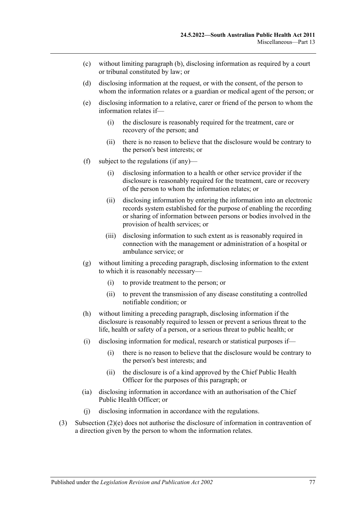- (c) without limiting [paragraph](#page-75-1) (b), disclosing information as required by a court or tribunal constituted by law; or
- (d) disclosing information at the request, or with the consent, of the person to whom the information relates or a guardian or medical agent of the person; or
- <span id="page-76-0"></span>(e) disclosing information to a relative, carer or friend of the person to whom the information relates if—
	- (i) the disclosure is reasonably required for the treatment, care or recovery of the person; and
	- (ii) there is no reason to believe that the disclosure would be contrary to the person's best interests; or
- (f) subject to the regulations (if any)—
	- (i) disclosing information to a health or other service provider if the disclosure is reasonably required for the treatment, care or recovery of the person to whom the information relates; or
	- (ii) disclosing information by entering the information into an electronic records system established for the purpose of enabling the recording or sharing of information between persons or bodies involved in the provision of health services; or
	- (iii) disclosing information to such extent as is reasonably required in connection with the management or administration of a hospital or ambulance service; or
- (g) without limiting a preceding paragraph, disclosing information to the extent to which it is reasonably necessary—
	- (i) to provide treatment to the person; or
	- (ii) to prevent the transmission of any disease constituting a controlled notifiable condition; or
- (h) without limiting a preceding paragraph, disclosing information if the disclosure is reasonably required to lessen or prevent a serious threat to the life, health or safety of a person, or a serious threat to public health; or
- (i) disclosing information for medical, research or statistical purposes if—
	- (i) there is no reason to believe that the disclosure would be contrary to the person's best interests; and
	- (ii) the disclosure is of a kind approved by the Chief Public Health Officer for the purposes of this paragraph; or
- (ia) disclosing information in accordance with an authorisation of the Chief Public Health Officer; or
- (j) disclosing information in accordance with the regulations.
- (3) [Subsection](#page-76-0) (2)(e) does not authorise the disclosure of information in contravention of a direction given by the person to whom the information relates.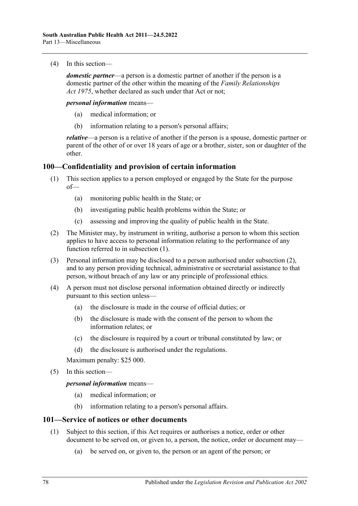(4) In this section—

*domestic partner*—a person is a domestic partner of another if the person is a domestic partner of the other within the meaning of the *[Family Relationships](http://www.legislation.sa.gov.au/index.aspx?action=legref&type=act&legtitle=Family%20Relationships%20Act%201975)  Act [1975](http://www.legislation.sa.gov.au/index.aspx?action=legref&type=act&legtitle=Family%20Relationships%20Act%201975)*, whether declared as such under that Act or not;

*personal information* means—

- (a) medical information; or
- (b) information relating to a person's personal affairs;

*relative*—a person is a relative of another if the person is a spouse, domestic partner or parent of the other of or over 18 years of age or a brother, sister, son or daughter of the other.

# <span id="page-77-0"></span>**100—Confidentiality and provision of certain information**

- (1) This section applies to a person employed or engaged by the State for the purpose of—
	- (a) monitoring public health in the State; or
	- (b) investigating public health problems within the State; or
	- (c) assessing and improving the quality of public health in the State.
- <span id="page-77-1"></span>(2) The Minister may, by instrument in writing, authorise a person to whom this section applies to have access to personal information relating to the performance of any function referred to in [subsection](#page-77-0) (1).
- (3) Personal information may be disclosed to a person authorised under [subsection](#page-77-1) (2), and to any person providing technical, administrative or secretarial assistance to that person, without breach of any law or any principle of professional ethics.
- (4) A person must not disclose personal information obtained directly or indirectly pursuant to this section unless—
	- (a) the disclosure is made in the course of official duties; or
	- (b) the disclosure is made with the consent of the person to whom the information relates; or
	- (c) the disclosure is required by a court or tribunal constituted by law; or
	- (d) the disclosure is authorised under the regulations.

Maximum penalty: \$25 000.

(5) In this section—

*personal information* means—

- (a) medical information; or
- (b) information relating to a person's personal affairs.

# <span id="page-77-2"></span>**101—Service of notices or other documents**

- <span id="page-77-3"></span>(1) Subject to this section, if this Act requires or authorises a notice, order or other document to be served on, or given to, a person, the notice, order or document may—
	- (a) be served on, or given to, the person or an agent of the person; or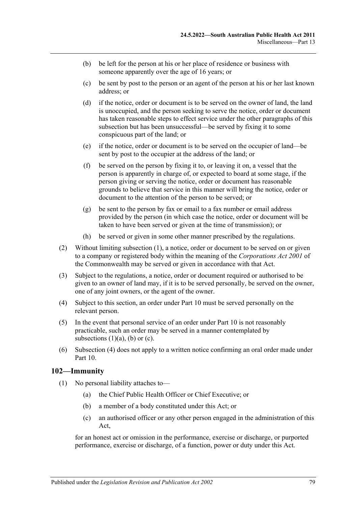- <span id="page-78-0"></span>(b) be left for the person at his or her place of residence or business with someone apparently over the age of 16 years; or
- <span id="page-78-1"></span>(c) be sent by post to the person or an agent of the person at his or her last known address; or
- (d) if the notice, order or document is to be served on the owner of land, the land is unoccupied, and the person seeking to serve the notice, order or document has taken reasonable steps to effect service under the other paragraphs of this subsection but has been unsuccessful—be served by fixing it to some conspicuous part of the land; or
- (e) if the notice, order or document is to be served on the occupier of land—be sent by post to the occupier at the address of the land; or
- (f) be served on the person by fixing it to, or leaving it on, a vessel that the person is apparently in charge of, or expected to board at some stage, if the person giving or serving the notice, order or document has reasonable grounds to believe that service in this manner will bring the notice, order or document to the attention of the person to be served; or
- (g) be sent to the person by fax or email to a fax number or email address provided by the person (in which case the notice, order or document will be taken to have been served or given at the time of transmission); or
- (h) be served or given in some other manner prescribed by the regulations.
- (2) Without limiting [subsection](#page-77-2) (1), a notice, order or document to be served on or given to a company or registered body within the meaning of the *Corporations Act 2001* of the Commonwealth may be served or given in accordance with that Act.
- (3) Subject to the regulations, a notice, order or document required or authorised to be given to an owner of land may, if it is to be served personally, be served on the owner, one of any joint owners, or the agent of the owner.
- <span id="page-78-2"></span>(4) Subject to this section, an order under [Part](#page-41-0) 10 must be served personally on the relevant person.
- (5) In the event that personal service of an order under [Part](#page-41-0) 10 is not reasonably practicable, such an order may be served in a manner contemplated by [subsections](#page-77-3)  $(1)(a)$ ,  $(b)$  or  $(c)$ .
- (6) [Subsection](#page-78-2) (4) does not apply to a written notice confirming an oral order made under [Part](#page-41-0) 10.

# <span id="page-78-3"></span>**102—Immunity**

- (1) No personal liability attaches to—
	- (a) the Chief Public Health Officer or Chief Executive; or
	- (b) a member of a body constituted under this Act; or
	- (c) an authorised officer or any other person engaged in the administration of this Act,

for an honest act or omission in the performance, exercise or discharge, or purported performance, exercise or discharge, of a function, power or duty under this Act.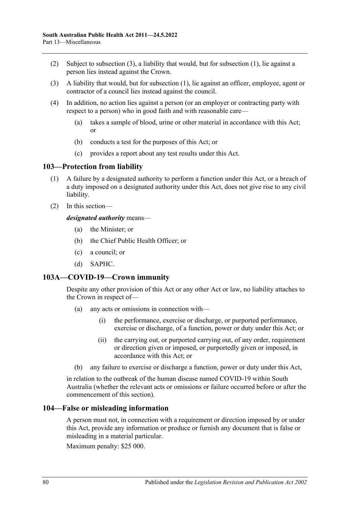- (2) Subject to [subsection](#page-79-0) (3), a liability that would, but for [subsection](#page-78-3) (1), lie against a person lies instead against the Crown.
- <span id="page-79-0"></span>(3) A liability that would, but for [subsection](#page-78-3) (1), lie against an officer, employee, agent or contractor of a council lies instead against the council.
- (4) In addition, no action lies against a person (or an employer or contracting party with respect to a person) who in good faith and with reasonable care—
	- (a) takes a sample of blood, urine or other material in accordance with this Act; or
	- (b) conducts a test for the purposes of this Act; or
	- (c) provides a report about any test results under this Act.

#### **103—Protection from liability**

- (1) A failure by a designated authority to perform a function under this Act, or a breach of a duty imposed on a designated authority under this Act, does not give rise to any civil liability.
- (2) In this section—

#### *designated authority* means—

- (a) the Minister; or
- (b) the Chief Public Health Officer; or
- (c) a council; or
- (d) SAPHC.

# **103A—COVID-19—Crown immunity**

Despite any other provision of this Act or any other Act or law, no liability attaches to the Crown in respect of—

- (a) any acts or omissions in connection with—
	- (i) the performance, exercise or discharge, or purported performance, exercise or discharge, of a function, power or duty under this Act; or
	- (ii) the carrying out, or purported carrying out, of any order, requirement or direction given or imposed, or purportedly given or imposed, in accordance with this Act; or
- (b) any failure to exercise or discharge a function, power or duty under this Act,

in relation to the outbreak of the human disease named COVID-19 within South Australia (whether the relevant acts or omissions or failure occurred before or after the commencement of this section).

#### **104—False or misleading information**

A person must not, in connection with a requirement or direction imposed by or under this Act, provide any information or produce or furnish any document that is false or misleading in a material particular.

Maximum penalty: \$25 000.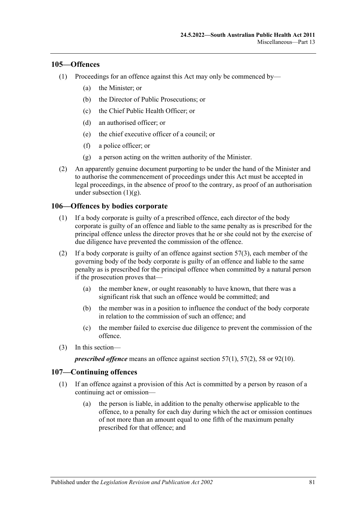#### **105—Offences**

- (1) Proceedings for an offence against this Act may only be commenced by—
	- (a) the Minister; or
	- (b) the Director of Public Prosecutions; or
	- (c) the Chief Public Health Officer; or
	- (d) an authorised officer; or
	- (e) the chief executive officer of a council; or
	- (f) a police officer; or
	- (g) a person acting on the written authority of the Minister.
- <span id="page-80-0"></span>(2) An apparently genuine document purporting to be under the hand of the Minister and to authorise the commencement of proceedings under this Act must be accepted in legal proceedings, in the absence of proof to the contrary, as proof of an authorisation under [subsection](#page-80-0)  $(1)(g)$ .

#### **106—Offences by bodies corporate**

- (1) If a body corporate is guilty of a prescribed offence, each director of the body corporate is guilty of an offence and liable to the same penalty as is prescribed for the principal offence unless the director proves that he or she could not by the exercise of due diligence have prevented the commission of the offence.
- (2) If a body corporate is guilty of an offence against [section](#page-33-0)  $57(3)$ , each member of the governing body of the body corporate is guilty of an offence and liable to the same penalty as is prescribed for the principal offence when committed by a natural person if the prosecution proves that—
	- (a) the member knew, or ought reasonably to have known, that there was a significant risk that such an offence would be committed; and
	- (b) the member was in a position to influence the conduct of the body corporate in relation to the commission of such an offence; and
	- (c) the member failed to exercise due diligence to prevent the commission of the offence.
- (3) In this section—

*prescribed offence* means an offence against [section](#page-33-1) 57(1), [57\(2\),](#page-33-2) [58](#page-34-0) or [92\(10\).](#page-66-0)

#### **107—Continuing offences**

- (1) If an offence against a provision of this Act is committed by a person by reason of a continuing act or omission—
	- (a) the person is liable, in addition to the penalty otherwise applicable to the offence, to a penalty for each day during which the act or omission continues of not more than an amount equal to one fifth of the maximum penalty prescribed for that offence; and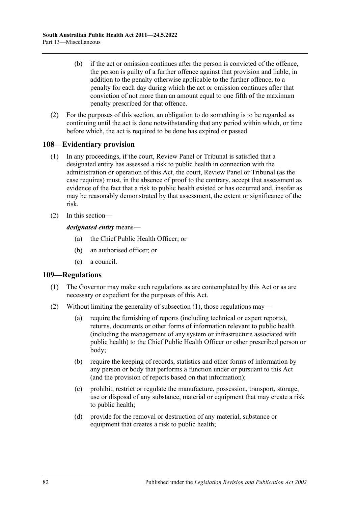- (b) if the act or omission continues after the person is convicted of the offence, the person is guilty of a further offence against that provision and liable, in addition to the penalty otherwise applicable to the further offence, to a penalty for each day during which the act or omission continues after that conviction of not more than an amount equal to one fifth of the maximum penalty prescribed for that offence.
- (2) For the purposes of this section, an obligation to do something is to be regarded as continuing until the act is done notwithstanding that any period within which, or time before which, the act is required to be done has expired or passed.

# **108—Evidentiary provision**

- (1) In any proceedings, if the court, Review Panel or Tribunal is satisfied that a designated entity has assessed a risk to public health in connection with the administration or operation of this Act, the court, Review Panel or Tribunal (as the case requires) must, in the absence of proof to the contrary, accept that assessment as evidence of the fact that a risk to public health existed or has occurred and, insofar as may be reasonably demonstrated by that assessment, the extent or significance of the risk.
- (2) In this section—

*designated entity* means—

- (a) the Chief Public Health Officer; or
- (b) an authorised officer; or
- (c) a council.

# <span id="page-81-0"></span>**109—Regulations**

- (1) The Governor may make such regulations as are contemplated by this Act or as are necessary or expedient for the purposes of this Act.
- (2) Without limiting the generality of [subsection](#page-81-0) (1), those regulations may—
	- (a) require the furnishing of reports (including technical or expert reports), returns, documents or other forms of information relevant to public health (including the management of any system or infrastructure associated with public health) to the Chief Public Health Officer or other prescribed person or body;
	- (b) require the keeping of records, statistics and other forms of information by any person or body that performs a function under or pursuant to this Act (and the provision of reports based on that information);
	- (c) prohibit, restrict or regulate the manufacture, possession, transport, storage, use or disposal of any substance, material or equipment that may create a risk to public health;
	- (d) provide for the removal or destruction of any material, substance or equipment that creates a risk to public health;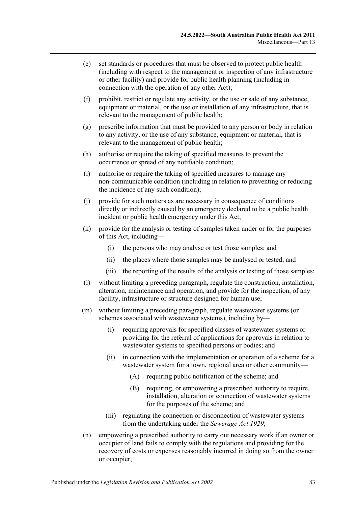- (e) set standards or procedures that must be observed to protect public health (including with respect to the management or inspection of any infrastructure or other facility) and provide for public health planning (including in connection with the operation of any other Act);
- (f) prohibit, restrict or regulate any activity, or the use or sale of any substance, equipment or material, or the use or installation of any infrastructure, that is relevant to the management of public health;
- (g) prescribe information that must be provided to any person or body in relation to any activity, or the use of any substance, equipment or material, that is relevant to the management of public health;
- (h) authorise or require the taking of specified measures to prevent the occurrence or spread of any notifiable condition;
- (i) authorise or require the taking of specified measures to manage any non-communicable condition (including in relation to preventing or reducing the incidence of any such condition);
- (j) provide for such matters as are necessary in consequence of conditions directly or indirectly caused by an emergency declared to be a public health incident or public health emergency under this Act;
- (k) provide for the analysis or testing of samples taken under or for the purposes of this Act, including—
	- (i) the persons who may analyse or test those samples; and
	- (ii) the places where those samples may be analysed or tested; and
	- (iii) the reporting of the results of the analysis or testing of those samples;
- (l) without limiting a preceding paragraph, regulate the construction, installation, alteration, maintenance and operation, and provide for the inspection, of any facility, infrastructure or structure designed for human use;
- (m) without limiting a preceding paragraph, regulate wastewater systems (or schemes associated with wastewater systems), including by—
	- (i) requiring approvals for specified classes of wastewater systems or providing for the referral of applications for approvals in relation to wastewater systems to specified persons or bodies; and
	- (ii) in connection with the implementation or operation of a scheme for a wastewater system for a town, regional area or other community—
		- (A) requiring public notification of the scheme; and
		- (B) requiring, or empowering a prescribed authority to require, installation, alteration or connection of wastewater systems for the purposes of the scheme; and
	- (iii) regulating the connection or disconnection of wastewater systems from the undertaking under the *[Sewerage Act](http://www.legislation.sa.gov.au/index.aspx?action=legref&type=act&legtitle=Sewerage%20Act%201929) 1929*;
- (n) empowering a prescribed authority to carry out necessary work if an owner or occupier of land fails to comply with the regulations and providing for the recovery of costs or expenses reasonably incurred in doing so from the owner or occupier;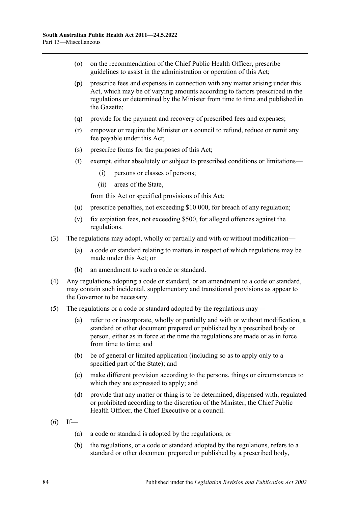- (o) on the recommendation of the Chief Public Health Officer, prescribe guidelines to assist in the administration or operation of this Act;
- (p) prescribe fees and expenses in connection with any matter arising under this Act, which may be of varying amounts according to factors prescribed in the regulations or determined by the Minister from time to time and published in the Gazette;
- (q) provide for the payment and recovery of prescribed fees and expenses;
- (r) empower or require the Minister or a council to refund, reduce or remit any fee payable under this Act;
- (s) prescribe forms for the purposes of this Act;
- (t) exempt, either absolutely or subject to prescribed conditions or limitations—
	- (i) persons or classes of persons;
	- (ii) areas of the State,

from this Act or specified provisions of this Act;

- (u) prescribe penalties, not exceeding \$10 000, for breach of any regulation;
- (v) fix expiation fees, not exceeding \$500, for alleged offences against the regulations.
- (3) The regulations may adopt, wholly or partially and with or without modification—
	- (a) a code or standard relating to matters in respect of which regulations may be made under this Act; or
	- (b) an amendment to such a code or standard.
- (4) Any regulations adopting a code or standard, or an amendment to a code or standard, may contain such incidental, supplementary and transitional provisions as appear to the Governor to be necessary.
- (5) The regulations or a code or standard adopted by the regulations may—
	- (a) refer to or incorporate, wholly or partially and with or without modification, a standard or other document prepared or published by a prescribed body or person, either as in force at the time the regulations are made or as in force from time to time; and
	- (b) be of general or limited application (including so as to apply only to a specified part of the State); and
	- (c) make different provision according to the persons, things or circumstances to which they are expressed to apply; and
	- (d) provide that any matter or thing is to be determined, dispensed with, regulated or prohibited according to the discretion of the Minister, the Chief Public Health Officer, the Chief Executive or a council.
- $(6)$  If—
	- (a) a code or standard is adopted by the regulations; or
	- (b) the regulations, or a code or standard adopted by the regulations, refers to a standard or other document prepared or published by a prescribed body,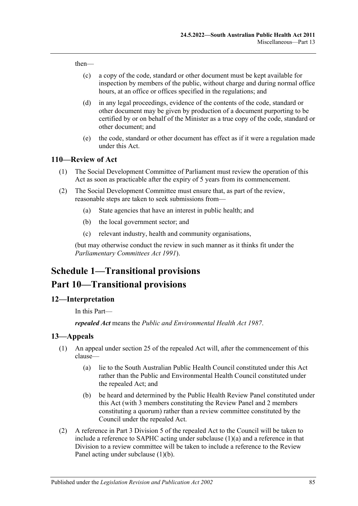then—

- (c) a copy of the code, standard or other document must be kept available for inspection by members of the public, without charge and during normal office hours, at an office or offices specified in the regulations; and
- (d) in any legal proceedings, evidence of the contents of the code, standard or other document may be given by production of a document purporting to be certified by or on behalf of the Minister as a true copy of the code, standard or other document; and
- (e) the code, standard or other document has effect as if it were a regulation made under this Act.

#### **110—Review of Act**

- (1) The Social Development Committee of Parliament must review the operation of this Act as soon as practicable after the expiry of 5 years from its commencement.
- (2) The Social Development Committee must ensure that, as part of the review, reasonable steps are taken to seek submissions from—
	- (a) State agencies that have an interest in public health; and
	- (b) the local government sector; and
	- (c) relevant industry, health and community organisations,

(but may otherwise conduct the review in such manner as it thinks fit under the *[Parliamentary Committees Act](http://www.legislation.sa.gov.au/index.aspx?action=legref&type=act&legtitle=Parliamentary%20Committees%20Act%201991) 1991*).

# **Schedule 1—Transitional provisions Part 10—Transitional provisions**

#### **12—Interpretation**

In this Part—

*repealed Act* means the *[Public and Environmental Health Act](http://www.legislation.sa.gov.au/index.aspx?action=legref&type=act&legtitle=Public%20and%20Environmental%20Health%20Act%201987) 1987*.

#### <span id="page-84-2"></span>**13—Appeals**

- <span id="page-84-0"></span>(1) An appeal under section 25 of the repealed Act will, after the commencement of this clause—
	- (a) lie to the South Australian Public Health Council constituted under this Act rather than the Public and Environmental Health Council constituted under the repealed Act; and
	- (b) be heard and determined by the Public Health Review Panel constituted under this Act (with 3 members constituting the Review Panel and 2 members constituting a quorum) rather than a review committee constituted by the Council under the repealed Act.
- <span id="page-84-3"></span><span id="page-84-1"></span>(2) A reference in Part 3 Division 5 of the repealed Act to the Council will be taken to include a reference to SAPHC acting under [subclause](#page-84-0) (1)(a) and a reference in that Division to a review committee will be taken to include a reference to the Review Panel acting under [subclause](#page-84-1) (1)(b).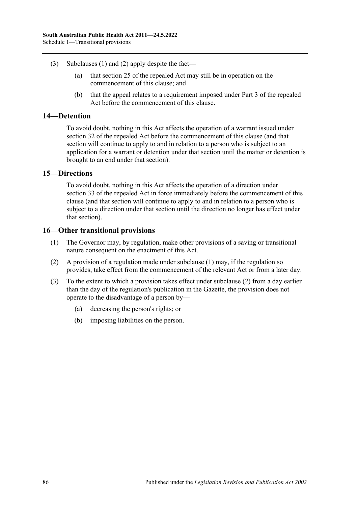- (3) [Subclauses](#page-84-2) (1) and [\(2\)](#page-84-3) apply despite the fact—
	- (a) that section 25 of the repealed Act may still be in operation on the commencement of this clause; and
	- (b) that the appeal relates to a requirement imposed under Part 3 of the repealed Act before the commencement of this clause.

#### **14—Detention**

To avoid doubt, nothing in this Act affects the operation of a warrant issued under section 32 of the repealed Act before the commencement of this clause (and that section will continue to apply to and in relation to a person who is subject to an application for a warrant or detention under that section until the matter or detention is brought to an end under that section).

#### **15—Directions**

To avoid doubt, nothing in this Act affects the operation of a direction under section 33 of the repealed Act in force immediately before the commencement of this clause (and that section will continue to apply to and in relation to a person who is subject to a direction under that section until the direction no longer has effect under that section).

# <span id="page-85-0"></span>**16—Other transitional provisions**

- (1) The Governor may, by regulation, make other provisions of a saving or transitional nature consequent on the enactment of this Act.
- <span id="page-85-1"></span>(2) A provision of a regulation made under [subclause](#page-85-0) (1) may, if the regulation so provides, take effect from the commencement of the relevant Act or from a later day.
- (3) To the extent to which a provision takes effect under [subclause](#page-85-1) (2) from a day earlier than the day of the regulation's publication in the Gazette, the provision does not operate to the disadvantage of a person by—
	- (a) decreasing the person's rights; or
	- (b) imposing liabilities on the person.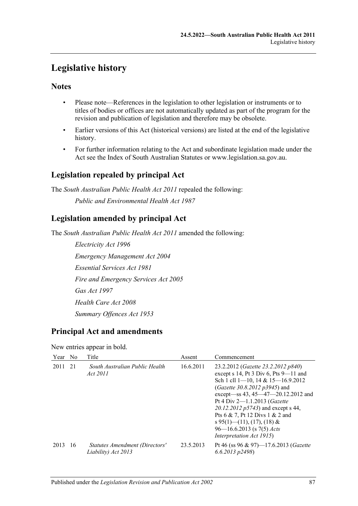# **Legislative history**

# **Notes**

- Please note—References in the legislation to other legislation or instruments or to titles of bodies or offices are not automatically updated as part of the program for the revision and publication of legislation and therefore may be obsolete.
- Earlier versions of this Act (historical versions) are listed at the end of the legislative history.
- For further information relating to the Act and subordinate legislation made under the Act see the Index of South Australian Statutes or www.legislation.sa.gov.au.

# **Legislation repealed by principal Act**

The *South Australian Public Health Act 2011* repealed the following: *Public and Environmental Health Act 1987*

# **Legislation amended by principal Act**

The *South Australian Public Health Act 2011* amended the following:

*Electricity Act 1996 Emergency Management Act 2004 Essential Services Act 1981 Fire and Emergency Services Act 2005 Gas Act 1997 Health Care Act 2008 Summary Offences Act 1953*

# **Principal Act and amendments**

#### New entries appear in bold.

| Year No |     | Title                                                 | Assent    | Commencement                                                                                                                                                                                                                                                                                                                                                                                                                   |
|---------|-----|-------------------------------------------------------|-----------|--------------------------------------------------------------------------------------------------------------------------------------------------------------------------------------------------------------------------------------------------------------------------------------------------------------------------------------------------------------------------------------------------------------------------------|
| 2011    | 21  | South Australian Public Health<br>Act 2011            | 16.6.2011 | 23.2.2012 ( <i>Gazette 23.2.2012 p840</i> )<br>except $s$ 14, Pt 3 Div 6, Pts 9-11 and<br>Sch 1 cll 1-10, 14 & 15-16.9.2012<br>( <i>Gazette 30.8.2012 p3945</i> ) and<br>except—ss 43, 45—47—20.12.2012 and<br>Pt 4 Div 2-1.1.2013 ( <i>Gazette</i><br>20.12.2012 p5743) and except s 44,<br>Pts 6 & 7, Pt 12 Divs 1 & 2 and<br>s 95(1)—(11), (17), (18) &<br>$96 - 16.6.2013$ (s 7(5) <i>Acts</i><br>Interpretation Act 1915) |
| 2013    | -16 | Statutes Amendment (Directors'<br>Liability) Act 2013 | 23.5.2013 | Pt 46 (ss 96 & 97)-17.6.2013 (Gazette<br>$(6.6.2013 \text{ p}2498)$                                                                                                                                                                                                                                                                                                                                                            |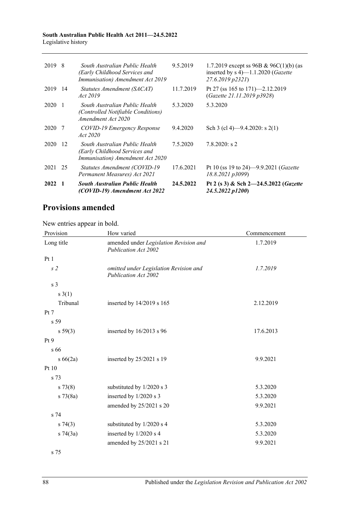#### **South Australian Public Health Act 2011—24.5.2022** Legislative history

| 2019 8 |                | South Australian Public Health<br>(Early Childhood Services and<br>Immunisation) Amendment Act 2019 | 9.5.2019  | 1.7.2019 except ss 96B & 96C(1)(b) (as<br>inserted by $s$ 4) $-1.1.2020$ ( <i>Gazette</i><br>27.6.2019 p2321) |
|--------|----------------|-----------------------------------------------------------------------------------------------------|-----------|---------------------------------------------------------------------------------------------------------------|
| 2019   | -14            | Statutes Amendment (SACAT)<br>Act 2019                                                              | 11.7.2019 | Pt 27 (ss 165 to 171)-2.12.2019<br>(Gazette 21.11.2019 p3928)                                                 |
| 2020   | $\overline{1}$ | South Australian Public Health<br><i>(Controlled Notifiable Conditions)</i><br>Amendment Act 2020   | 5.3.2020  | 5.3.2020                                                                                                      |
| 2020   | -7             | COVID-19 Emergency Response<br>Act 2020                                                             | 9.4.2020  | Sch 3 (cl 4)—9.4.2020: s 2(1)                                                                                 |
| 2020   | -12            | South Australian Public Health<br>(Early Childhood Services and<br>Immunisation) Amendment Act 2020 | 7.5.2020  | $7.8.2020$ : s 2                                                                                              |
| 2021   | 25             | Statutes Amendment (COVID-19)<br>Permanent Measures) Act 2021                                       | 17.6.2021 | Pt 10 (ss 19 to 24)-9.9.2021 (Gazette<br>18.8.2021 p3099)                                                     |
| 2022   |                | <b>South Australian Public Health</b><br>(COVID-19) Amendment Act 2022                              | 24.5.2022 | Pt 2 (s 3) & Sch 2-24.5.2022 (Gazette<br>24.5.2022 p1200)                                                     |

# **Provisions amended**

New entries appear in bold.

| Provision       | How varied                                                            | Commencement |
|-----------------|-----------------------------------------------------------------------|--------------|
| Long title      | amended under Legislation Revision and<br><b>Publication Act 2002</b> | 1.7.2019     |
| Pt1             |                                                                       |              |
| s <sub>2</sub>  | omitted under Legislation Revision and<br>Publication Act 2002        | 1.7.2019     |
| s <sub>3</sub>  |                                                                       |              |
| $s \; 3(1)$     |                                                                       |              |
| Tribunal        | inserted by 14/2019 s 165                                             | 2.12.2019    |
| Pt 7            |                                                                       |              |
| s 59            |                                                                       |              |
| s 59(3)         | inserted by 16/2013 s 96                                              | 17.6.2013    |
| Pt <sub>9</sub> |                                                                       |              |
| s 66            |                                                                       |              |
| $s\,66(2a)$     | inserted by 25/2021 s 19                                              | 9.9.2021     |
| Pt 10           |                                                                       |              |
| s 73            |                                                                       |              |
| s 73(8)         | substituted by 1/2020 s 3                                             | 5.3.2020     |
| $s \, 73(8a)$   | inserted by 1/2020 s 3                                                | 5.3.2020     |
|                 | amended by 25/2021 s 20                                               | 9.9.2021     |
| s 74            |                                                                       |              |
| $s \, 74(3)$    | substituted by 1/2020 s 4                                             | 5.3.2020     |
| $s \, 74(3a)$   | inserted by 1/2020 s 4                                                | 5.3.2020     |
|                 | amended by 25/2021 s 21                                               | 9.9.2021     |
| s 75            |                                                                       |              |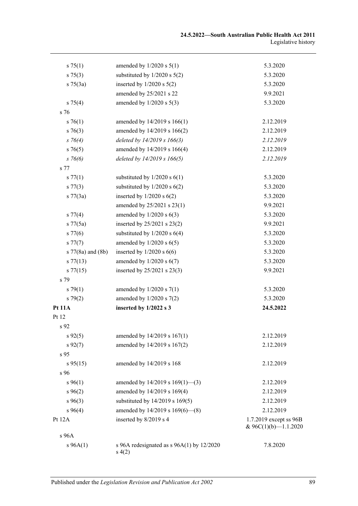| s 75(1)           | amended by $1/2020$ s $5(1)$                          | 5.3.2020                                          |
|-------------------|-------------------------------------------------------|---------------------------------------------------|
| $s \, 75(3)$      | substituted by $1/2020$ s $5(2)$                      | 5.3.2020                                          |
| $s \, 75(3a)$     | inserted by $1/2020$ s $5(2)$                         | 5.3.2020                                          |
|                   | amended by 25/2021 s 22                               | 9.9.2021                                          |
| $s \, 75(4)$      | amended by $1/2020$ s $5(3)$                          | 5.3.2020                                          |
| s 76              |                                                       |                                                   |
| $s \, 76(1)$      | amended by 14/2019 s 166(1)                           | 2.12.2019                                         |
| $s \ 76(3)$       | amended by 14/2019 s 166(2)                           | 2.12.2019                                         |
| $s \; 76(4)$      | deleted by 14/2019 s 166(3)                           | 2.12.2019                                         |
| $s \, 76(5)$      | amended by 14/2019 s 166(4)                           | 2.12.2019                                         |
| $s \, 76(6)$      | deleted by 14/2019 s 166(5)                           | 2.12.2019                                         |
| s 77              |                                                       |                                                   |
| s 77(1)           | substituted by $1/2020$ s $6(1)$                      | 5.3.2020                                          |
| s 77(3)           | substituted by $1/2020$ s $6(2)$                      | 5.3.2020                                          |
| $s \, 77(3a)$     | inserted by $1/2020$ s $6(2)$                         | 5.3.2020                                          |
|                   | amended by 25/2021 s 23(1)                            | 9.9.2021                                          |
| s 77(4)           | amended by $1/2020$ s $6(3)$                          | 5.3.2020                                          |
| $s \, 77(5a)$     | inserted by 25/2021 s 23(2)                           | 9.9.2021                                          |
| $s\,77(6)$        | substituted by $1/2020$ s $6(4)$                      | 5.3.2020                                          |
| s 77(7)           | amended by $1/2020$ s $6(5)$                          | 5.3.2020                                          |
| s 77(8a) and (8b) | inserted by $1/2020$ s $6(6)$                         | 5.3.2020                                          |
| $s\,77(13)$       | amended by $1/2020$ s $6(7)$                          | 5.3.2020                                          |
| s 77(15)          | inserted by 25/2021 s 23(3)                           | 9.9.2021                                          |
| s 79              |                                                       |                                                   |
| s79(1)            | amended by $1/2020$ s $7(1)$                          | 5.3.2020                                          |
| s79(2)            | amended by $1/2020$ s $7(2)$                          | 5.3.2020                                          |
| <b>Pt 11A</b>     | inserted by 1/2022 s 3                                | 24.5.2022                                         |
| Pt 12             |                                                       |                                                   |
| s <sub>92</sub>   |                                                       |                                                   |
| $s\,92(5)$        | amended by 14/2019 s 167(1)                           | 2.12.2019                                         |
| $s\,92(7)$        | amended by 14/2019 s 167(2)                           | 2.12.2019                                         |
| s 95              |                                                       |                                                   |
| $s\,95(15)$       | amended by 14/2019 s 168                              | 2.12.2019                                         |
| s 96              |                                                       |                                                   |
| $s\,96(1)$        | amended by $14/2019$ s $169(1)$ —(3)                  | 2.12.2019                                         |
| $s\,96(2)$        | amended by 14/2019 s 169(4)                           | 2.12.2019                                         |
| $s\,96(3)$        | substituted by 14/2019 s 169(5)                       | 2.12.2019                                         |
| $s\,96(4)$        | amended by $14/2019$ s $169(6)$ — $(8)$               | 2.12.2019                                         |
| Pt 12A            | inserted by 8/2019 s 4                                | 1.7.2019 except ss 96B<br>& $96C(1)(b)$ -1.1.2020 |
| s 96A             |                                                       |                                                   |
| $s\,96A(1)$       | s 96A redesignated as $s$ 96A(1) by 12/2020<br>s(4(2) | 7.8.2020                                          |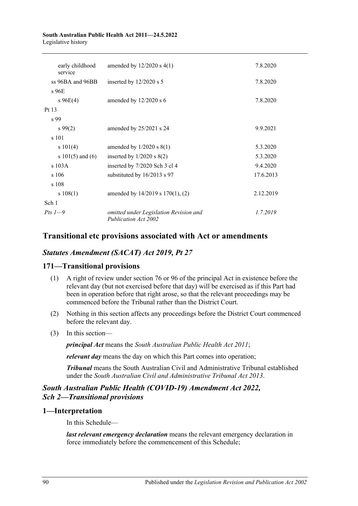#### **South Australian Public Health Act 2011—24.5.2022** Legislative history

| early childhood<br>service | amended by $12/2020$ s $4(1)$                                  | 7.8.2020  |
|----------------------------|----------------------------------------------------------------|-----------|
| ss 96BA and 96BB           | inserted by $12/2020$ s 5                                      | 7.8.2020  |
| s 96E                      |                                                                |           |
| $s\,96E(4)$                | amended by $12/2020$ s 6                                       | 7.8.2020  |
| Pt 13                      |                                                                |           |
| s 99                       |                                                                |           |
| $s\,99(2)$                 | amended by 25/2021 s 24                                        | 9.9.2021  |
| s 101                      |                                                                |           |
| s 101(4)                   | amended by $1/2020$ s $8(1)$                                   | 5.3.2020  |
| s $101(5)$ and $(6)$       | inserted by $1/2020$ s $8(2)$                                  | 5.3.2020  |
| $s$ 103A                   | inserted by 7/2020 Sch 3 cl 4                                  | 9.4.2020  |
| s106                       | substituted by 16/2013 s 97                                    | 17.6.2013 |
| s 108                      |                                                                |           |
| s 108(1)                   | amended by 14/2019 s 170(1), (2)                               | 2.12.2019 |
| Sch 1                      |                                                                |           |
| Pts $1-9$                  | omitted under Legislation Revision and<br>Publication Act 2002 | 1.7.2019  |

# **Transitional etc provisions associated with Act or amendments**

# *Statutes Amendment (SACAT) Act 2019, Pt 27*

# **171—Transitional provisions**

- (1) A right of review under section 76 or 96 of the principal Act in existence before the relevant day (but not exercised before that day) will be exercised as if this Part had been in operation before that right arose, so that the relevant proceedings may be commenced before the Tribunal rather than the District Court.
- (2) Nothing in this section affects any proceedings before the District Court commenced before the relevant day.
- (3) In this section—

*principal Act* means the *[South Australian Public Health Act](http://www.legislation.sa.gov.au/index.aspx?action=legref&type=act&legtitle=South%20Australian%20Public%20Health%20Act%202011) 2011*;

*relevant day* means the day on which this Part comes into operation;

*Tribunal* means the South Australian Civil and Administrative Tribunal established under the *[South Australian Civil and Administrative Tribunal Act](http://www.legislation.sa.gov.au/index.aspx?action=legref&type=act&legtitle=South%20Australian%20Civil%20and%20Administrative%20Tribunal%20Act%202013) 2013*.

# *South Australian Public Health (COVID-19) Amendment Act 2022, Sch 2—Transitional provisions*

# **1—Interpretation**

In this Schedule—

*last relevant emergency declaration* means the relevant emergency declaration in force immediately before the commencement of this Schedule;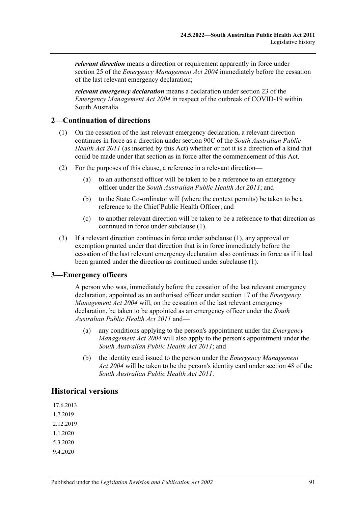*relevant direction* means a direction or requirement apparently in force under section 25 of the *[Emergency Management Act](http://www.legislation.sa.gov.au/index.aspx?action=legref&type=act&legtitle=Emergency%20Management%20Act%202004) 2004* immediately before the cessation of the last relevant emergency declaration;

*relevant emergency declaration* means a declaration under section 23 of the *[Emergency Management Act](http://www.legislation.sa.gov.au/index.aspx?action=legref&type=act&legtitle=Emergency%20Management%20Act%202004) 2004* in respect of the outbreak of COVID-19 within South Australia.

# <span id="page-90-0"></span>**2—Continuation of directions**

- (1) On the cessation of the last relevant emergency declaration, a relevant direction continues in force as a direction under section 90C of the *[South Australian Public](http://www.legislation.sa.gov.au/index.aspx?action=legref&type=act&legtitle=South%20Australian%20Public%20Health%20Act%202011)  [Health Act](http://www.legislation.sa.gov.au/index.aspx?action=legref&type=act&legtitle=South%20Australian%20Public%20Health%20Act%202011) 2011* (as inserted by this Act) whether or not it is a direction of a kind that could be made under that section as in force after the commencement of this Act.
- (2) For the purposes of this clause, a reference in a relevant direction—
	- (a) to an authorised officer will be taken to be a reference to an emergency officer under the *[South Australian Public Health Act](http://www.legislation.sa.gov.au/index.aspx?action=legref&type=act&legtitle=South%20Australian%20Public%20Health%20Act%202011) 2011*; and
	- (b) to the State Co-ordinator will (where the context permits) be taken to be a reference to the Chief Public Health Officer; and
	- (c) to another relevant direction will be taken to be a reference to that direction as continued in force under [subclause](#page-90-0) (1).
- (3) If a relevant direction continues in force under [subclause](#page-90-0) (1), any approval or exemption granted under that direction that is in force immediately before the cessation of the last relevant emergency declaration also continues in force as if it had been granted under the direction as continued under [subclause](#page-90-0) (1).

# **3—Emergency officers**

A person who was, immediately before the cessation of the last relevant emergency declaration, appointed as an authorised officer under section 17 of the *[Emergency](http://www.legislation.sa.gov.au/index.aspx?action=legref&type=act&legtitle=Emergency%20Management%20Act%202004)  [Management Act](http://www.legislation.sa.gov.au/index.aspx?action=legref&type=act&legtitle=Emergency%20Management%20Act%202004) 2004* will, on the cessation of the last relevant emergency declaration, be taken to be appointed as an emergency officer under the *[South](http://www.legislation.sa.gov.au/index.aspx?action=legref&type=act&legtitle=South%20Australian%20Public%20Health%20Act%202011)  [Australian Public Health Act](http://www.legislation.sa.gov.au/index.aspx?action=legref&type=act&legtitle=South%20Australian%20Public%20Health%20Act%202011) 2011* and—

- (a) any conditions applying to the person's appointment under the *[Emergency](http://www.legislation.sa.gov.au/index.aspx?action=legref&type=act&legtitle=Emergency%20Management%20Act%202004)  [Management Act](http://www.legislation.sa.gov.au/index.aspx?action=legref&type=act&legtitle=Emergency%20Management%20Act%202004) 2004* will also apply to the person's appointment under the *[South Australian Public Health Act](http://www.legislation.sa.gov.au/index.aspx?action=legref&type=act&legtitle=South%20Australian%20Public%20Health%20Act%202011) 2011*; and
- (b) the identity card issued to the person under the *[Emergency Management](http://www.legislation.sa.gov.au/index.aspx?action=legref&type=act&legtitle=Emergency%20Management%20Act%202004)  Act [2004](http://www.legislation.sa.gov.au/index.aspx?action=legref&type=act&legtitle=Emergency%20Management%20Act%202004)* will be taken to be the person's identity card under section 48 of the *[South Australian Public Health Act](http://www.legislation.sa.gov.au/index.aspx?action=legref&type=act&legtitle=South%20Australian%20Public%20Health%20Act%202011) 2011*.

# **Historical versions**

17.6.2013 1.7.2019 2.12.2019 1.1.2020 5.3.2020 9.4.2020